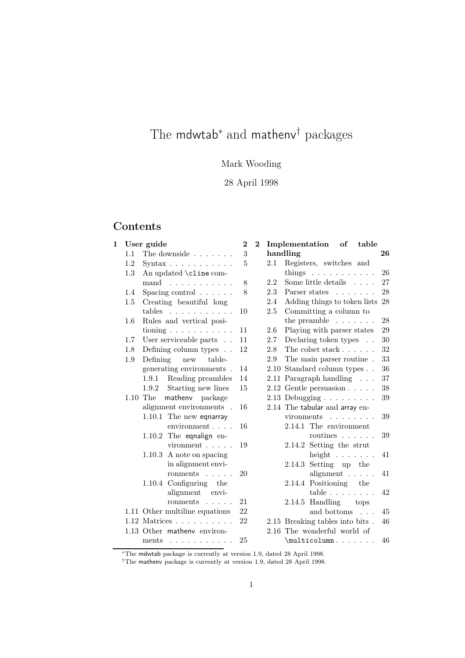# The mdwtab<sup>∗</sup> and mathenv<sup>†</sup> packages

## Mark Wooding

### 28 April 1998

### Contents

| 1<br>User guide |                                         | $\boldsymbol{2}$                                                                                                                                                                                                                                                                                                                                                  | $\mathbf{2}$               |     | table                          |                                                                                                                                                                                                                                                                                                                                                                                                                                                                                 |
|-----------------|-----------------------------------------|-------------------------------------------------------------------------------------------------------------------------------------------------------------------------------------------------------------------------------------------------------------------------------------------------------------------------------------------------------------------|----------------------------|-----|--------------------------------|---------------------------------------------------------------------------------------------------------------------------------------------------------------------------------------------------------------------------------------------------------------------------------------------------------------------------------------------------------------------------------------------------------------------------------------------------------------------------------|
| 1.1             | The downside                            | 3                                                                                                                                                                                                                                                                                                                                                                 |                            |     |                                | 26                                                                                                                                                                                                                                                                                                                                                                                                                                                                              |
| 1.2             | $\text{Syntax}\ldots\ldots\ldots\ldots$ | 5                                                                                                                                                                                                                                                                                                                                                                 |                            | 2.1 | Registers, switches and        |                                                                                                                                                                                                                                                                                                                                                                                                                                                                                 |
| 1.3             | An updated \cline com-                  |                                                                                                                                                                                                                                                                                                                                                                   |                            |     | things $\ldots \ldots \ldots$  | 26                                                                                                                                                                                                                                                                                                                                                                                                                                                                              |
|                 | mand $\ldots \ldots \ldots$             | 8                                                                                                                                                                                                                                                                                                                                                                 |                            | 2.2 | Some little details $\ldots$ . | 27                                                                                                                                                                                                                                                                                                                                                                                                                                                                              |
| 1.4             | Spacing control $\ldots \ldots$         | 8                                                                                                                                                                                                                                                                                                                                                                 |                            | 2.3 | Parser states                  | 28                                                                                                                                                                                                                                                                                                                                                                                                                                                                              |
| $1.5\,$         | Creating beautiful long                 |                                                                                                                                                                                                                                                                                                                                                                   |                            | 2.4 | Adding things to token lists   | 28                                                                                                                                                                                                                                                                                                                                                                                                                                                                              |
|                 | tables $\ldots \ldots \ldots$           | 10                                                                                                                                                                                                                                                                                                                                                                |                            | 2.5 | Committing a column to         |                                                                                                                                                                                                                                                                                                                                                                                                                                                                                 |
| $1.6\,$         | Rules and vertical posi-                |                                                                                                                                                                                                                                                                                                                                                                   |                            |     | the preamble $\ldots$          | 28                                                                                                                                                                                                                                                                                                                                                                                                                                                                              |
|                 | tioning $\ldots \ldots \ldots \ldots$   | 11                                                                                                                                                                                                                                                                                                                                                                |                            | 2.6 | Playing with parser states     | 29                                                                                                                                                                                                                                                                                                                                                                                                                                                                              |
| 1.7             | User serviceable parts                  | 11                                                                                                                                                                                                                                                                                                                                                                |                            | 2.7 | Declaring token types          | 30                                                                                                                                                                                                                                                                                                                                                                                                                                                                              |
| 1.8             | Defining column types                   | 12                                                                                                                                                                                                                                                                                                                                                                |                            | 2.8 | The colset stack               | 32                                                                                                                                                                                                                                                                                                                                                                                                                                                                              |
| 1.9             | Defining<br>new<br>table-               |                                                                                                                                                                                                                                                                                                                                                                   |                            | 2.9 | The main parser routine.       | 33                                                                                                                                                                                                                                                                                                                                                                                                                                                                              |
|                 |                                         | 14                                                                                                                                                                                                                                                                                                                                                                |                            |     |                                | 36                                                                                                                                                                                                                                                                                                                                                                                                                                                                              |
|                 | 1.9.1 Reading preambles                 | 14                                                                                                                                                                                                                                                                                                                                                                |                            |     |                                | 37                                                                                                                                                                                                                                                                                                                                                                                                                                                                              |
|                 |                                         | 15                                                                                                                                                                                                                                                                                                                                                                |                            |     |                                | 38                                                                                                                                                                                                                                                                                                                                                                                                                                                                              |
|                 |                                         |                                                                                                                                                                                                                                                                                                                                                                   |                            |     |                                | 39                                                                                                                                                                                                                                                                                                                                                                                                                                                                              |
|                 |                                         | 16                                                                                                                                                                                                                                                                                                                                                                |                            |     |                                |                                                                                                                                                                                                                                                                                                                                                                                                                                                                                 |
|                 | 1.10.1 The new eqnarray                 |                                                                                                                                                                                                                                                                                                                                                                   |                            |     | vironments                     | 39                                                                                                                                                                                                                                                                                                                                                                                                                                                                              |
|                 | environment                             | 16                                                                                                                                                                                                                                                                                                                                                                |                            |     | 2.14.1 The environment         |                                                                                                                                                                                                                                                                                                                                                                                                                                                                                 |
|                 |                                         |                                                                                                                                                                                                                                                                                                                                                                   |                            |     | routines $\ldots$              | 39                                                                                                                                                                                                                                                                                                                                                                                                                                                                              |
|                 | $vironment \dots \dots$                 | 19                                                                                                                                                                                                                                                                                                                                                                |                            |     |                                |                                                                                                                                                                                                                                                                                                                                                                                                                                                                                 |
|                 |                                         |                                                                                                                                                                                                                                                                                                                                                                   |                            |     |                                | 41                                                                                                                                                                                                                                                                                                                                                                                                                                                                              |
|                 |                                         |                                                                                                                                                                                                                                                                                                                                                                   |                            |     |                                |                                                                                                                                                                                                                                                                                                                                                                                                                                                                                 |
|                 |                                         |                                                                                                                                                                                                                                                                                                                                                                   |                            |     |                                | 41                                                                                                                                                                                                                                                                                                                                                                                                                                                                              |
|                 |                                         |                                                                                                                                                                                                                                                                                                                                                                   |                            |     |                                |                                                                                                                                                                                                                                                                                                                                                                                                                                                                                 |
|                 |                                         |                                                                                                                                                                                                                                                                                                                                                                   |                            |     |                                | 42                                                                                                                                                                                                                                                                                                                                                                                                                                                                              |
|                 |                                         |                                                                                                                                                                                                                                                                                                                                                                   |                            |     |                                |                                                                                                                                                                                                                                                                                                                                                                                                                                                                                 |
|                 |                                         |                                                                                                                                                                                                                                                                                                                                                                   |                            |     |                                | 45                                                                                                                                                                                                                                                                                                                                                                                                                                                                              |
|                 |                                         |                                                                                                                                                                                                                                                                                                                                                                   |                            |     |                                | 46                                                                                                                                                                                                                                                                                                                                                                                                                                                                              |
|                 |                                         |                                                                                                                                                                                                                                                                                                                                                                   |                            |     |                                |                                                                                                                                                                                                                                                                                                                                                                                                                                                                                 |
|                 | ments $\ldots \ldots \ldots \ldots$     |                                                                                                                                                                                                                                                                                                                                                                   |                            |     |                                | 46                                                                                                                                                                                                                                                                                                                                                                                                                                                                              |
|                 |                                         | ${\tt generating}$ environments .<br>1.9.2 Starting new lines<br>mathenv package<br>$1.10$ The<br>alignment environments.<br>1.10.2 The eqnalign en-<br>$1.10.3$ A note on spacing<br>in alignment envi-<br>ronments<br>1.10.4 Configuring the<br>alignment envi-<br>ronments<br>1.11 Other multiline equations<br>$1.12$ Matrices<br>1.13 Other matheny environ- | 20<br>21<br>22<br>22<br>25 |     |                                | Implementation of<br>handling<br>2.10 Standard column types<br>2.11 Paragraph handling<br>$2.12$ Gentle persuasion $\ldots$ .<br>$2.13$ Debugging<br>2.14 The tabular and array en-<br>2.14.2 Setting the strut<br>height $\ldots$<br>$2.14.3$ Setting up the<br>alignment $\ldots$ .<br>2.14.4 Positioning the<br>table $\ldots$<br>2.14.5 Handling tops<br>and bottoms $\phantom{1} \ldots$<br>2.15 Breaking tables into bits.<br>2.16 The wonderful world of<br>\multicolumn |

<sup>∗</sup>The mdwtab package is currently at version 1.9, dated 28 April 1998.

†The mathenv package is currently at version 1.9, dated 28 April 1998.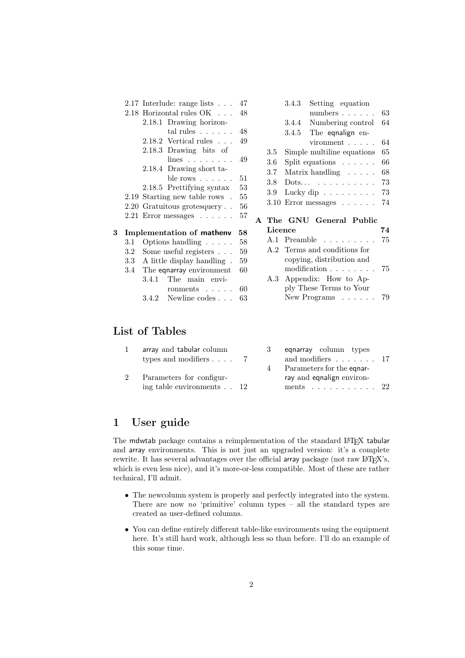|   |                          | 2.17 Interlude: range lists $\ldots$ 47<br>2.18 Horizontal rules OK<br>2.18.1 Drawing horizon-<br>tal rules $\ldots$ $\ldots$ 48<br>$2.18.2$ Vertical rules<br>2.18.3 Drawing bits of<br>$lines \dots \dots \dots$<br>2.18.4 Drawing short ta-<br>ble rows $\ldots$<br>2.18.5 Prettifying syntax<br>2.19 Starting new table rows.<br>2.20 Gratuitous grotesquery<br>$2.21$ Error messages $\dots \dots$ | 48<br>49<br>49<br>51<br>53<br>55<br>56<br>57 | 3.4.3<br>Setting equation<br>numbers $\ldots$ $\ldots$<br>63<br>Numbering control<br>3.4.4<br>64<br>3.4.5 The equalign en-<br>$vironment$ , , , , ,<br>64<br>Simple multiline equations<br>65<br>3.5<br>Split equations $\ldots \ldots$<br>3.6<br>66<br>3.7<br>Matrix handling $\dots$ .<br>68<br>3.8<br>$Dots \t \t \t$<br>73<br>Lucky dip $\ldots \ldots \ldots$<br>3.9<br>73<br>$3.10$ Error messages $\ldots$ 74<br>A The GNU General Public |  |
|---|--------------------------|---------------------------------------------------------------------------------------------------------------------------------------------------------------------------------------------------------------------------------------------------------------------------------------------------------------------------------------------------------------------------------------------------------|----------------------------------------------|--------------------------------------------------------------------------------------------------------------------------------------------------------------------------------------------------------------------------------------------------------------------------------------------------------------------------------------------------------------------------------------------------------------------------------------------------|--|
| 3 | 3.1<br>3.2<br>3.3<br>3.4 | Implementation of mathenv<br>Options handling $\ldots$ .<br>Some useful registers $\ldots$<br>A little display handling.<br>The eqnarray environment<br>The main envi-<br>3.4.1<br>ronments<br>Newline codes<br>3.4.2                                                                                                                                                                                   | 58<br>58<br>59<br>59<br>60<br>60<br>63       | Licence<br>74<br>A.1 Preamble<br>75<br>A.2 Terms and conditions for<br>copying, distribution and<br>modification<br>75<br>Appendix: How to Ap-<br>A.3<br>ply These Terms to Your<br>New Programs $\ldots$<br>79                                                                                                                                                                                                                                  |  |

### List of Tables

| array and tabular column<br>types and modifiers $\ldots$ 7     |                | equarray column types<br>and modifiers $\ldots$ $\ldots$ 17        |  |
|----------------------------------------------------------------|----------------|--------------------------------------------------------------------|--|
|                                                                | $\overline{4}$ | Parameters for the equar-                                          |  |
| Parameters for configur-<br>ing table environments $\ldots$ 12 |                | ray and equalign environ-<br>ments $\ldots$ $\ldots$ $\ldots$ $22$ |  |

### 1 User guide

The mdwtab package contains a reimplementation of the standard LATEX tabular and array environments. This is not just an upgraded version: it's a complete rewrite. It has several advantages over the official array package (not raw L<sup>AT</sup>EX's, which is even less nice), and it's more-or-less compatible. Most of these are rather technical, I'll admit.

- The newcolumn system is properly and perfectly integrated into the system. There are now *no* 'primitive' column types – all the standard types are created as user-defined columns.
- You can define entirely different table-like environments using the equipment here. It's still hard work, although less so than before. I'll do an example of this some time.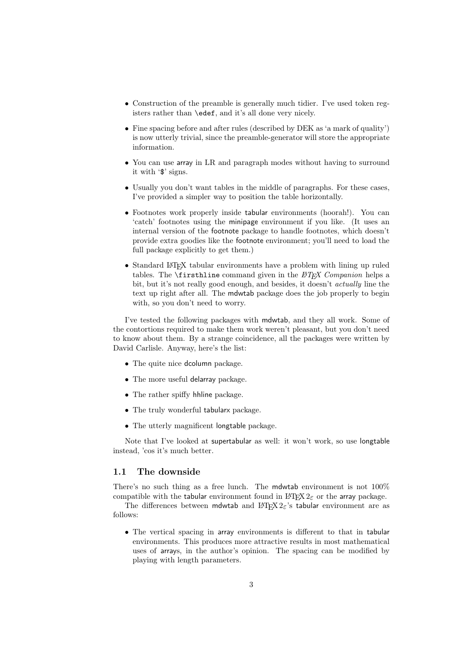- Construction of the preamble is generally much tidier. I've used token registers rather than \edef, and it's all done very nicely.
- Fine spacing before and after rules (described by DEK as 'a mark of quality') is now utterly trivial, since the preamble-generator will store the appropriate information.
- You can use array in LR and paragraph modes without having to surround it with '\$' signs.
- Usually you don't want tables in the middle of paragraphs. For these cases, I've provided a simpler way to position the table horizontally.
- Footnotes work properly inside tabular environments (hoorah!). You can 'catch' footnotes using the minipage environment if you like. (It uses an internal version of the footnote package to handle footnotes, which doesn't provide extra goodies like the footnote environment; you'll need to load the full package explicitly to get them.)
- Standard LATEX tabular environments have a problem with lining up ruled tables. The **\firsthline** command given in the *LATEX Companion* helps a bit, but it's not really good enough, and besides, it doesn't *actually* line the text up right after all. The mdwtab package does the job properly to begin with, so you don't need to worry.

I've tested the following packages with mdwtab, and they all work. Some of the contortions required to make them work weren't pleasant, but you don't need to know about them. By a strange coincidence, all the packages were written by David Carlisle. Anyway, here's the list:

- The quite nice dcolumn package.
- The more useful delarray package.
- The rather spiffy hhline package.
- The truly wonderful tabularx package.
- The utterly magnificent longtable package.

Note that I've looked at supertabular as well: it won't work, so use longtable instead, 'cos it's much better.

#### 1.1 The downside

There's no such thing as a free lunch. The mdwtab environment is not 100% compatible with the tabular environment found in  $\mathbb{L}$ T<sub>E</sub>X  $2_{\epsilon}$  or the array package.

The differences between mdwtab and  $L^2E^X 2\varepsilon$ 's tabular environment are as follows:

• The vertical spacing in array environments is different to that in tabular environments. This produces more attractive results in most mathematical uses of arrays, in the author's opinion. The spacing can be modified by playing with length parameters.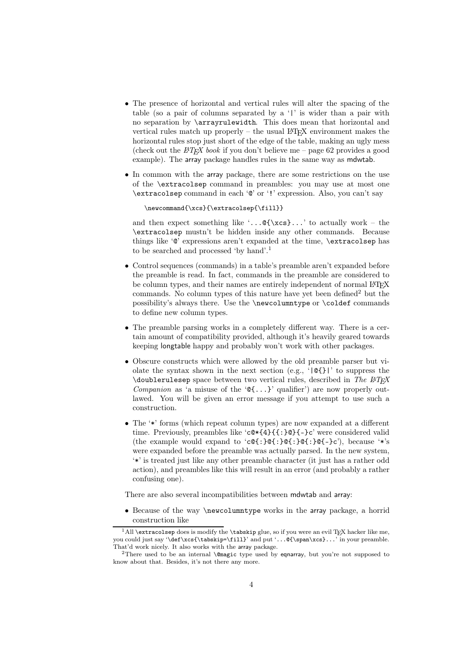- The presence of horizontal and vertical rules will alter the spacing of the table (so a pair of columns separated by a '|' is wider than a pair with no separation by \arrayrulewidth. This does mean that horizontal and vertical rules match up properly – the usual  $\angle$ FFX environment makes the horizontal rules stop just short of the edge of the table, making an ugly mess (check out the  $\angle ATRX$  book if you don't believe me – page 62 provides a good example). The array package handles rules in the same way as mdwtab.
- In common with the array package, there are some restrictions on the use of the \extracolsep command in preambles: you may use at most one \extracolsep command in each '@' or '!' expression. Also, you can't say

\newcommand{\xcs}{\extracolsep{\fill}}

and then expect something like  $\cdot \cdot \cdot \cdot$ ... To actually work – the \extracolsep mustn't be hidden inside any other commands. Because things like '@' expressions aren't expanded at the time, \extracolsep has to be searched and processed 'by hand'.<sup>1</sup>

- Control sequences (commands) in a table's preamble aren't expanded before the preamble is read. In fact, commands in the preamble are considered to be column types, and their names are entirely independent of normal LAT<sub>E</sub>X commands. No column types of this nature have yet been defined<sup>2</sup> but the possibility's always there. Use the \newcolumntype or \coldef commands to define new column types.
- The preamble parsing works in a completely different way. There is a certain amount of compatibility provided, although it's heavily geared towards keeping longtable happy and probably won't work with other packages.
- Obscure constructs which were allowed by the old preamble parser but violate the syntax shown in the next section (e.g., ' $| \mathcal{Q} \cdot \mathcal{Z}|$ )' to suppress the \doublerulesep space between two vertical rules, described in *The LATEX Companion* as 'a misuse of the  $\mathcal{C}\{\ldots\}$ ' qualifier') are now properly outlawed. You will be given an error message if you attempt to use such a construction.
- The '\*' forms (which repeat column types) are now expanded at a different time. Previously, preambles like 'c@\*{4}{{:}@}{–}c' were considered valid (the example would expand to ' $c \mathbb{Q}$ :  $\mathbb{Q}$ :  $\mathbb{Q}$ :  $\mathbb{Q}$ :  $\mathbb{Q}$ :  $\mathbb{Q}$ :  $\mathbb{Q}$ :  $\mathbb{Q}$ :  $\mathbb{Q}$ :  $\mathbb{Q}$ :  $\mathbb{Q}$ :  $\mathbb{Q}$ :  $\mathbb{Q}$ :  $\mathbb{Q}$ :  $\mathbb{Q}$ :  $\mathbb{Q}$ :  $\mathbb{Q}$ :  $\mathbb{Q}$ :  $\mathbb{Q}$ : were expanded before the preamble was actually parsed. In the new system, '\*' is treated just like any other preamble character (it just has a rather odd action), and preambles like this will result in an error (and probably a rather confusing one).

There are also several incompatibilities between mdwtab and array:

• Because of the way \newcolumntype works in the array package, a horrid construction like

 $^1\textsc{All}\text{extracolsep}$  does is modify the **\tabskip** glue, so if you were an evil T<sub>E</sub>X hacker like me, you could just say '\def\xcs{\tabskip=\fill}' and put '...@{\span\xcs}...' in your preamble. That'd work nicely. It also works with the array package.

<sup>2</sup>There used to be an internal \@magic type used by eqnarray, but you're not supposed to know about that. Besides, it's not there any more.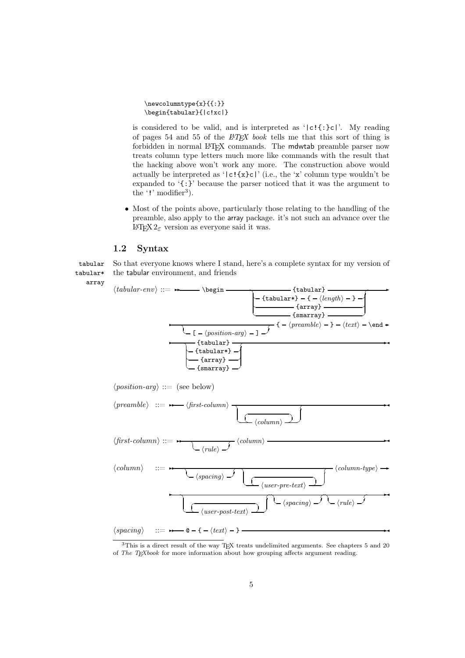\newcolumntype{x}{{:}} \begin{tabular}{|c!xc|}

is considered to be valid, and is interpreted as ' $|c! \cdot \cdot \cdot|c|$ '. My reading of pages 54 and 55 of the *LATEX book* tells me that this sort of thing is forbidden in normal LAT<sub>EX</sub> commands. The mdwtab preamble parser now treats column type letters much more like commands with the result that the hacking above won't work any more. The construction above would actually be interpreted as '|c!{x}c|' (i.e., the 'x' column type wouldn't be expanded to '{:}' because the parser noticed that it was the argument to the  $'$ !' modifier<sup>3</sup>).

• Most of the points above, particularly those relating to the handling of the preamble, also apply to the array package. it's not such an advance over the LAT<sub>F</sub>X 2<sub>ε</sub> version as everyone said it was.

#### 1.2 Syntax

array

tabular So that everyone knows where I stand, here's a complete syntax for my version of tabular\* the tabular environment, and friends



<sup>&</sup>lt;sup>3</sup>This is a direct result of the way TEX treats undelimited arguments. See chapters 5 and 20 of *The TEXbook* for more information about how grouping affects argument reading.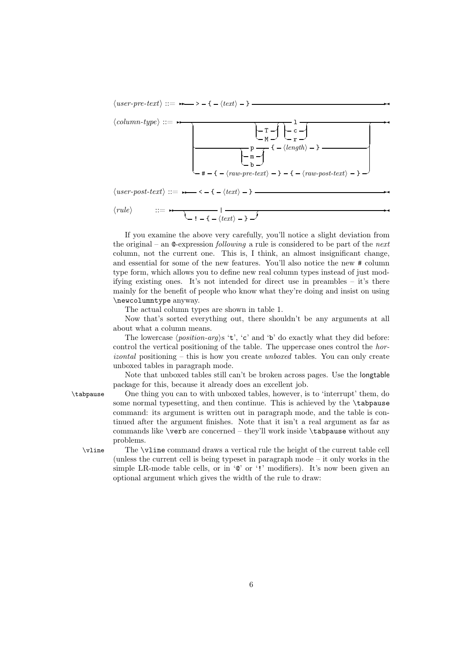$\langle user-pre-text\rangle ::= \rightarrow -(-\langle text\rangle -)$ 



 $\langle user-post-text \rangle ::= \rightarrow - \langle - \langle text \rangle - \rangle$ 

 $\langle rule \rangle$ 

$$
::=\qquad \qquad \overbrace{\qquad \qquad }:\qquad \qquad \overbrace{\qquad \qquad }:\qquad \qquad \overbrace{\qquad \qquad }:\qquad \qquad \overbrace{\qquad \qquad }:\qquad \qquad \overbrace{\qquad \qquad }:\qquad \qquad \overbrace{\qquad \qquad }:\qquad \qquad \overbrace{\qquad \qquad }:\qquad \qquad \overbrace{\qquad \qquad }:\qquad \qquad \overbrace{\qquad \qquad }:\qquad \qquad \overbrace{\qquad \qquad }:\qquad \qquad \overbrace{\qquad \qquad }:\qquad \qquad \overbrace{\qquad \qquad }:\qquad \qquad \overbrace{\qquad \qquad }:\qquad \qquad \overbrace{\qquad \qquad }:\qquad \qquad \overbrace{\qquad \qquad }:\qquad \qquad \overbrace{\qquad \qquad }:\qquad \qquad \overbrace{\qquad \qquad }:\qquad \qquad \overbrace{\qquad \qquad }:\qquad \qquad \overbrace{\qquad \qquad }:\qquad \overbrace{\qquad \qquad }:\qquad \qquad \overbrace{\qquad \qquad }:\qquad \qquad \overbrace{\qquad \qquad }:\qquad \qquad \overbrace{\qquad \qquad }:\qquad \qquad \overbrace{\qquad \qquad }:\qquad \qquad \overbrace{\qquad \qquad }:\qquad \qquad \overbrace{\qquad \qquad }:\qquad \qquad \overbrace{\qquad \qquad }:\qquad \qquad \overbrace{\qquad \qquad }:\qquad \qquad \overbrace{\qquad \qquad }:\qquad \qquad \overbrace{\qquad \qquad }:\qquad \qquad \overbrace{\qquad \qquad }:\qquad \qquad \overbrace{\qquad \qquad }:\qquad \qquad \overbrace{\qquad \qquad }:\qquad \qquad \overbrace{\qquad \qquad }:\qquad \qquad \overbrace{\qquad \qquad }:\qquad \qquad \overbrace{\qquad \qquad }:\qquad \qquad \overbrace{\qquad \qquad }:\qquad \qquad \overbrace{\qquad \qquad }:\qquad \qquad \overbrace{\qquad \qquad }:\qquad \overbrace{\qquad \qquad }:\qquad \qquad \overbrace{\qquad \qquad }:\qquad \qquad \overbrace{\qquad \qquad }:\qquad \overbrace{\qquad \qquad }:\qquad \overbrace{\qquad \qquad }:\qquad \overbrace{\qquad \qquad }:\qquad \overbrace{\qquad \qquad }:\qquad \overbrace{\qquad \qquad }:\qquad \overbrace{\qquad \qquad }:\qquad \overbrace{\qquad \qquad }:\
$$

If you examine the above very carefully, you'll notice a slight deviation from the original – an @-expression *following* a rule is considered to be part of the *next* column, not the current one. This is, I think, an almost insignificant change, and essential for some of the new features. You'll also notice the new # column type form, which allows you to define new real column types instead of just modifying existing ones. It's not intended for direct use in preambles – it's there mainly for the benefit of people who know what they're doing and insist on using \newcolumntype anyway.

The actual column types are shown in table 1.

Now that's sorted everything out, there shouldn't be any arguments at all about what a column means.

The lowercase  $\langle position-arg \rangle$ s 't', 'c' and 'b' do exactly what they did before: control the vertical positioning of the table. The uppercase ones control the *horizontal* positioning – this is how you create *unboxed* tables. You can only create unboxed tables in paragraph mode.

Note that unboxed tables still can't be broken across pages. Use the longtable package for this, because it already does an excellent job.

\tabpause One thing you can to with unboxed tables, however, is to 'interrupt' them, do some normal typesetting, and then continue. This is achieved by the \tabpause command: its argument is written out in paragraph mode, and the table is continued after the argument finishes. Note that it isn't a real argument as far as commands like \verb are concerned – they'll work inside \tabpause without any problems.

\vline The \vline command draws a vertical rule the height of the current table cell (unless the current cell is being typeset in paragraph mode – it only works in the simple LR-mode table cells, or in ' $\mathbb{Q}'$  or '!' modifiers). It's now been given an optional argument which gives the width of the rule to draw: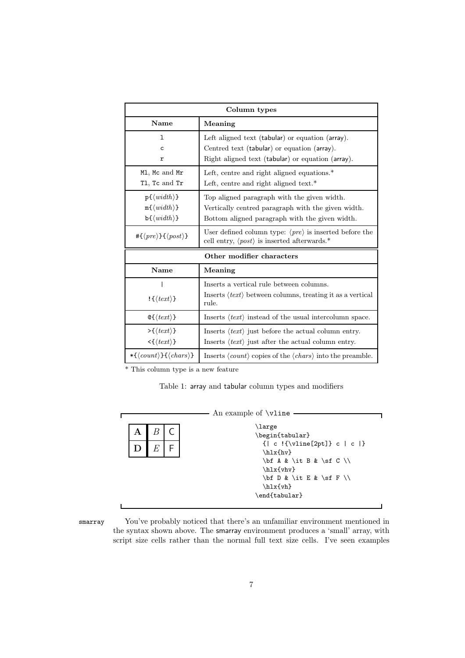| Column types                                                                                                      |                                                                                                                                                      |  |  |
|-------------------------------------------------------------------------------------------------------------------|------------------------------------------------------------------------------------------------------------------------------------------------------|--|--|
| <b>Name</b><br>Meaning                                                                                            |                                                                                                                                                      |  |  |
| ı<br>C<br>r                                                                                                       | Left aligned text (tabular) or equation (array).<br>Centred text (tabular) or equation (array).<br>Right aligned text (tabular) or equation (array). |  |  |
| M1, Mc and Mr<br>T1, Tc and Tr                                                                                    | Left, centre and right aligned equations.*<br>Left, centre and right aligned text. $*$                                                               |  |  |
| $p\{\langle width \rangle\}$<br>$m\{\langle width \rangle\}$<br>$\mathbf{b} \{ \langle \mathit{width} \rangle \}$ | Top aligned paragraph with the given width.<br>Vertically centred paragraph with the given width.<br>Bottom aligned paragraph with the given width.  |  |  |
| # $\{\langle pre \rangle\}\{\langle post \rangle\}$                                                               | User defined column type: $\langle pre \rangle$ is inserted before the<br>cell entry, $\langle post \rangle$ is inserted afterwards.*                |  |  |
|                                                                                                                   | Other modifier characters                                                                                                                            |  |  |
| Name                                                                                                              | Meaning                                                                                                                                              |  |  |
| $\mathcal{L}(text)$                                                                                               | Inserts a vertical rule between columns.<br>Inserts $\langle text \rangle$ between columns, treating it as a vertical<br>rule.                       |  |  |
| $\mathcal{Q} \{ \langle \text{text} \rangle \}$                                                                   | Inserts $\langle text \rangle$ instead of the usual intercolumn space.                                                                               |  |  |
| $\rightarrow \{\langle text \rangle\}$<br>$\langle \{ \langle \text{text} \rangle \}$                             | Inserts $\langle text \rangle$ just before the actual column entry.<br>Inserts $\langle text \rangle$ just after the actual column entry.            |  |  |
| $\{\langle count \rangle\} \{\langle chars \rangle\}$                                                             | Inserts $\langle count \rangle$ copies of the $\langle chars \rangle$ into the preamble.                                                             |  |  |

\* This column type is a new feature

Table 1: array and tabular column types and modifiers

|   | An example of \vline                                                                                                                                                |
|---|---------------------------------------------------------------------------------------------------------------------------------------------------------------------|
| А | <b>\large</b><br>\begin{tabular}                                                                                                                                    |
| E | $\{   c ! {\text{value}[2pt]} \} c   c   \}$<br>$\hbox{\hbox{hv}}$<br>$\hbox{\hbox{hly}}$<br>$\bf b$ f D & \it E & \sf F \\<br>$\hbox{\hbox{h1x$}$<br>\end{tabular} |
|   |                                                                                                                                                                     |

smarray You've probably noticed that there's an unfamiliar environment mentioned in the syntax shown above. The smarray environment produces a 'small' array, with script size cells rather than the normal full text size cells. I've seen examples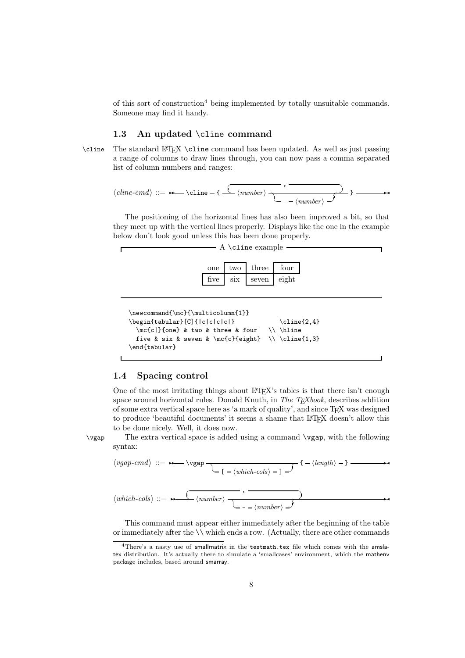of this sort of construction<sup>4</sup> being implemented by totally unsuitable commands. Someone may find it handy.

#### 1.3 An updated \cline command

\cline The standard LATEX \cline command has been updated. As well as just passing a range of columns to draw lines through, you can now pass a comma separated list of column numbers and ranges:

$$
\langle \textit{cline-cmd} \rangle ::= \rightarrow \textit{cline-f} \ \overbrace{\langle \textit{number} \rangle \ \overbrace{\quad \quad } - \langle \textit{number} \rangle \ \mathcal{I}} \rangle \longrightarrow
$$

The positioning of the horizontal lines has also been improved a bit, so that they meet up with the vertical lines properly. Displays like the one in the example below don't look good unless this has been done properly.



```
\newcommand{\mc}{\multicolumn{1}}
\begin{equation} \begin{tabular}[C]{|c|c|c|c|} \cline{2,4}
 \mc{c}{one} & two & three & four \lvert \five & six & seven & \mc{c}{eight} \\ \cline{1,3}
\end{tabular}
```
### 1.4 Spacing control

One of the most irritating things about LATEX's tables is that there isn't enough space around horizontal rules. Donald Knuth, in *The TEXbook*, describes addition of some extra vertical space here as 'a mark of quality', and since TEX was designed to produce 'beautiful documents' it seems a shame that LAT<sub>E</sub>X doesn't allow this to be done nicely. Well, it does now.

\vgap The extra vertical space is added using a command \vgap, with the following syntax:

*vgap-cmd* ::=✲✲ \vgap ☎ ✝ [ *which-cols* ] ✆ ✞ { *length* } ✲✛ *which-cols* ::=✲✲ ✞ , ☎ ✝ *number* ☎ ✝ - *number* ✆ ✞ ✆ ✲✛

This command must appear either immediately after the beginning of the table or immediately after the  $\setminus \mathcal{N}$  which ends a row. (Actually, there are other commands

<sup>&</sup>lt;sup>4</sup>There's a nasty use of smallmatrix in the testmath.tex file which comes with the amslatex distribution. It's actually there to simulate a 'smallcases' environment, which the mathenv package includes, based around smarray.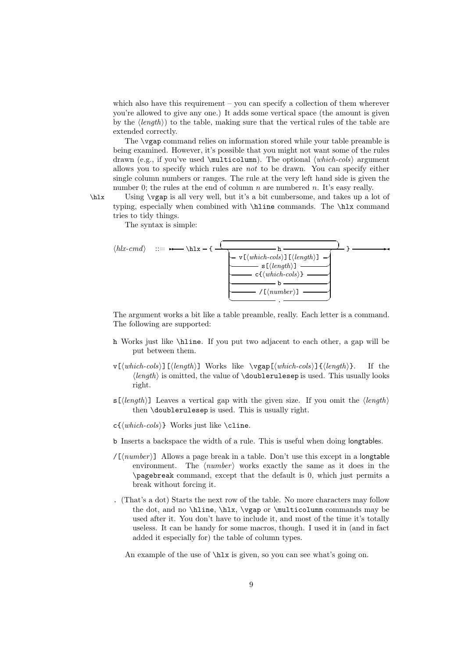which also have this requirement  $-$  you can specify a collection of them wherever you're allowed to give any one.) It adds some vertical space (the amount is given by the *length*) to the table, making sure that the vertical rules of the table are extended correctly.

The \vgap command relies on information stored while your table preamble is being examined. However, it's possible that you might not want some of the rules drawn (e.g., if you've used  $\mathrm{Ltcolum}$ ). The optional  $\langle which\n-cos \rangle$  argument allows you to specify which rules are *not* to be drawn. You can specify either single column numbers or ranges. The rule at the very left hand side is given the number 0; the rules at the end of column  $n$  are numbered  $n$ . It's easy really.

\hlx Using \vgap is all very well, but it's a bit cumbersome, and takes up a lot of typing, especially when combined with \hline commands. The \hlx command tries to tidy things.

The syntax is simple:



The argument works a bit like a table preamble, really. Each letter is a command. The following are supported:

- h Works just like \hline. If you put two adjacent to each other, a gap will be put between them.
- v[*which-cols*][*length*] Works like \vgap[*which-cols*]{*length*}. If the  $\langle length \rangle$  is omitted, the value of  $\dagger$  doublerulesep is used. This usually looks right.
- s[*length*] Leaves a vertical gap with the given size. If you omit the *length* then \doublerulesep is used. This is usually right.
- c{*which-cols*} Works just like \cline.
- b Inserts a backspace the width of a rule. This is useful when doing longtables.
- $/[*number*]<sup>1</sup>$  Allows a page break in a table. Don't use this except in a longtable environment. The  $\langle number \rangle$  works exactly the same as it does in the \pagebreak command, except that the default is 0, which just permits a break without forcing it.
- . (That's a dot) Starts the next row of the table. No more characters may follow the dot, and no \hline, \hlx, \vgap or \multicolumn commands may be used after it. You don't have to include it, and most of the time it's totally useless. It can be handy for some macros, though. I used it in (and in fact added it especially for) the table of column types.

An example of the use of  $\hbar x$  is given, so you can see what's going on.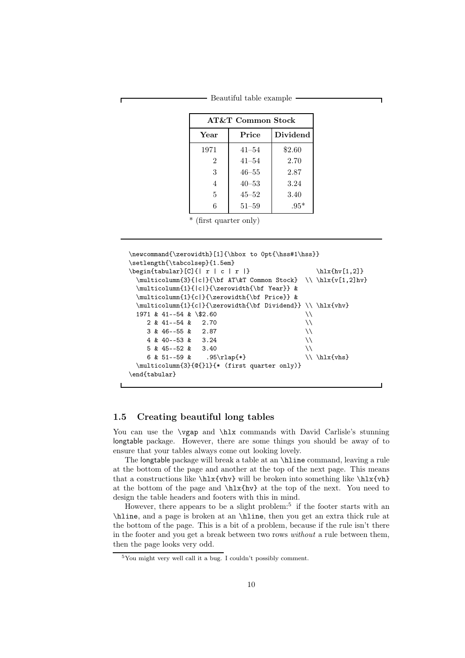- Beautiful table example

| <b>AT&amp;T Common Stock</b> |           |        |  |  |  |
|------------------------------|-----------|--------|--|--|--|
| Dividend<br>Price<br>Year    |           |        |  |  |  |
| 1971                         | $41 - 54$ | \$2.60 |  |  |  |
| 2                            | $41 - 54$ | 2.70   |  |  |  |
| 3                            | $46 - 55$ | 2.87   |  |  |  |
| 4                            | $40 - 53$ | 3.24   |  |  |  |
| 5                            | $45 - 52$ | 3.40   |  |  |  |
| 6                            | $51 - 59$ | $.95*$ |  |  |  |

\* (first quarter only)

```
\newcommand{\zerowidth}[1]{\hbox to 0pt{\hss#1\hss}}
\setlength{\tabcolsep}{1.5em}
\begin{equation} [C]{ \begin{array}{c} r & c & r \\ \hline \end{array} \end{equation}\multicolumn{3}{|c|}{\bf AT\&T Common Stock} \ \hline \tln{x{v[1,2]}hv}\multicolumn{1}{|c|}{\zerowidth{\bf Year}} &
 \multicolumn{1}{c|}{\zerowidth{\bf Price}} &
 \multicolumn{1}{c|}{\zerowidth{\bf Dividend}} \\ \hlx{vhv}
 1971 \& 41--54 \& \& 32.602 \& 41--54 \& 2.703 \& 46--55 \& 2.874 \& 40--53 \& 3.245 & 45--52 & 3.40
    6 & 51--59 & .95\rlap{*} \{\lambda\}\multicolumn{3}{@{}l}{* (first quarter only)}
\end{tabular}
```
#### 1.5 Creating beautiful long tables

You can use the \vgap and \hlx commands with David Carlisle's stunning longtable package. However, there are some things you should be away of to ensure that your tables always come out looking lovely.

The longtable package will break a table at an \hline command, leaving a rule at the bottom of the page and another at the top of the next page. This means that a constructions like  $\hbar x_{\nu}$  will be broken into something like  $\hbar x_{\nu}$ at the bottom of the page and \hlx{hv} at the top of the next. You need to design the table headers and footers with this in mind.

However, there appears to be a slight problem:<sup>5</sup> if the footer starts with an \hline, and a page is broken at an \hline, then you get an extra thick rule at the bottom of the page. This is a bit of a problem, because if the rule isn't there in the footer and you get a break between two rows *without* a rule between them, then the page looks very odd.

 ${}^{5}\mathrm{You}$  might very well call it a bug. I couldn't possibly comment.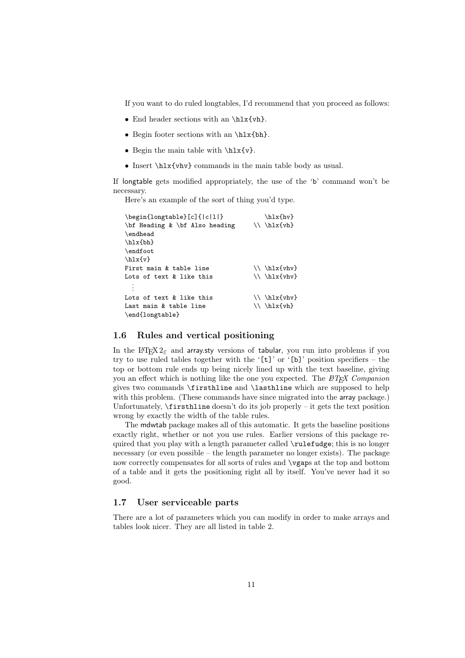If you want to do ruled longtables, I'd recommend that you proceed as follows:

- End header sections with an \hlx{vh}.
- Begin footer sections with an \hlx{bh}.
- Begin the main table with  $\hbar x{v}$ .
- Insert \hlx{vhv} commands in the main table body as usual.

If longtable gets modified appropriately, the use of the 'b' command won't be necessary.

Here's an example of the sort of thing you'd type.

| \begin{longtable}[c]{ c 1 }    | $\hbox{\hbox{h}xfhv}$          |
|--------------------------------|--------------------------------|
| \bf Heading & \bf Also heading | $\{\n\ \hbox{hlx{vh}\n}\$      |
| \endhead                       |                                |
| $\hbox{\hbox{bh}}$             |                                |
| \endfoot                       |                                |
| $\hbox{\hbox{h1x}}\$           |                                |
| First main & table line        | $\{\n\ \hbox{\tt hlx{vhv}}\n\$ |
| Lots of text & like this       | $\{\n\ \hbox{\tt hlx{vhv}}\n\$ |
|                                |                                |
| Lots of text & like this       | $\{\n\ \hbar 1x\{vhv\}$        |
| Last main & table line         | $\{\n\ \hbar x\{vh\}$          |
| \end{longtable}                |                                |

#### 1.6 Rules and vertical positioning

In the LATEX  $2\epsilon$  and array.sty versions of tabular, you run into problems if you try to use ruled tables together with the '[t]' or '[b]' position specifiers – the top or bottom rule ends up being nicely lined up with the text baseline, giving you an effect which is nothing like the one you expected. The *LATEX Companion* gives two commands \firsthline and \lasthline which are supposed to help with this problem. (These commands have since migrated into the array package.) Unfortunately, \firsthline doesn't do its job properly – it gets the text position wrong by exactly the width of the table rules.

The mdwtab package makes all of this automatic. It gets the baseline positions exactly right, whether or not you use rules. Earlier versions of this package required that you play with a length parameter called \rulefudge; this is no longer necessary (or even possible – the length parameter no longer exists). The package now correctly compensates for all sorts of rules and \vgaps at the top and bottom of a table and it gets the positioning right all by itself. You've never had it so good.

#### 1.7 User serviceable parts

There are a lot of parameters which you can modify in order to make arrays and tables look nicer. They are all listed in table 2.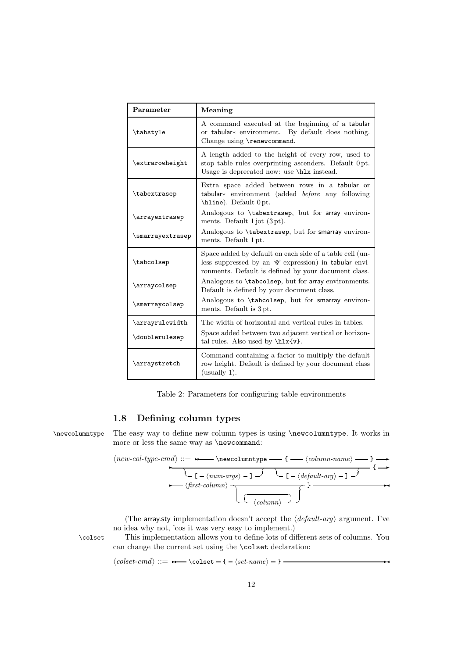| Parameter        | Meaning                                                                                                                                                                    |
|------------------|----------------------------------------------------------------------------------------------------------------------------------------------------------------------------|
| \tabstyle        | A command executed at the beginning of a tabular<br>or tabular * environment. By default does nothing.<br>Change using \renewcommand.                                      |
| \extrarowheight  | A length added to the height of every row, used to<br>stop table rules overprinting ascenders. Default 0pt.<br>Usage is deprecated now: use \hlx instead.                  |
| \tabextrasep     | Extra space added between rows in a tabular or<br>tabular* environment (added before any following<br>\hline). Default 0pt.                                                |
| \arrayextrasep   | Analogous to \tabextrasep, but for array environ-<br>ments. Default $1$ jot $(3pt)$ .                                                                                      |
| \smarrayextrasep | Analogous to \tabextrasep, but for smarray environ-<br>ments. Default 1 pt.                                                                                                |
| \tabcolsep       | Space added by default on each side of a table cell (un-<br>less suppressed by an '@'-expression) in tabular envi-<br>ronments. Default is defined by your document class. |
| \arraycolsep     | Analogous to \tabcolsep, but for array environments.<br>Default is defined by your document class.                                                                         |
| \smarraycolsep   | Analogous to \tabcolsep, but for smarray environ-<br>ments. Default is 3 pt.                                                                                               |
| \arrayrulewidth  | The width of horizontal and vertical rules in tables.                                                                                                                      |
| \doublerulesep   | Space added between two adjacent vertical or horizon-<br>tal rules. Also used by $\hbar x \{v\}$ .                                                                         |
| \arraystretch    | Command containing a factor to multiply the default<br>row height. Default is defined by your document class<br>$($ usually 1 $).$                                         |

Table 2: Parameters for configuring table environments

#### 1.8 Defining column types

\newcolumntype The easy way to define new column types is using \newcolumntype. It works in more or less the same way as \newcommand:

$$
\langle new-col-type-cmd \rangle ::= \longleftarrow \langle newcolumntype \longrightarrow \{\longrightarrow \langle column\text{-}name \rangle \longrightarrow \} \longrightarrow \{\longrightarrow \text{ } \{\longrightarrow \text{ } \{\text{-}comm\} \cup \{\text{-}colorum\} \} } \longrightarrow \{\text{-}colorum\} \longrightarrow \langle first\text{-}column \rangle \longrightarrow \{\text{-}colorum\} \longrightarrow \{\text{-}colorum\} \longrightarrow \{\text{-}colorum\} \longrightarrow \{\text{-}colorum\} \longrightarrow \{\text{-}colorum\} \longrightarrow \{\text{-}colorum\} \longrightarrow \{\text{-}colorum\} \longrightarrow \{\text{-}colorum\} \longrightarrow \{\text{-}colorum\} \longrightarrow \{\text{-}colorum\} \longrightarrow \{\text{-}colorum\} \longrightarrow \{\text{-}colorum\} \longrightarrow \{\text{-}colorum\} \longrightarrow \{\text{-}colorum\} \longrightarrow \{\text{-}colorum\} \longrightarrow \{\text{-}colorum\} \longrightarrow \{\text{-}colorum\} \longrightarrow \{\text{-}colorum\} \longrightarrow \{\text{-}colorum\} \longrightarrow \{\text{-}colorum\} \longrightarrow \{\text{-}colorum\} \longrightarrow \{\text{-}colorum\} \longrightarrow \{\text{-}colorum\} \longrightarrow \{\text{-}colorum\} \longrightarrow \{\text{-}colorum\} \longrightarrow \{\text{-}colorum\} \longrightarrow \{\text{-}colorum\} \longrightarrow \{\text{-}colorum\} \longrightarrow \{\text{-}colorum\} \longrightarrow \{\text{-}colorum\} \longrightarrow \{\text{-}colorum\} \longrightarrow \{\text{-}colorum\} \longrightarrow \{\text{-}colorum\} \longrightarrow \{\text{-}colorum\} \longrightarrow \{\text{-}colorum\} \longrightarrow \{\text{-}colorum\} \longrightarrow \{\text{-}colorum\} \longrightarrow \{\text{-}colorum\} \longrightarrow \{\text{-}colorum\} \longrightarrow \{\text{-}colorum\} \longrightarrow \{\text{-}colorum\} \longrightarrow \{\text{-}colorum\} \longrightarrow \{\text{-}colorum\} \longrightarrow \{\text{-}colorum\} \longrightarrow \{\text{-}colorum\} \longrightarrow \{\text{-}colorum\} \longrightarrow \{\text{-}colorum\} \longrightarrow \{\text{-}colorum\} \longrightarrow \{\text{-}colorum\} \longrightarrow \{\text{-}colorum\} \longrightarrow \{\text{-}colorum\} \longrightarrow \{\text{-}colorum\} \longrightarrow \{\text{-}colorum\} \longrightarrow \{\text{-}colorum\} \longrightarrow \{\text{-}colorum\} \longrightarrow \{\text{-}colorum\} \longrightarrow \{\text{-}colorum\} \longrightarrow \{\text{-}colorum\} \longrightarrow \{\text{-}colorum\} \longrightarrow \{\text{-}colorum\} \
$$

(The array.sty implementation doesn't accept the  $\langle$  *default-arg* $\rangle$  argument. I've no idea why not, 'cos it was very easy to implement.)

\colset This implementation allows you to define lots of different sets of columns. You can change the current set using the \colset declaration:

 $\langle \textit{colset-cmd} \rangle ::= \rightarrow \text{colset -} {-} \langle \textit{set-name} \rangle - \}$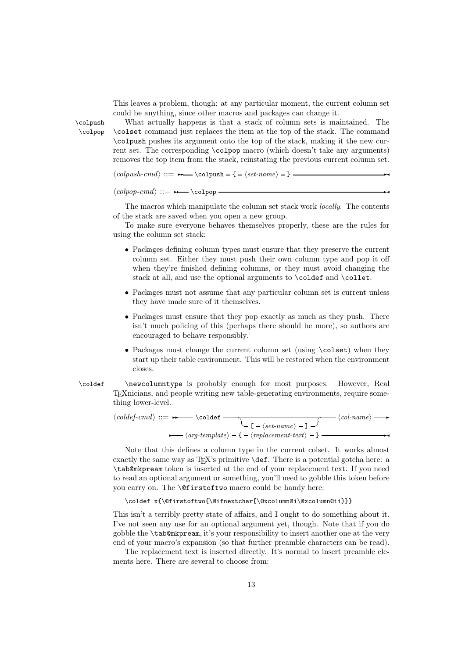This leaves a problem, though: at any particular moment, the current column set could be anything, since other macros and packages can change it.

\colpush What actually happens is that a stack of column sets is maintained. The \colpop \colset command just replaces the item at the top of the stack. The command \colpush pushes its argument onto the top of the stack, making it the new current set. The corresponding \colpop macro (which doesn't take any arguments) removes the top item from the stack, reinstating the previous current column set.

 $\langle \textit{colpush-cmd} \rangle ::= \rightarrow \cdot \cdot \cdot \cdot \cdot \cdot \cdot \cdot \cdot \cdot \cdot$ 

 $\langle \text{colpop-cmd} \rangle ::= \rightarrow \cdot \cdot \cdot$ 

The macros which manipulate the column set stack work *locally*. The contents of the stack are saved when you open a new group.

To make sure everyone behaves themselves properly, these are the rules for using the column set stack:

- Packages defining column types must ensure that they preserve the current column set. Either they must push their own column type and pop it off when they're finished defining columns, or they must avoid changing the stack at all, and use the optional arguments to \coldef and \collet.
- Packages must not assume that any particular column set is current unless they have made sure of it themselves.
- Packages must ensure that they pop exactly as much as they push. There isn't much policing of this (perhaps there should be more), so authors are encouraged to behave responsibly.
- Packages must change the current column set (using \colset) when they start up their table environment. This will be restored when the environment closes.
- \coldef \newcolumntype is probably enough for most purposes. However, Real TEXnicians, and people writing new table-generating environments, require something lower-level.

$$
\langle \textit{coldef-cmd} \rangle ::= \longrightarrow \text{coldef} \qquad \qquad \underbrace{\langle \textit{col-name} \rangle - 1 \rightarrow} \langle \textit{col-name} \rangle \longrightarrow \langle \textit{arg-template} \rangle - 1 \rightarrow \langle \textit{arg-template} \rangle - 1 \rightarrow \langle \textit{col-name} \rangle - 1 \rightarrow \langle \textit{col-name} \rangle - 1 \rightarrow \langle \textit{col-name} \rangle - 1 \rightarrow \langle \textit{col-name} \rangle - 1 \rightarrow \langle \textit{col-name} \rangle - 1 \rightarrow \langle \textit{col-name} \rangle - 1 \rightarrow \langle \textit{col-name} \rangle - 1 \rightarrow \langle \textit{col-name} \rangle - 1 \rightarrow \langle \textit{col-name} \rangle - 1 \rightarrow \langle \textit{col-name} \rangle - 1 \rightarrow \langle \textit{col-name} \rangle - 1 \rightarrow \langle \textit{col-name} \rangle - 1 \rightarrow \langle \textit{col-name} \rangle - 1 \rightarrow \langle \textit{col-name} \rangle - 1 \rightarrow \langle \textit{col-name} \rangle - 1 \rightarrow \langle \textit{col-name} \rangle - 1 \rightarrow \langle \textit{col-name} \rangle - 1 \rightarrow \langle \textit{col-name} \rangle - 1 \rightarrow \langle \textit{col-name} \rangle - 1 \rightarrow \langle \textit{col-name} \rangle - 1 \rightarrow \langle \textit{col-name} \rangle - 1 \rightarrow \langle \textit{col-name} \rangle - 1 \rightarrow \langle \textit{col-name} \rangle - 1 \rightarrow \langle \textit{col-name} \rangle - 1 \rightarrow \langle \textit{col-name} \rangle - 1 \rightarrow \langle \textit{col-name} \rangle - 1 \rightarrow \langle \textit{col-name} \rangle - 1 \rightarrow \langle \textit{col-name} \rangle - 1 \rightarrow \langle \textit{col-name} \rangle - 1 \rightarrow \langle \textit{col-name} \rangle - 1 \rightarrow \langle \textit{col-name} \rangle - 1 \rightarrow \langle \textit{col-name} \rangle - 1 \rightarrow \langle \textit{col-name} \rangle - 1 \rightarrow \langle \textit{col-name} \rangle - 1 \rightarrow \langle \textit{col-name} \rangle - 1 \rightarrow \langle \textit{col-name} \rangle - 1 \rightarrow \langle \textit{col-name} \rangle - 1 \rightarrow \langle \textit{col-name} \rangle - 1 \rightarrow \langle \textit{col-name} \rangle - 1 \rightarrow
$$

Note that this defines a column type in the current colset. It works almost exactly the same way as  $T_F X$ 's primitive  $\det$ . There is a potential gotcha here: a \tab@mkpream token is inserted at the end of your replacement text. If you need to read an optional argument or something, you'll need to gobble this token before you carry on. The \@firstoftwo macro could be handy here:

\coldef x{\@firstoftwo{\@ifnextchar[\@xcolumn@i\@xcolumn@ii}}}

This isn't a terribly pretty state of affairs, and I ought to do something about it. I've not seen any use for an optional argument yet, though. Note that if you do gobble the \tab@mkpream, it's your responsibility to insert another one at the very end of your macro's expansion (so that further preamble characters can be read).

The replacement text is inserted directly. It's normal to insert preamble elements here. There are several to choose from: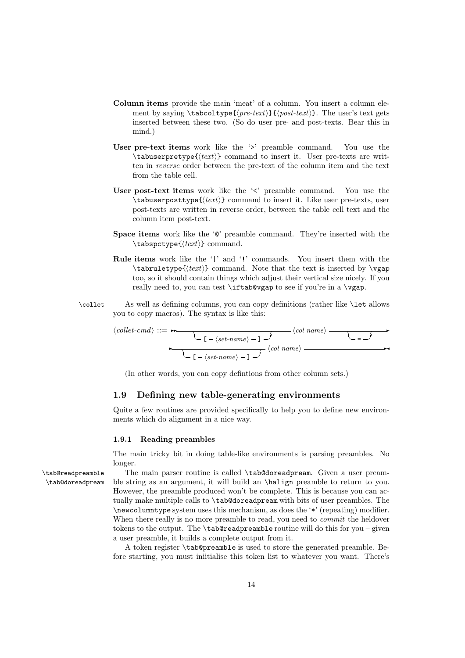- Column items provide the main 'meat' of a column. You insert a column element by saying  $\table{pre{pre-text}}{\{post-text\}.$  The user's text gets inserted between these two. (So do user pre- and post-texts. Bear this in mind.)
- User pre-text items work like the '>' preamble command. You use the \tabuserpretype{*text*} command to insert it. User pre-texts are written in *reverse* order between the pre-text of the column item and the text from the table cell.
- User post-text items work like the 's' preamble command. You use the \tabuserposttype{*text*} command to insert it. Like user pre-texts, user post-texts are written in reverse order, between the table cell text and the column item post-text.
- **Space items** work like the  $\mathscr{C}$  preamble command. They're inserted with the \tabspctype{*text*} command.
- Rule items work like the '|' and '!' commands. You insert them with the \tabruletype{*text*} command. Note that the text is inserted by \vgap too, so it should contain things which adjust their vertical size nicely. If you really need to, you can test \iftab@vgap to see if you're in a \vgap.
- \collet As well as defining columns, you can copy definitions (rather like \let allows you to copy macros). The syntax is like this:

*collet-cmd* ::=✲✲ ☎ ✝ [ *set-name* ] ✆ ✞ *col-name* ☎ ✝ = ✆ ✞ ✲ ✲ ☎ ✝ [ *set-name* ] ✆ ✞ *col-name* ✲✛

(In other words, you can copy defintions from other column sets.)

#### 1.9 Defining new table-generating environments

Quite a few routines are provided specifically to help you to define new environments which do alignment in a nice way.

#### 1.9.1 Reading preambles

The main tricky bit in doing table-like environments is parsing preambles. No longer.

\tab@readpreamble The main parser routine is called \tab@doreadpream. Given a user pream- \tab@doreadpream ble string as an argument, it will build an \halign preamble to return to you. However, the preamble produced won't be complete. This is because you can actually make multiple calls to \tab@doreadpream with bits of user preambles. The \newcolumntype system uses this mechanism, as does the '\*' (repeating) modifier. When there really is no more preamble to read, you need to *commit* the heldover tokens to the output. The  $\table$ tab@readpreamble routine will do this for you – given a user preamble, it builds a complete output from it.

> A token register \tab@preamble is used to store the generated preamble. Before starting, you must iniitialise this token list to whatever you want. There's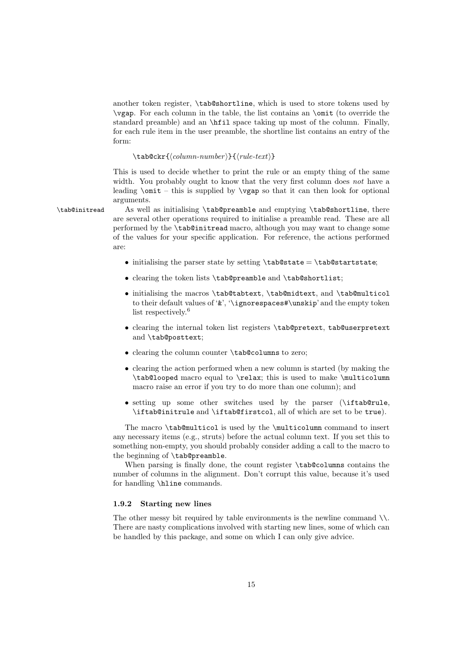another token register, \tab@shortline, which is used to store tokens used by \vgap. For each column in the table, the list contains an \omit (to override the standard preamble) and an \hfil space taking up most of the column. Finally, for each rule item in the user preamble, the shortline list contains an entry of the form:

#### \tab@ckr{*column-number* }{*rule-text*}

This is used to decide whether to print the rule or an empty thing of the same width. You probably ought to know that the very first column does *not* have a leading  $\mathrm{unit}$  – this is supplied by  $\varepsilon$  so that it can then look for optional arguments.

\tab@initread As well as initialising \tab@preamble and emptying \tab@shortline, there are several other operations required to initialise a preamble read. These are all performed by the \tab@initread macro, although you may want to change some of the values for your specific application. For reference, the actions performed are:

- initialising the parser state by setting  $\tabularlines{1} tab@state = \tab@startstate;$
- clearing the token lists \tab@preamble and \tab@shortlist;
- initialising the macros \tab@tabtext, \tab@midtext, and \tab@multicol to their default values of '&', '\ignorespaces#\unskip' and the empty token list respectively.<sup>6</sup>
- clearing the internal token list registers \tab@pretext, tab@userpretext and \tab@posttext;
- clearing the column counter \tab@columns to zero;
- clearing the action performed when a new column is started (by making the \tab@looped macro equal to \relax; this is used to make \multicolumn macro raise an error if you try to do more than one column); and
- setting up some other switches used by the parser (\iftab@rule, \iftab@initrule and \iftab@firstcol, all of which are set to be true).

The macro \tab@multicol is used by the \multicolumn command to insert any necessary items (e.g., struts) before the actual column text. If you set this to something non-empty, you should probably consider adding a call to the macro to the beginning of \tab@preamble.

When parsing is finally done, the count register \tab@columns contains the number of columns in the alignment. Don't corrupt this value, because it's used for handling \hline commands.

#### 1.9.2 Starting new lines

The other messy bit required by table environments is the newline command  $\setminus\mathcal{N}$ . There are nasty complications involved with starting new lines, some of which can be handled by this package, and some on which I can only give advice.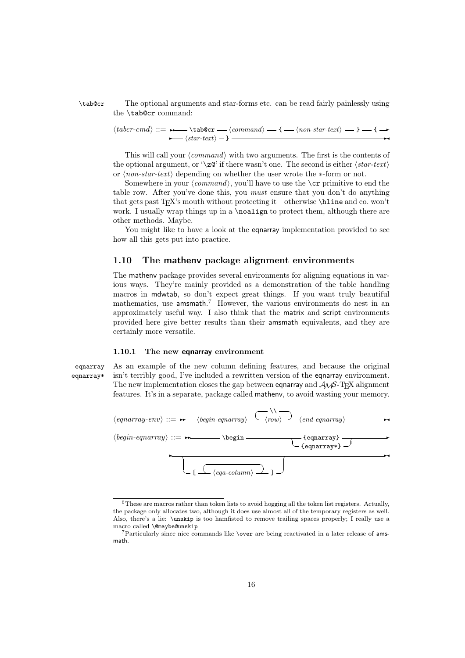\tab@cr The optional arguments and star-forms etc. can be read fairly painlessly using the \tab@cr command:

> $\langle \textit{taber-cmd} \rangle ::= \rightarrow \textit{tab@cr} \longrightarrow \langle \textit{command} \rangle \longrightarrow \{-\langle \textit{non-star-text} \rangle \longrightarrow \} \longrightarrow \rightarrow$  $\left\langle \frac{\sin \tan \tan \tan \theta}{\sin \tan \tan \theta} \right\rangle$   $\left\langle \frac{\sin \tan \tan \tan \theta}{\sin \tan \theta} \right\rangle$

This will call your *(command)* with two arguments. The first is the contents of the optional argument, or ' $\langle z\mathbb{Q}^{\dagger}$  if there wasn't one. The second is either  $\langle star-text \rangle$ or  $\langle$ *non-star-text* $\rangle$  depending on whether the user wrote the ∗-form or not.

Somewhere in your  $\langle command \rangle$ , you'll have to use the  $\c{c}$  primitive to end the table row. After you've done this, you *must* ensure that you don't do anything that gets past T<sub>EX</sub>'s mouth without protecting it – otherwise  $\hbar$  and co. won't work. I usually wrap things up in a \noalign to protect them, although there are other methods. Maybe.

You might like to have a look at the **eqnarray** implementation provided to see how all this gets put into practice.

#### 1.10 The mathenv package alignment environments

The mathenv package provides several environments for aligning equations in various ways. They're mainly provided as a demonstration of the table handling macros in mdwtab, so don't expect great things. If you want truly beautiful mathematics, use amsmath.<sup>7</sup> However, the various environments do nest in an approximately useful way. I also think that the matrix and script environments provided here give better results than their amsmath equivalents, and they are certainly more versatile.

#### 1.10.1 The new eqnarray environment

eqnarray As an example of the new column defining features, and because the original eqnarray\* isn't terribly good, I've included a rewritten version of the eqnarray environment. The new implementation closes the gap between equalization and  $\mathcal{A}\mathcal{N}$ -T<sub>E</sub>X alignment features. It's in a separate, package called mathenv, to avoid wasting your memory.



<sup>6</sup>These are macros rather than token lists to avoid hogging all the token list registers. Actually, the package only allocates two, although it does use almost all of the temporary registers as well. Also, there's a lie: \unskip is too hamfisted to remove trailing spaces properly; I really use a macro called \@maybe@unskip

<sup>7</sup>Particularly since nice commands like \over are being reactivated in a later release of amsmath.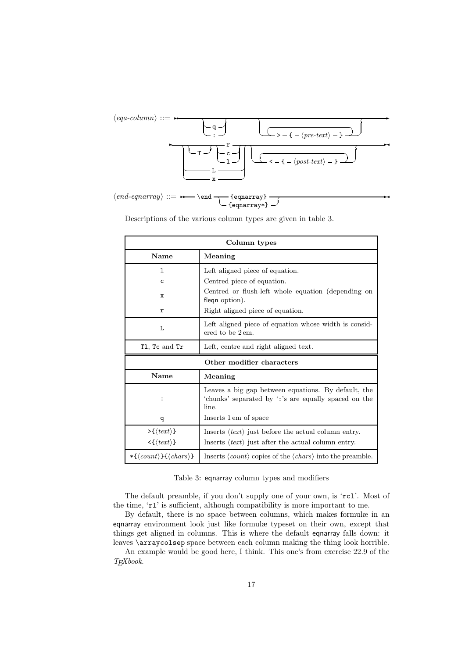

Descriptions of the various column types are given in table 3.

| Column types                           |                                                                                                              |  |  |
|----------------------------------------|--------------------------------------------------------------------------------------------------------------|--|--|
| Name                                   | Meaning                                                                                                      |  |  |
| 1                                      | Left aligned piece of equation.                                                                              |  |  |
| C                                      | Centred piece of equation.                                                                                   |  |  |
| x                                      | Centred or flush-left whole equation (depending on<br>fleqn option).                                         |  |  |
| r                                      | Right aligned piece of equation.                                                                             |  |  |
| L                                      | Left aligned piece of equation whose width is consid-<br>ered to be $2 \text{em}$ .                          |  |  |
| T1, Tc and Tr                          | Left, centre and right aligned text.                                                                         |  |  |
|                                        | Other modifier characters                                                                                    |  |  |
| Name                                   | Meaning                                                                                                      |  |  |
| :                                      | Leaves a big gap between equations. By default, the<br>'chunks' separated by ': 's are equally spaced on the |  |  |
|                                        | line.                                                                                                        |  |  |
| q                                      | Inserts 1 em of space                                                                                        |  |  |
| $\rightarrow \{\langle text \rangle\}$ | Inserts $\langle text \rangle$ just before the actual column entry.                                          |  |  |
| $\langle \{ (text) \}$                 | Inserts $\langle text \rangle$ just after the actual column entry.                                           |  |  |

#### Table 3: eqnarray column types and modifiers

The default preamble, if you don't supply one of your own, is 'rcl'. Most of the time, 'rl' is sufficient, although compatibility is more important to me.

By default, there is no space between columns, which makes formulæ in an eqnarray environment look just like formulæ typeset on their own, except that things get aligned in columns. This is where the default eqnarray falls down: it leaves \arraycolsep space between each column making the thing look horrible.

An example would be good here, I think. This one's from exercise 22.9 of the *TEXbook*.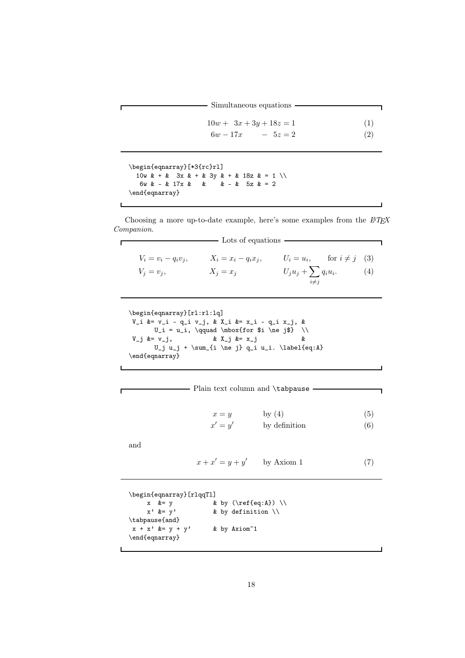| - Simultaneous equations |
|--------------------------|
|--------------------------|

 $10w + 3x + 3y + 18z = 1$  (1)  $6w - 17x - 5z = 2$  (2)

 $\overline{\mathbf{1}}$ 

 $\overline{\phantom{a}}$ 

```
\begin{eqnarray}[*3{rc}rl]
  10w & + & 3x & + & 3y & + & 18z & = 1 \\
  6w & - & 17x & 8 & 8\end{eqnarray}
```
 $\mathsf{r}$ 

 $\mathbf{I}$ 

 $\Gamma$ 

 $\mathsf{L}$ 

 $\mathbf{I}$ 

Choosing a more up-to-date example, here's some examples from the  $\cancel{B TEX}$ *Companion*.

|                        | Lots of equations      |                       |                                  |     |
|------------------------|------------------------|-----------------------|----------------------------------|-----|
| $V_i = v_i - q_i v_i,$ | $X_i = x_i - q_i x_i,$ |                       | $U_i = u_i$ , for $i \neq j$ (3) |     |
| $V_i = v_i$            | $X_i = x_i$            | $U_ju_j+\sum q_iu_i.$ |                                  | (4) |
|                        |                        | $i \neq i$            |                                  |     |

```
\begin{eqnarray}[rl:rl:lq]
V_i &= v_i - q_i v_j, & X_i &= x_i - q_i x_j, &
U_i = u_i, \qquad \hbox{for $i \neq j$} \ \vee \ y_j \&= v_j, \qquad \& X_j \&= x_j \qquad \& \qquad& X_j & x_j & &
       U_j u_j + \sum_{i \ne j} q_i u_i. \label{eq:A}
\end{eqnarray}
```

|                                        |                              | Plain text column and \tabpause |     |
|----------------------------------------|------------------------------|---------------------------------|-----|
|                                        | $x = y$<br>$x' = y'$         | by $(4)$                        | (5) |
|                                        |                              | by definition                   | (6) |
| and                                    |                              |                                 |     |
|                                        | $x + x' = y + y'$ by Axiom 1 |                                 |     |
|                                        |                              |                                 |     |
| \begin{eqnarray}[rlqqTl]               |                              |                                 |     |
| $x \&= y$                              | & by $(\ref{eq:A}) \ \}{\$   |                                 |     |
| $x'$ &= $y'$                           | & by definition $\setminus$  |                                 |     |
| \tabpause{and}                         |                              |                                 |     |
| $x + x'$ &= $y + y'$<br>\end{eqnarray} | & by Axiom~1                 |                                 |     |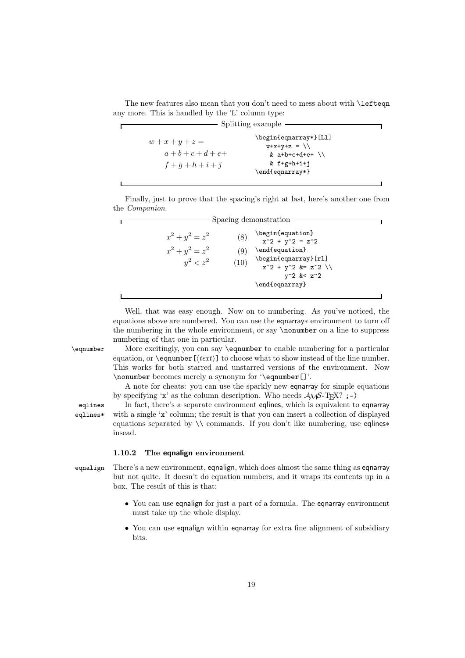The new features also mean that you don't need to mess about with **\lefteqn** any more. This is handled by the 'L' column type:

┑

| Splitting example                                                   |                                                                                                                 |  |
|---------------------------------------------------------------------|-----------------------------------------------------------------------------------------------------------------|--|
| $w + x + y + z = 0$<br>$a + b + c + d + e +$<br>$f + q + h + i + j$ | \begin{eqnarray*}[Ll]<br>$V+X+Y+Z = \ \ \ \ \ \ \ \ \$<br>& $a+b+c+d+e+$ \\<br>$& f+g+h+i+i$<br>\end{eqnarray*} |  |
|                                                                     |                                                                                                                 |  |

Finally, just to prove that the spacing's right at last, here's another one from the *Companion*.

|                                                       |                    | Spacing demonstration                                                                                      |  |
|-------------------------------------------------------|--------------------|------------------------------------------------------------------------------------------------------------|--|
| $x^2 + y^2 = z^2$<br>$x^2 + y^2 = z^2$<br>$y^2 < z^2$ | (8)<br>(9)<br>(10) | \begin{equation}<br>$x^2 + y^2 = z^2$<br>\end{equation}<br>\begin{eqnarray}[rl]<br>$x^2 + y^2$ &= $z^2$ \\ |  |
|                                                       |                    | $y^2$ & z <sup>2</sup><br>\end{eqnarray}                                                                   |  |

Well, that was easy enough. Now on to numbering. As you've noticed, the equations above are numbered. You can use the eqnarray∗ environment to turn off the numbering in the whole environment, or say \nonumber on a line to suppress numbering of that one in particular.

\eqnumber More excitingly, you can say \eqnumber to enable numbering for a particular equation, or  $\equiv$   $\left(\frac{text}{\right)}$  to choose what to show instead of the line number. This works for both starred and unstarred versions of the environment. Now \nonumber becomes merely a synonym for '\eqnumber[]'.

> A note for cheats: you can use the sparkly new eqnarray for simple equations by specifying 'x' as the column description. Who needs  $A\mathcal{W}S$ -TFX? ;-)

eqlines In fact, there's a separate environment eqlines, which is equivalent to eqnarray eqlines\* with a single 'x' column; the result is that you can insert a collection of displayed equations separated by \\ commands. If you don't like numbering, use eqlines∗ insead.

#### 1.10.2 The eqnalign environment

equalign There's a new environment, equalign, which does almost the same thing as equality but not quite. It doesn't do equation numbers, and it wraps its contents up in a box. The result of this is that:

- You can use eqnalign for just a part of a formula. The eqnarray environment must take up the whole display.
- You can use eqnalign within eqnarray for extra fine alignment of subsidiary bits.

 $\overline{r}$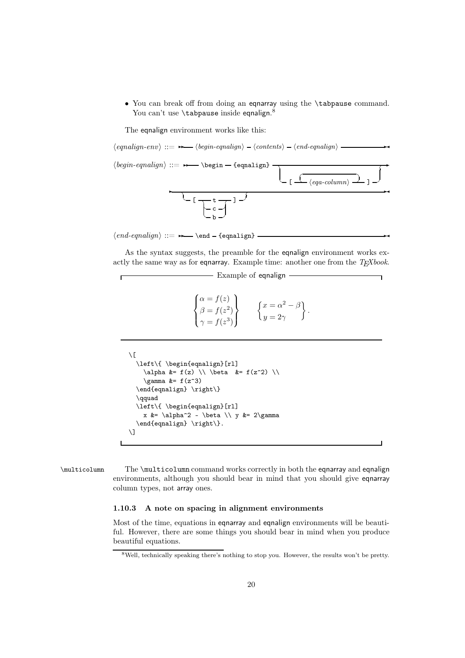• You can break off from doing an eqnarray using the \tabpause command. You can't use **\tabpause** inside <code>eqnalign.8</code>

The equalign environment works like this:

 $\langle{\it equalign-env}\rangle ::= \rightarrow{\quad} \langle{\it begin-equalign}\rangle - \langle{\it contents}\rangle - \langle{\it end-equalign}\rangle$  $\langle begin\ -gnalign \rangle ::= \rightarrow \begin{equation} -\end{equation}$  $\overline{\phantom{a}}$  $\overline{\phantom{a}}$  $\left\langle \text{eqa-column} \right\rangle \rightarrow 1 \rightarrow$ ✞✲  $\overline{\phantom{a}}$  $\overline{C}$  [  $\overline{\overline{C}}$  t  $\sim$  c  $\sim$  $- b \sim$  ]  $\sim$  $\sqrt{2}$ 

 $\langle end\text{-}equalign \rangle ::= \rightarrow \text{end -}\{equalign}$  –

As the syntax suggests, the preamble for the eqnalign environment works exactly the same way as for eqnarray. Example time: another one from the *TEXbook*.

**Example of eqnalign** –

```
\sqrt{ }\int\overline{I}\alpha = f(z)\beta = f(z^2)\gamma = f(z^3)\mathcal{L}\overline{\mathcal{L}}\int\int x = \alpha^2 - \betay=2\gamma\Big\} .
```

```
\setminus[
  \left\{ \begin{eqnalign}[rl]
    \alpha &= f(z) \\ \beta &= f(z^2) \\
    \gamma &= f(z^3)
  \end{eqnalign} \right\}
  \qquad
  \left\{ \begin{eqnalign}[rl]
    x \&= \alpha^2 - \beta \ \ y \&= 2\gamma\end{eqnalign} \right\}.
\setminus]
```
\multicolumn The \multicolumn command works correctly in both the eqnarray and eqnalign environments, although you should bear in mind that you should give eqnarray column types, not array ones.

#### 1.10.3 A note on spacing in alignment environments

Most of the time, equations in eqnarray and eqnalign environments will be beautiful. However, there are some things you should bear in mind when you produce beautiful equations.

<sup>8</sup>Well, technically speaking there's nothing to stop you. However, the results won't be pretty.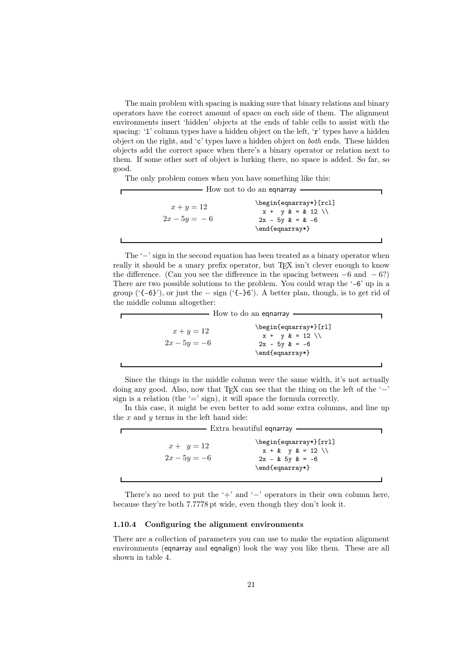The main problem with spacing is making sure that binary relations and binary operators have the correct amount of space on each side of them. The alignment environments insert 'hidden' objects at the ends of table cells to assist with the spacing: 'l' column types have a hidden object on the left, 'r' types have a hidden object on the right, and 'c' types have a hidden object on *both* ends. These hidden objects add the correct space when there's a binary operator or relation next to them. If some other sort of object is lurking there, no space is added. So far, so good.

The only problem comes when you have something like this:

| How not to do an equarray      |                                                                 |  |
|--------------------------------|-----------------------------------------------------------------|--|
| $x + y = 12$<br>$2x - 5y = -6$ | \begin{eqnarray*}[rcl]<br>$2x - 5y$ & = & -6<br>\end{eqnarray*} |  |
|                                |                                                                 |  |

The '−' sign in the second equation has been treated as a binary operator when really it should be a unary prefix operator, but T<sub>EX</sub> isn't clever enough to know the difference. (Can you see the difference in the spacing between  $-6$  and  $-6$ ?) There are two possible solutions to the problem. You could wrap the '-6' up in a group (' $\{-6\}$ '), or just the − sign (' $\{-6\}$ '). A better plan, though, is to get rid of the middle column altogether:

|                                | How to do an equarray                                                                             |
|--------------------------------|---------------------------------------------------------------------------------------------------|
| $x + y = 12$<br>$2x - 5y = -6$ | \begin{eqnarray*}[rl]<br>$x + y & = 12 \ \ \backslash \$<br>$2x - 5y$ $k = -6$<br>\end{eqnarray*} |
|                                |                                                                                                   |

Since the things in the middle column were the same width, it's not actually doing any good. Also, now that T<sub>EX</sub> can see that the thing on the left of the ' $-$ ' sign is a relation (the  $\epsilon$  = sign), it will space the formula correctly.

In this case, it might be even better to add some extra columns, and line up the  $x$  and  $y$  terms in the left hand side:

| Extra beautiful egnarray |                           |
|--------------------------|---------------------------|
| $x + y = 12$             | \begin{eqnarray*}[rrl]    |
| $2x - 5y = -6$           | $x + k$ $y k = 12 \ \ \}$ |
| \end{eqnarray*}          | $2x - k$ 5y $k = -6$      |

There's no need to put the '+' and '−' operators in their own column here, because they're both 7.7778 pt wide, even though they don't look it.

#### 1.10.4 Configuring the alignment environments

There are a collection of parameters you can use to make the equation alignment environments (eqnarray and eqnalign) look the way you like them. These are all shown in table 4.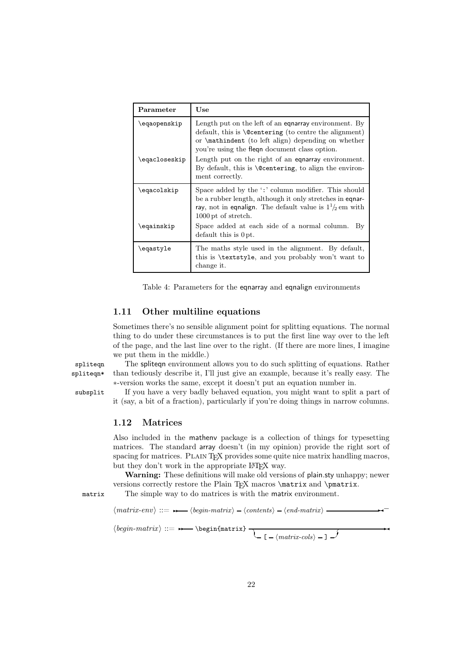| Parameter     | Use                                                                                                                                                                                                                                    |
|---------------|----------------------------------------------------------------------------------------------------------------------------------------------------------------------------------------------------------------------------------------|
| \eqaopenskip  | Length put on the left of an equarray environment. By<br>default, this is $\text{Centering}$ (to centre the alignment)<br>or <b>\mathindent</b> (to left align) depending on whether<br>you're using the fleque document class option. |
| \eqacloseskip | Length put on the right of an equarray environment.<br>By default, this is $\Diamond$ centering, to align the environ-<br>ment correctly.                                                                                              |
| \eqacolskip   | Space added by the ':' column modifier. This should<br>be a rubber length, although it only stretches in equar-<br>ray, not in equalign. The default value is $1\frac{1}{2}$ em with<br>1000 pt of stretch.                            |
| \eqainskip    | Space added at each side of a normal column.<br>Вy<br>$default this$ is $0pt.$                                                                                                                                                         |
| \eqastyle     | The maths style used in the alignment. By default,<br>this is \textstyle, and you probably won't want to<br>change it.                                                                                                                 |

Table 4: Parameters for the eqnarray and eqnalign environments

#### 1.11 Other multiline equations

Sometimes there's no sensible alignment point for splitting equations. The normal thing to do under these circumstances is to put the first line way over to the left of the page, and the last line over to the right. (If there are more lines, I imagine we put them in the middle.)

spliteqn The spliteqn environment allows you to do such splitting of equations. Rather spliteqn\* than tediously describe it, I'll just give an example, because it's really easy. The ∗-version works the same, except it doesn't put an equation number in.

subsplit If you have a very badly behaved equation, you might want to split a part of it (say, a bit of a fraction), particularly if you're doing things in narrow columns.

#### 1.12 Matrices

Also included in the mathenv package is a collection of things for typesetting matrices. The standard array doesn't (in my opinion) provide the right sort of spacing for matrices. PLAIN T<sub>EX</sub> provides some quite nice matrix handling macros, but they don't work in the appropriate LAT<sub>E</sub>X way.

Warning: These definitions will make old versions of plain.sty unhappy; newer versions correctly restore the Plain TFX macros \matrix and \pmatrix.

matrix The simple way to do matrices is with the matrix environment.

 $\langle matrix-env \rangle ::= \rightarrow \langle begin-matrix \rangle - \langle contents \rangle - \langle end-matrix \rangle$ 

 $\langle begin-matrix\rangle ::=$   $\rightarrow$  \begin{matrix}  $\rightarrow$ 

 $\setminus$  [ -  $\langle$ *matrix-cols* $\rangle$  - ]  $\rightarrow$  $\overline{\phantom{a}}$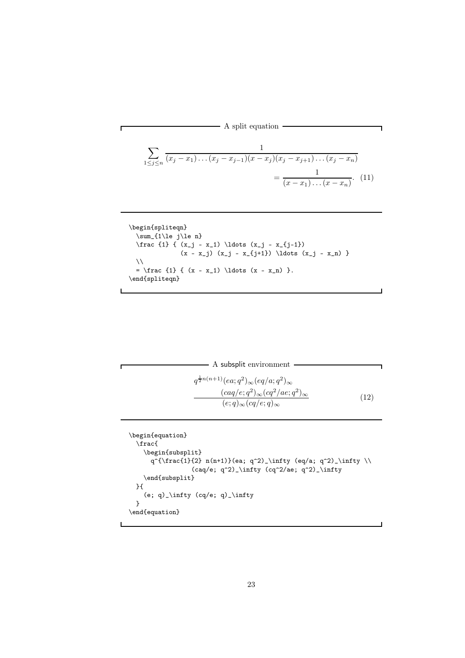$\overline{\phantom{a}}$  A split equation  $\overline{\phantom{a}}$ 

$$
\sum_{1 \le j \le n} \frac{1}{(x_j - x_1) \dots (x_j - x_{j-1})(x - x_j)(x_j - x_{j+1}) \dots (x_j - x_n)} = \frac{1}{(x - x_1) \dots (x - x_n)}.
$$
(11)

 $\blacksquare$ 

```
\begin{spliteqn}
  \sum_{1\le j\le n}\frac {1} { (x_j - x_1) \ldots (x_j - x_{j-1})(x - x_j) (x_j - x_{j+1}) \ldots (x_j - x_n) }
 \lambda\lambda= \frac {1} { (x - x_1) \ldots (x - x_n) }.
\end{spliteqn}
```

```
- A subsplit environment -
q^{\frac{1}{2}n(n+1)}(ea;q^2)_{\infty}(eq/a;q^2)_{\infty}(c a q/e; q^2)_{\infty} (cq^2/ae; q^2)_{\infty}(e;q)_{\infty}(cq/e;q)_{\infty}(12)
```
Г

```
\begin{equation}
 \frac{
   \begin{subsplit}
      q^{\frac{1}{2} n(n+1)}(ea; q^2)_\infty (eq/a; q^2)_\infty \\
                 (caq/e; q^2)_\infty (cq^2/ae; q^2)_\infty
   \end{subsplit}
 }{
    (e; q) \infty (cq/e; q) \infty
  }
\end{equation}
```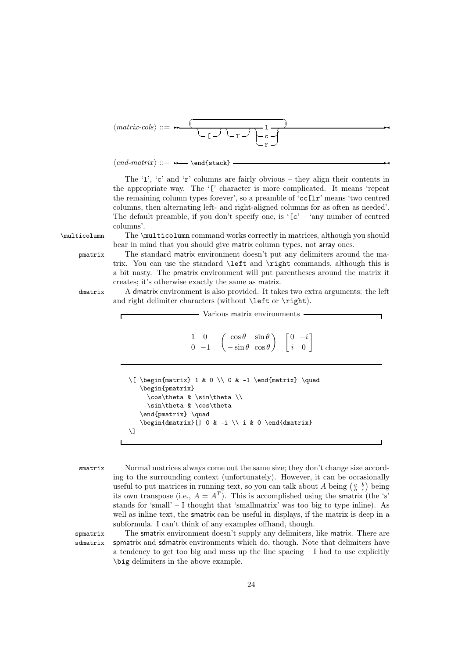*matrix-cols* ::=✲✲ ✞ ☎ ✝ ☎ ✝ [ ✆ ✞☎ ✝ T ✆ ✞☎ l ✝ c ✆ ✝ r ✆ ✞ ✆ ✲✛

 $\langle end-matrix \ ::= \ \ \ \ \ \ \ \$ 

The '1', 'c' and 'r' columns are fairly obvious – they align their contents in the appropriate way. The '[' character is more complicated. It means 'repeat the remaining column types forever', so a preamble of 'cc[lr' means 'two centred columns, then alternating left- and right-aligned columns for as often as needed'. The default preamble, if you don't specify one, is  $E^c - i$  any number of centred columns'.

\multicolumn The \multicolumn command works correctly in matrices, although you should bear in mind that you should give matrix column types, not array ones.

pmatrix The standard matrix environment doesn't put any delimiters around the matrix. You can use the standard \left and \right commands, although this is a bit nasty. The pmatrix environment will put parentheses around the matrix it creates; it's otherwise exactly the same as matrix.

dmatrix A dmatrix environment is also provided. It takes two extra arguments: the left and right delimiter characters (without **\left** or **\right**).

| Various matrix environments                                                                                                  |   |               |                                                 |
|------------------------------------------------------------------------------------------------------------------------------|---|---------------|-------------------------------------------------|
| 1                                                                                                                            | 0 | $\cos \theta$ | $\begin{bmatrix} 0 & -i \\ i & 0 \end{bmatrix}$ |
| \n $\sqrt{\begin{bmatrix} \begin{bmatrix} \begin{bmatrix} 0 & -i \\ 0 & -1 \end{bmatrix} \end{bmatrix}}$ \n                  |   |               |                                                 |
| \n $\begin{bmatrix} \begin{bmatrix} \begin{bmatrix} \begin{bmatrix} 0 & 0 \\ 0 & 0 \\ 0 & 0 \end{bmatrix} \end{bmatrix}}$ \n |   |               |                                                 |
| \n $\begin{bmatrix} \begin{bmatrix} \begin{bmatrix} \begin{bmatrix} 0 \\ 0 \\ 0 \\ 0 \\ 0 \end{bmatrix} \end{bmatrix}$ \n    |   |               |                                                 |
| \n $\begin{bmatrix} \begin{bmatrix} \begin{bmatrix} \begin{bmatrix} 0 \\ 0 \\ 0 \\ 0 \\ 0 \end{bmatrix} \end{bmatrix}$ \n    |   |               |                                                 |
| \n $\begin{bmatrix} \begin{bmatrix} \begin{bmatrix} \begin{bmatrix} 0 \\ 0 \\ 0 \\ 0 \\ 0 \end{bmatrix} \end{bmatrix}$ \n    |   |               |                                                 |
| \n $\begin{bmatrix} \begin{bmatrix} \begin{bmatrix} \begin{bmatrix} 0 \\ 0 \\ 0 \\ 0 \\ 0 \end{bmatrix} \end{bmatrix}$ \n    |   |               |                                                 |
| \n $\begin{bmatrix} \begin{bmatrix} \begin{bmatrix} \begin{bmatrix} 0 \\ 0 \\ 0 \\ 0 \\ 0 \end{bmatrix} \end{bmatrix}$ \n    |   |               |                                                 |
| \n $\begin{bmatrix} \begin{bmatrix} \begin{bmatrix} 0 \\ 0 \\ 0 \\ 0 \\ 0 \end{bmatrix} \end{bmatrix}$ \n                    |   |               |                                                 |
| \n $\begin{bmatrix} \begin{bmatrix} \begin{bmatrix} 0 \\ 0 \\ 0 \\ 0 \\ 0 \end{bmatrix} \end{bmatrix}$ \n                    |   |               |                                                 |
| \n $\begin{bmatrix} \begin{bmatrix} \begin{bmatrix} 0 \\ 0 \\ 0 \\ 0 \\ 0 \end{bmatrix} \end{bmatrix}$ \n                    |   |               |                                                 |

smatrix Normal matrices always come out the same size; they don't change size according to the surrounding context (unfortunately). However, it can be occasionally useful to put matrices in running text, so you can talk about A being  $\begin{pmatrix} a & b \\ b & c \end{pmatrix}$  being its own transpose (i.e.,  $A = A<sup>T</sup>$ ). This is accomplished using the **smatrix** (the 's' stands for 'small' – I thought that 'smallmatrix' was too big to type inline). As well as inline text, the smatrix can be useful in displays, if the matrix is deep in a subformula. I can't think of any examples offhand, though.

spmatrix The smatrix environment doesn't supply any delimiters, like matrix. There are sdmatrix spmatrix and sdmatrix environments which do, though. Note that delimiters have a tendency to get too big and mess up the line spacing  $-I$  had to use explicitly \big delimiters in the above example.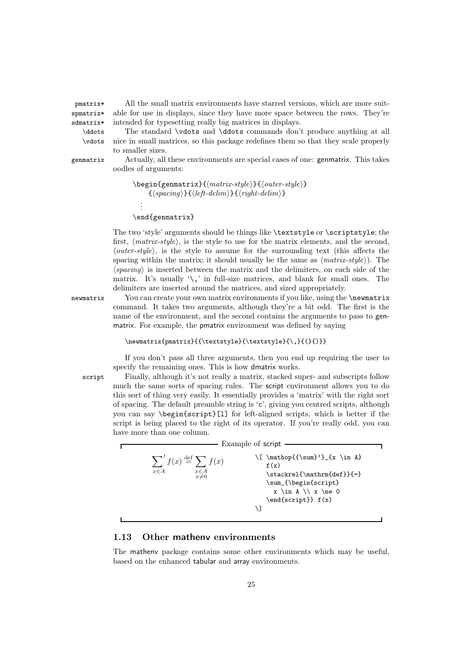pmatrix\* All the small matrix environments have starred versions, which are more suitspmatrix\* sdmatrix\*

able for use in displays, since they have more space between the rows. They're intended for typesetting really big matrices in displays. \ddots The standard \vdots and \ddots commands don't produce anything at all \vdots nice in small matrices, so this package redefines them so that they scale properly

to smaller sizes. genmatrix Actually, all these environments are special cases of one: genmatrix. This takes

```
oodles of arguments:
```

```
\begin{genmatrix}{matrix-style}{outer-style}
       \{\langle spacing\rangle\}\{\langle left\text{-}delim\rangle\}\{\langle right\text{-}delim\rangle\}\.
   .
   .
```
\end{genmatrix}

The two 'style' arguments should be things like \textstyle or \scriptstyle; the first, *matrix-style*, is the style to use for the matrix elements, and the second, *outer-style*, is the style to assume for the surrounding text (this affects the spacing within the matrix; it should usually be the same as  $\langle matrix-style \rangle$ ). The  $\langle spacing \rangle$  is inserted between the matrix and the delimiters, on each side of the matrix. It's usually  $\langle \cdot \rangle$ , in full-size matrices, and blank for small ones. The delimiters are inserted around the matrices, and sized appropriately.

newmatrix You can create your own matrix environments if you like, using the \newmatrix command. It takes two arguments, although they're a bit odd. The first is the name of the environment, and the second contains the arguments to pass to genmatrix. For example, the pmatrix environment was defined by saying

#### \newmatrix{pmatrix}{{\textstyle}{\textstyle}{\,}{(}{)}}

If you don't pass all three arguments, then you end up requiring the user to specify the remaining ones. This is how dmatrix works.

script Finally, although it's not really a matrix, stacked super- and subscripts follow much the same sorts of spacing rules. The script environment allows you to do this sort of thing very easily. It essentially provides a 'matrix' with the right sort of spacing. The default preamble string is 'c', giving you centred scripts, although you can say \begin{script}[l] for left-aligned scripts, which is better if the script is being placed to the right of its operator. If you're really odd, you can have more than one column.

|                                                                                         | Example of script                                                                                                                           |
|-----------------------------------------------------------------------------------------|---------------------------------------------------------------------------------------------------------------------------------------------|
| $\sum' f(x) \stackrel{\text{def}}{=} \sum f(x)$<br>$x \in A$<br>$x \in A$<br>$x \neq 0$ | \[ \mathop{{\sum}'}_{x \in A}<br>f(x)<br>\stackrel{\mathrm{def}}{=}<br>\sum_{\begin{script}<br>$x \in A \ \ X \neq 0$<br>\end{script}} f(x) |
|                                                                                         |                                                                                                                                             |

#### 1.13 Other mathenv environments

The mathenv package contains some other environments which may be useful, based on the enhanced tabular and array environments.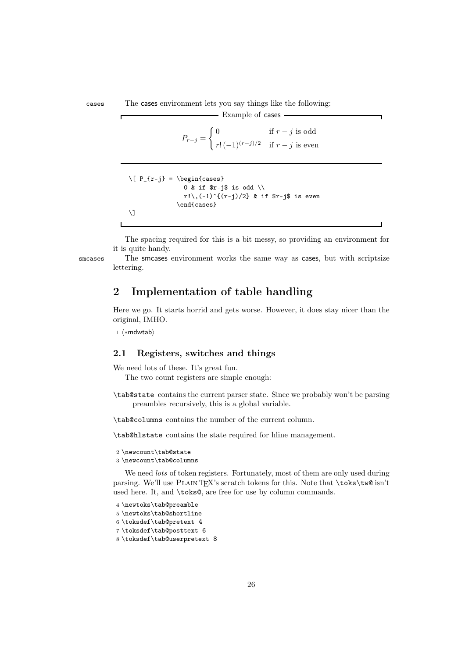cases The cases environment lets you say things like the following:

$$
P_{r-j} = \begin{cases} 0 & \text{if } r-j \text{ is odd} \\ r! \ (-1)^{(r-j)/2} & \text{if } r-j \text{ is even} \end{cases}
$$

- Example of cases -

```
\[ P_{r-j} \} = \begin{cases} \frac{cases}{2}0 & if r-j is odd \setminusr! \setminus, (-1)^{(r-j)/2} & if $r-j$ is even
                   \end{cases}
\setminus]
```
The spacing required for this is a bit messy, so providing an environment for it is quite handy.

smcases The smcases environment works the same way as cases, but with scriptsize lettering.

### 2 Implementation of table handling

Here we go. It starts horrid and gets worse. However, it does stay nicer than the original, IMHO.

 $1 \langle * \text{mdwtab} \rangle$ 

#### 2.1 Registers, switches and things

We need lots of these. It's great fun.

The two count registers are simple enough:

\tab@state contains the current parser state. Since we probably won't be parsing preambles recursively, this is a global variable.

\tab@columns contains the number of the current column.

\tab@hlstate contains the state required for hline management.

```
2 \newcount\tab@state
```

```
3 \newcount\tab@columns
```
We need *lots* of token registers. Fortunately, most of them are only used during parsing. We'll use PLAIN TEX's scratch tokens for this. Note that \toks\tw@ isn't used here. It, and \toks@, are free for use by column commands.

```
4 \newtoks\tab@preamble
```

```
5 \newtoks\tab@shortline
```
6 \toksdef\tab@pretext 4

7 \toksdef\tab@posttext 6

```
8 \toksdef\tab@userpretext 8
```
 $\Gamma$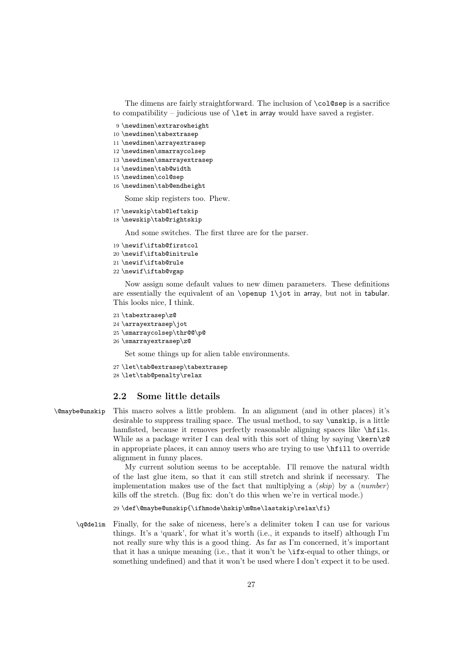The dimens are fairly straightforward. The inclusion of  $\co1$ @sep is a sacrifice to compatibility – judicious use of  $\let$  in array would have saved a register.

- 9 \newdimen\extrarowheight
- 10 \newdimen\tabextrasep
- 11 \newdimen\arrayextrasep
- 12 \newdimen\smarraycolsep
- 13 \newdimen\smarrayextrasep
- 14 \newdimen\tab@width
- 15 \newdimen\col@sep
- 16 \newdimen\tab@endheight

Some skip registers too. Phew.

- 17 \newskip\tab@leftskip
- 18 \newskip\tab@rightskip

And some switches. The first three are for the parser.

- 19 \newif\iftab@firstcol
- 20 \newif\iftab@initrule
- 21 \newif\iftab@rule
- 22 \newif\iftab@vgap

Now assign some default values to new dimen parameters. These definitions are essentially the equivalent of an  $\operatorname{openup}$  1 $\operatorname{int}$  in array, but not in tabular. This looks nice, I think.

```
23 \tabextrasep\z@
24 \arrayextrasep\jot
25 \smarraycolsep\thr@@\p@
26 \smarrayextrasep\z@
```
Set some things up for alien table environments.

```
27 \let\tab@extrasep\tabextrasep
28 \let\tab@penalty\relax
```
#### 2.2 Some little details

\@maybe@unskip This macro solves a little problem. In an alignment (and in other places) it's desirable to suppress trailing space. The usual method, to say \unskip, is a little hamfisted, because it removes perfectly reasonable aligning spaces like \hfils. While as a package writer I can deal with this sort of thing by saying \kern\z@ in appropriate places, it can annoy users who are trying to use \hfill to override alignment in funny places.

> My current solution seems to be acceptable. I'll remove the natural width of the last glue item, so that it can still stretch and shrink if necessary. The implementation makes use of the fact that multiplying a  $\langle skip \rangle$  by a  $\langle number \rangle$ kills off the stretch. (Bug fix: don't do this when we're in vertical mode.)

29 \def\@maybe@unskip{\ifhmode\hskip\m@ne\lastskip\relax\fi}

\q@delim Finally, for the sake of niceness, here's a delimiter token I can use for various things. It's a 'quark', for what it's worth (i.e., it expands to itself) although I'm not really sure why this is a good thing. As far as I'm concerned, it's important that it has a unique meaning (i.e., that it won't be \ifx-equal to other things, or something undefined) and that it won't be used where I don't expect it to be used.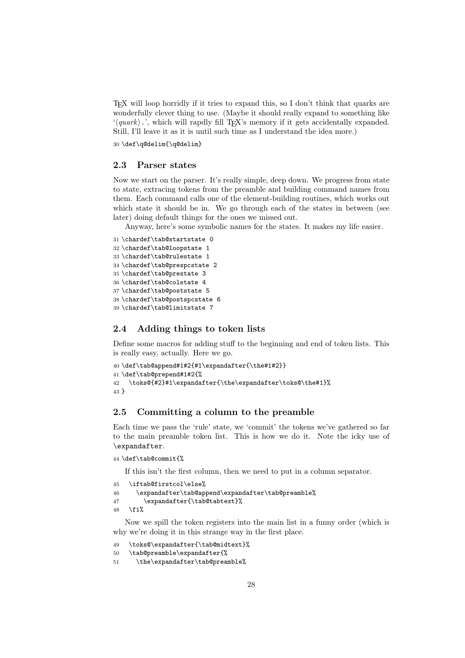TEX will loop horridly if it tries to expand this, so I don't think that quarks are wonderfully clever thing to use. (Maybe it should really expand to something like '*/quark* ).', which will rapdly fill T<sub>E</sub>X's memory if it gets accidentally expanded. Still, I'll leave it as it is until such time as I understand the idea more.)

30 \def\q@delim{\q@delim}

#### 2.3 Parser states

Now we start on the parser. It's really simple, deep down. We progress from state to state, extracing tokens from the preamble and building command names from them. Each command calls one of the element-building routines, which works out which state it should be in. We go through each of the states in between (see later) doing default things for the ones we missed out.

Anyway, here's some symbolic names for the states. It makes my life easier.

```
31 \chardef\tab@startstate 0
32 \chardef\tab@loopstate 1
33 \chardef\tab@rulestate 1
34 \chardef\tab@prespcstate 2
35 \chardef\tab@prestate 3
36 \chardef\tab@colstate 4
37 \chardef\tab@poststate 5
38 \chardef\tab@postspcstate 6
39 \chardef\tab@limitstate 7
```
#### 2.4 Adding things to token lists

Define some macros for adding stuff to the beginning and end of token lists. This is really easy, actually. Here we go.

```
40 \def\tab@append#1#2{#1\expandafter{\the#1#2}}
41 \def\tab@prepend#1#2{%
42 \toks@{#2}#1\expandafter{\the\expandafter\toks@\the#1}%
43 }
```
#### 2.5 Committing a column to the preamble

Each time we pass the 'rule' state, we 'commit' the tokens we've gathered so far to the main preamble token list. This is how we do it. Note the icky use of \expandafter.

```
44 \def\tab@commit{%
```
If this isn't the first column, then we need to put in a column separator.

```
45 \iftab@firstcol\else%
```

```
46 \expandafter\tab@append\expandafter\tab@preamble%
```

```
47 \expandafter{\tab@tabtext}%
```
48  $\{f_i\}$ 

Now we spill the token registers into the main list in a funny order (which is why we're doing it in this strange way in the first place.

```
49 \toks@\expandafter{\tab@midtext}%
```

```
50 \tab@preamble\expandafter{%
```

```
51 \the\expandafter\tab@preamble%
```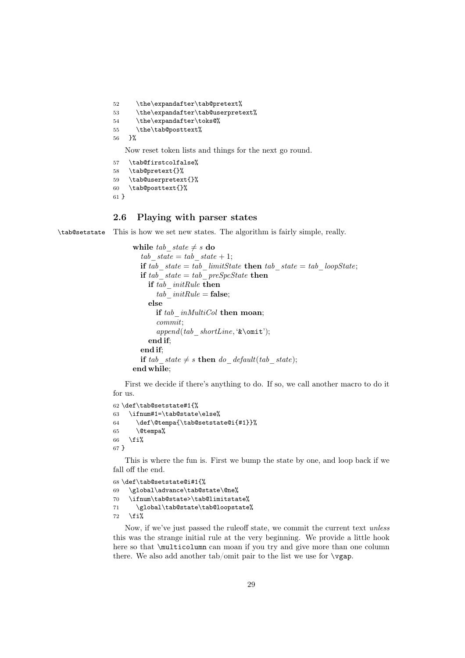52 \the\expandafter\tab@pretext% 53 \the\expandafter\tab@userpretext% 54 \the\expandafter\toks@% 55 \the\tab@posttext% 56 }%

Now reset token lists and things for the next go round.

```
57 \tab@firstcolfalse%
58 \tab@pretext{}%
59 \tab@userpretext{}%
60 \tab@posttext{}%
```
#### 61 }

#### 2.6 Playing with parser states

\tab@setstate This is how we set new states. The algorithm is fairly simple, really.

```
while tab state \neq s do
  tab state = tab state + 1;
  if tab state = tab limitState then tab state = tab loopState;if tab state = tab preSpcState then
    if tab_initRule then
      tab initRule = false;else
      if tab_inMultiCol then moan;
      commit;
      append(tab_shortLine, '&\omit');
    end if;
  end if;
  if tab state \neq s then do default(tab state);
end while;
```
First we decide if there's anything to do. If so, we call another macro to do it for us.

```
62 \def\tab@setstate#1{%
63 \ifnum#1=\tab@state\else%
64 \def\@tempa{\tab@setstate@i{#1}}%
65 \@tempa%
66 \fi%
67 }
```
This is where the fun is. First we bump the state by one, and loop back if we fall off the end.

```
68 \def\tab@setstate@i#1{%
69 \global\advance\tab@state\@ne%
70 \ifnum\tab@state>\tab@limitstate%
71 \global\tab@state\tab@loopstate%
72 \overline{1}\
```
Now, if we've just passed the ruleoff state, we commit the current text *unless* this was the strange initial rule at the very beginning. We provide a little hook here so that \multicolumn can moan if you try and give more than one column there. We also add another tab/omit pair to the list we use for  $\gamma$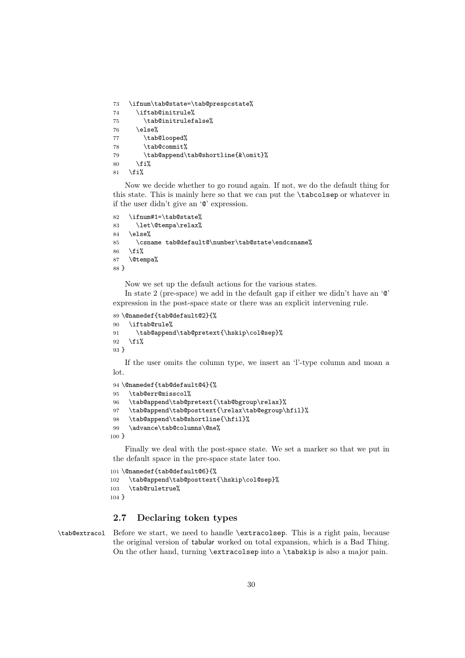```
73 \ifnum\tab@state=\tab@prespcstate%
74 \iftab@initrule%
75 \tab@initrulefalse%
76 \text{else}%
77 \tab@looped%
78 \tab@commit%
79 \tab@append\tab@shortline{&\omit}%
80 \overline{\text{f}i\text{}}81 \fi%
```
Now we decide whether to go round again. If not, we do the default thing for this state. This is mainly here so that we can put the \tabcolsep or whatever in if the user didn't give an '@' expression.

```
82 \ifnum#1=\tab@state%
83 \let\@tempa\relax%
84 \else%
85 \csname tab@default@\number\tab@state\endcsname%
86 \fi%
87 \@tempa%
88 }
```
Now we set up the default actions for the various states.

In state 2 (pre-space) we add in the default gap if either we didn't have an '@' expression in the post-space state or there was an explicit intervening rule.

```
89 \@namedef{tab@default@2}{%
90 \iftab@rule%
91 \tab@append\tab@pretext{\hskip\col@sep}%
92 \sqrt{f}i%
93 }
```
If the user omits the column type, we insert an 'l'-type column and moan a lot.

```
94 \@namedef{tab@default@4}{%
95 \tab@err@misscol%
96 \tab@append\tab@pretext{\tab@bgroup\relax}%
97 \tab@append\tab@posttext{\relax\tab@egroup\hfil}%
98 \tab@append\tab@shortline{\hfil}%
99 \advance\tab@columns\@ne%
100 }
```
Finally we deal with the post-space state. We set a marker so that we put in the default space in the pre-space state later too.

```
101 \@namedef{tab@default@6}{%
102 \tab@append\tab@posttext{\hskip\col@sep}%
103 \tab@ruletrue%
104 }
```
### 2.7 Declaring token types

\tab@extracol Before we start, we need to handle \extracolsep. This is a right pain, because the original version of tabular worked on total expansion, which is a Bad Thing. On the other hand, turning \extracolsep into a \tabskip is also a major pain.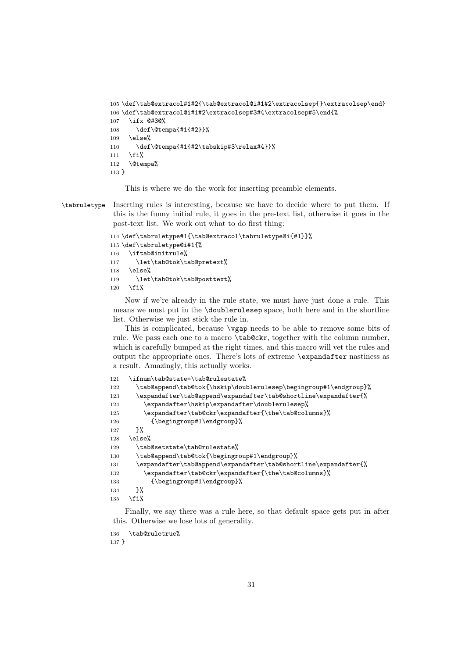```
105 \def\tab@extracol#1#2{\tab@extracol@i#1#2\extracolsep{}\extracolsep\end}
106 \def\tab@extracol@i#1#2\extracolsep#3#4\extracolsep#5\end{%
107 \ifx @#3@%
108 \def\@tempa{#1{#2}}%
109 \else%
110 \def\@tempa{#1{#2\tabskip#3\relax#4}}%
111 \fi%
112 \@tempa%
113 }
```
This is where we do the work for inserting preamble elements.

\tabruletype Inserting rules is interesting, because we have to decide where to put them. If this is the funny initial rule, it goes in the pre-text list, otherwise it goes in the post-text list. We work out what to do first thing:

```
114 \def\tabruletype#1{\tab@extracol\tabruletype@i{#1}}%
115 \def\tabruletype@i#1{%
116 \iftab@initrule%
117 \let\tab@tok\tab@pretext%
118 \else%
119 \let\tab@tok\tab@posttext%
120 \fi%
```
Now if we're already in the rule state, we must have just done a rule. This means we must put in the \doublerulesep space, both here and in the shortline list. Otherwise we just stick the rule in.

This is complicated, because \vgap needs to be able to remove some bits of rule. We pass each one to a macro \tab@ckr, together with the column number, which is carefully bumped at the right times, and this macro will vet the rules and output the appropriate ones. There's lots of extreme \expandafter nastiness as a result. Amazingly, this actually works.

```
121 \ifnum\tab@state=\tab@rulestate%
122 \tab@append\tab@tok{\hskip\doublerulesep\begingroup#1\endgroup}%
123 \expandafter\tab@append\expandafter\tab@shortline\expandafter{%
124 \expandafter\hskip\expandafter\doublerulesep%
125 \expandafter\tab@ckr\expandafter{\the\tab@columns}%
126 {\begingroup#1\endgroup}%
127 }%
128 \else%
129 \tab@setstate\tab@rulestate%
130 \tab@append\tab@tok{\begingroup#1\endgroup}%
131 \expandafter\tab@append\expandafter\tab@shortline\expandafter{%
132 \expandafter\tab@ckr\expandafter{\the\tab@columns}%
133 {\begingroup#1\endgroup}%
134 }%
135 \fi%
```
Finally, we say there was a rule here, so that default space gets put in after this. Otherwise we lose lots of generality.

\tab@ruletrue%

}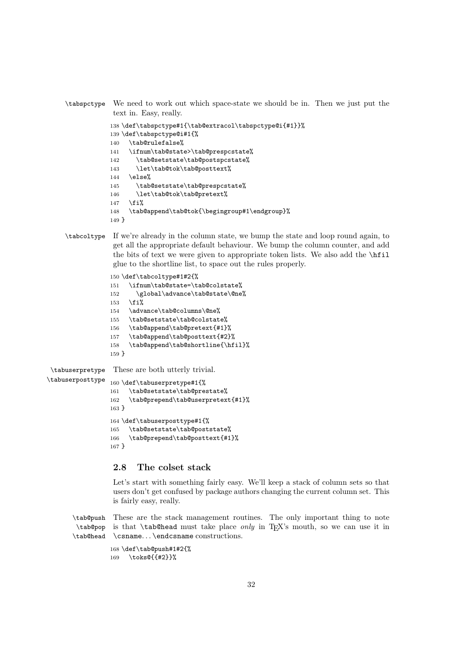```
\tabspctype We need to work out which space-state we should be in. Then we just put the
             text in. Easy, really.
```

```
138 \def\tabspctype#1{\tab@extracol\tabspctype@i{#1}}%
139 \def\tabspctype@i#1{%
140 \tab@rulefalse%
141 \ifnum\tab@state>\tab@prespcstate%
142 \tab@setstate\tab@postspcstate%
143 \let\tab@tok\tab@posttext%
144 \else%
145 \tab@setstate\tab@prespcstate%
146 \let\tab@tok\tab@pretext%
147 \fi%
148 \tab@append\tab@tok{\begingroup#1\endgroup}%
149 }
```
\tabcoltype If we're already in the column state, we bump the state and loop round again, to get all the appropriate default behaviour. We bump the column counter, and add the bits of text we were given to appropriate token lists. We also add the \hfil glue to the shortline list, to space out the rules properly.

```
150 \def\tabcoltype#1#2{%
                 151 \ifnum\tab@state=\tab@colstate%
                 152 \global\advance\tab@state\@ne%
                 153 \fi%
                 154 \advance\tab@columns\@ne%
                 155 \tab@setstate\tab@colstate%
                 156 \tab@append\tab@pretext{#1}%
                 157 \tab@append\tab@posttext{#2}%
                 158 \tab@append\tab@shortline{\hfil}%
                 159 }
\tabuserpretype
\tabuserposttype
                 These are both utterly trivial.
                 160 \def\tabuserpretype#1{%
                 161 \tab@setstate\tab@prestate%
                 162 \tab@prepend\tab@userpretext{#1}%
                 163 }
                 164 \def\tabuserposttype#1{%
                 165 \tab@setstate\tab@poststate%
                 166 \tab@prepend\tab@posttext{#1}%
```

```
167 }
```
#### 2.8 The colset stack

Let's start with something fairly easy. We'll keep a stack of column sets so that users don't get confused by package authors changing the current column set. This is fairly easy, really.

\tab@push \tab@pop \tab@head These are the stack management routines. The only important thing to note is that \tab@head must take place *only* in T<sub>E</sub>X's mouth, so we can use it in \csname... \endcsname constructions.

```
168 \def\tab@push#1#2{%
169 \toks@{{#2}}%
```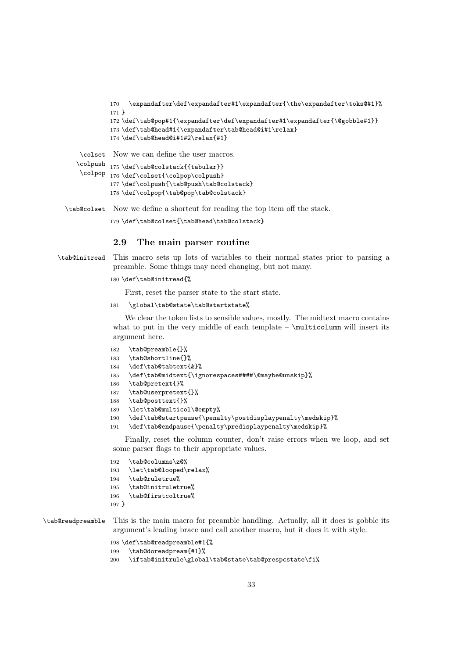```
170 \expandafter\def\expandafter#1\expandafter{\the\expandafter\toks@#1}%
         171 }
         172 \def\tab@pop#1{\expandafter\def\expandafter#1\expandafter{\@gobble#1}}
         173 \def\tab@head#1{\expandafter\tab@head@i#1\relax}
         174 \def\tab@head@i#1#2\relax{#1}
 \colset
Now we can define the user macros.
\colpush <br>175 \def\tab@colstack{{tabular}}
 \colpop 176 \def\colset{\colpop\colpush}
         177 \def\colpush{\tab@push\tab@colstack}
         178 \def\colpop{\tab@pop\tab@colstack}
```
\tab@colset Now we define a shortcut for reading the top item off the stack.

179 \def\tab@colset{\tab@head\tab@colstack}

#### 2.9 The main parser routine

\tab@initread This macro sets up lots of variables to their normal states prior to parsing a preamble. Some things may need changing, but not many.

```
180 \def\tab@initread{%
```
First, reset the parser state to the start state.

\global\tab@state\tab@startstate%

We clear the token lists to sensible values, mostly. The midtext macro contains what to put in the very middle of each template  $\text{util}$  will insert its argument here.

```
182 \tab@preamble{}%
183 \tab@shortline{}%
184 \def\tab@tabtext{&}%
185 \def\tab@midtext{\ignorespaces####\@maybe@unskip}%
186 \tab@pretext{}%
187 \tab@userpretext{}%
188 \tab@posttext{}%
189 \let\tab@multicol\@empty%
190 \def\tab@startpause{\penalty\postdisplaypenalty\medskip}%
191 \def\tab@endpause{\penalty\predisplaypenalty\medskip}%
```
Finally, reset the column counter, don't raise errors when we loop, and set some parser flags to their appropriate values.

 \tab@columns\z@% \let\tab@looped\relax% \tab@ruletrue% \tab@initruletrue% \tab@firstcoltrue% }

\tab@readpreamble This is the main macro for preamble handling. Actually, all it does is gobble its argument's leading brace and call another macro, but it does it with style.

```
198 \def\tab@readpreamble#1{%
199 \tab@doreadpream{#1}%
200 \iftab@initrule\global\tab@state\tab@prespcstate\fi%
```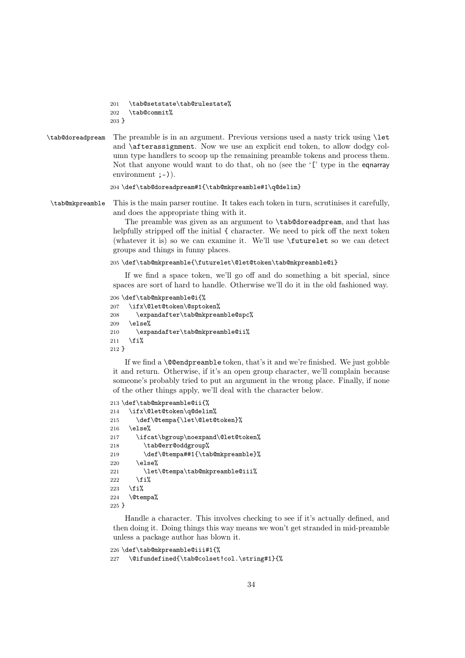```
201 \tab@setstate\tab@rulestate%
202 \tab@commit%
203 }
```
\tab@doreadpream The preamble is in an argument. Previous versions used a nasty trick using \let and \afterassignment. Now we use an explicit end token, to allow dodgy column type handlers to scoop up the remaining preamble tokens and process them. Not that anyone would want to do that, oh no (see the '[' type in the eqnarray environment ;-)).

204 \def\tab@doreadpream#1{\tab@mkpreamble#1\q@delim}

\tab@mkpreamble This is the main parser routine. It takes each token in turn, scrutinises it carefully, and does the appropriate thing with it.

> The preamble was given as an argument to \tab@doreadpream, and that has helpfully stripped off the initial  $\{$  character. We need to pick off the next token (whatever it is) so we can examine it. We'll use \futurelet so we can detect groups and things in funny places.

```
205 \def\tab@mkpreamble{\futurelet\@let@token\tab@mkpreamble@i}
```
If we find a space token, we'll go off and do something a bit special, since spaces are sort of hard to handle. Otherwise we'll do it in the old fashioned way.

```
206 \def\tab@mkpreamble@i{%
207 \ifx\@let@token\@sptoken%
208 \expandafter\tab@mkpreamble@spc%
209 \else%
210 \expandafter\tab@mkpreamble@ii%
211 \fi%
212 }
```
If we find a \@@endpreamble token, that's it and we're finished. We just gobble it and return. Otherwise, if it's an open group character, we'll complain because someone's probably tried to put an argument in the wrong place. Finally, if none of the other things apply, we'll deal with the character below.

```
213 \def\tab@mkpreamble@ii{%
214 \ifx\@let@token\q@delim%
215 \def\@tempa{\let\@let@token}%
216 \else%
217 \ifcat\bgroup\noexpand\@let@token%
218 \tab@err@oddgroup%
219 \def\@tempa##1{\tab@mkpreamble}%
220 \else%
221 \let\@tempa\tab@mkpreamble@iii%
222 \overrightarrow{1}223 \overline{\text{if}}224 \@tempa%
225 }
```
Handle a character. This involves checking to see if it's actually defined, and then doing it. Doing things this way means we won't get stranded in mid-preamble unless a package author has blown it.

```
226 \def\tab@mkpreamble@iii#1{%
227 \@ifundefined{\tab@colset!col.\string#1}{%
```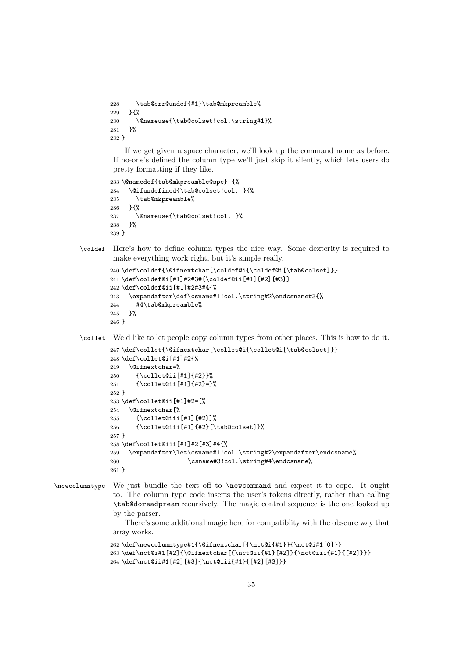```
228 \tab@err@undef{#1}\tab@mkpreamble%
229 }{%
230 \@nameuse{\tab@colset!col.\string#1}%
231 }%
232 }
```
If we get given a space character, we'll look up the command name as before. If no-one's defined the column type we'll just skip it silently, which lets users do pretty formatting if they like.

```
233 \@namedef{tab@mkpreamble@spc} {%
234 \@ifundefined{\tab@colset!col. }{%
235 \tab@mkpreamble%
236 }{%
237 \@nameuse{\tab@colset!col. }%
238 }%
239 }
```
\coldef Here's how to define column types the nice way. Some dexterity is required to make everything work right, but it's simple really.

```
240 \def\coldef{\@ifnextchar[\coldef@i{\coldef@i[\tab@colset]}}
241 \def\coldef@i[#1]#2#3#{\coldef@ii[#1]{#2}{#3}}
242 \def\coldef@ii[#1]#2#3#4{%
243 \expandafter\def\csname#1!col.\string#2\endcsname#3{%
244 #4\tab@mkpreamble%
245 }%
246 }
```
\collet We'd like to let people copy column types from other places. This is how to do it.

```
247 \def\collet{\@ifnextchar[\collet@i{\collet@i[\tab@colset]}}
248 \def\collet@i[#1]#2{%
249 \@ifnextchar=%
250 {\collet@ii[#1]{#2}}%
251 {\collet@ii[#1]{#2}=}%
252 }
253 \def\collet@ii[#1]#2={%
254 \@ifnextchar[%
255 {\collet@iii[#1]{#2}}%
256 {\collet@iii[#1]{#2}[\tab@colset]}%
257 }
258 \def\collet@iii[#1]#2[#3]#4{%
259 \expandafter\let\csname#1!col.\string#2\expandafter\endcsname%
260 \csname#3!col.\string#4\endcsname%
261 }
```
\newcolumntype We just bundle the text off to \newcommand and expect it to cope. It ought to. The column type code inserts the user's tokens directly, rather than calling \tab@doreadpream recursively. The magic control sequence is the one looked up by the parser.

> There's some additional magic here for compatiblity with the obscure way that array works.

```
262 \def\newcolumntype#1{\@ifnextchar[{\nct@i{#1}}{\nct@i#1[0]}}
263 \def\nct@i#1[#2]{\@ifnextchar[{\nct@ii{#1}[#2]}{\nct@iii{#1}{[#2]}}}
264 \def\nct@ii#1[#2][#3]{\nct@iii{#1}{[#2][#3]}}
```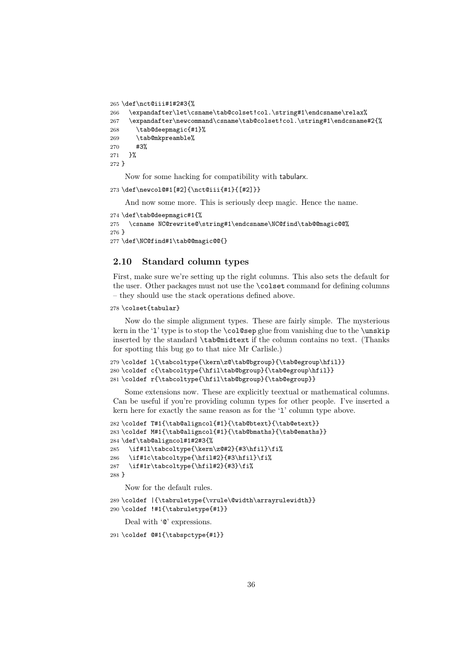```
265 \def\nct@iii#1#2#3{%
266 \expandafter\let\csname\tab@colset!col.\string#1\endcsname\relax%
267 \expandafter\newcommand\csname\tab@colset!col.\string#1\endcsname#2{%
268 \tab@deepmagic{#1}%
269 \tab@mkpreamble%
270 #3%
271 }%
272 }
```
Now for some hacking for compatibility with tabularx.

273 \def\newcol@#1[#2]{\nct@iii{#1}{[#2]}}

And now some more. This is seriously deep magic. Hence the name.

```
274 \def\tab@deepmagic#1{%
```

```
275 \csname NC@rewrite@\string#1\endcsname\NC@find\tab@@magic@@%
276 }
277 \def\NC@find#1\tab@@magic@@{}
```
#### 2.10 Standard column types

First, make sure we're setting up the right columns. This also sets the default for the user. Other packages must not use the \colset command for defining columns – they should use the stack operations defined above.

#### 278 \colset{tabular}

Now do the simple alignment types. These are fairly simple. The mysterious kern in the 'l' type is to stop the \col@sep glue from vanishing due to the \unskip inserted by the standard \tab@midtext if the column contains no text. (Thanks for spotting this bug go to that nice Mr Carlisle.)

```
279 \coldef l{\tabcoltype{\kern\z@\tab@bgroup}{\tab@egroup\hfil}}
280 \coldef c{\tabcoltype{\hfil\tab@bgroup}{\tab@egroup\hfil}}
281 \coldef r{\tabcoltype{\hfil\tab@bgroup}{\tab@egroup}}
```
Some extensions now. These are explicitly teextual or mathematical columns. Can be useful if you're providing column types for other people. I've inserted a kern here for exactly the same reason as for the 'l' column type above.

```
282\coldef T#1{\tab@aligncol{#1}{\tab@btext}{\tab@etext}}
283 \coldef M#1{\tab@aligncol{#1}{\tab@bmaths}{\tab@emaths}}
284 \def\tab@aligncol#1#2#3{%
285 \if#1l\tabcoltype{\kern\z@#2}{#3\hfil}\fi%
286 \if#1c\tabcoltype{\hfil#2}{#3\hfil}\fi%
287 \if#1r\tabcoltype{\hfil#2}{#3}\fi%
288 }
```
Now for the default rules.

```
289 \coldef |{\tabruletype{\vrule\@width\arrayrulewidth}}
290 \coldef !#1{\tabruletype{#1}}
```
Deal with ' $\mathbb{Q}$ ' expressions.

291 \coldef @#1{\tabspctype{#1}}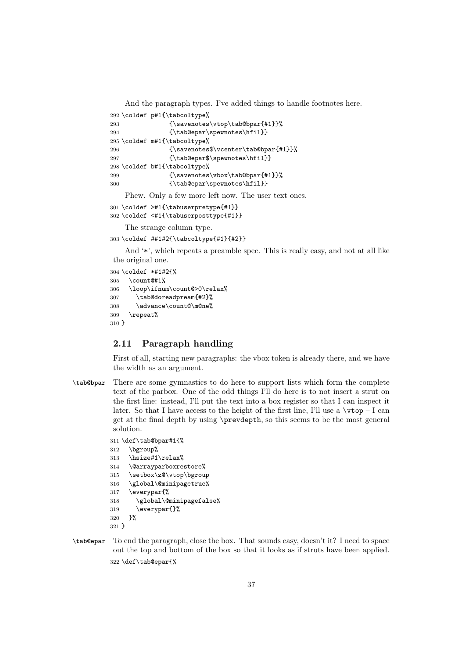```
And the paragraph types. I've added things to handle footnotes here.
292 \coldef p#1{\tabcoltype%
293 {\savenotes\vtop\tab@bpar{#1}}%
294 {\tab@epar\spewnotes\hfil}}
295 \coldef m#1{\tabcoltype%
296 {\savenotes$\vcenter\tab@bpar{#1}}%
297 {\tab@epar$\spewnotes\hfil}}
298 \coldef b#1{\tabcoltype%
299 {\savenotes\vbox\tab@bpar{#1}}%
300 {\tab@epar\spewnotes\hfil}}
   Phew. Only a few more left now. The user text ones.
301 \coldef >#1{\tabuserpretype{#1}}
```

```
302 \coldef <#1{\tabuserposttype{#1}}
```
The strange column type.

```
303 \coldef ##1#2{\tabcoltype{#1}{#2}}
```
And '\*', which repeats a preamble spec. This is really easy, and not at all like the original one.

```
304 \coldef *#1#2{%
305 \count@#1%
306 \loop\ifnum\count@>0\relax%
307 \tab@doreadpream{#2}%
308 \advance\count@\m@ne%
309 \repeat%
310 }
```
# 2.11 Paragraph handling

First of all, starting new paragraphs: the vbox token is already there, and we have the width as an argument.

\tab@bpar There are some gymnastics to do here to support lists which form the complete text of the parbox. One of the odd things I'll do here is to not insert a strut on the first line: instead, I'll put the text into a box register so that I can inspect it later. So that I have access to the height of the first line, I'll use a  $\tau$ - I can get at the final depth by using \prevdepth, so this seems to be the most general solution.

```
311 \def\tab@bpar#1{%
312 \bgroup%
313 \hsize#1\relax%
314 \@arrayparboxrestore%
315 \setbox\z@\vtop\bgroup
316 \global\@minipagetrue%
317 \everypar{%
318 \global\@minipagefalse%
319 \everypar{}%
320 }%
321 }
```
\tab@epar To end the paragraph, close the box. That sounds easy, doesn't it? I need to space out the top and bottom of the box so that it looks as if struts have been applied. 322 \def\tab@epar{%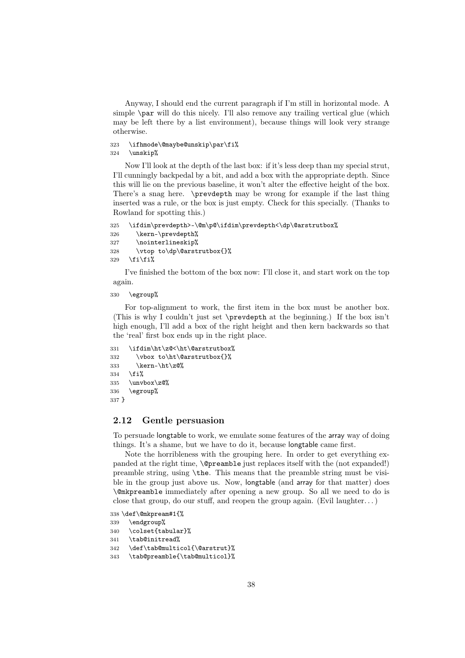Anyway, I should end the current paragraph if I'm still in horizontal mode. A simple \par will do this nicely. I'll also remove any trailing vertical glue (which may be left there by a list environment), because things will look very strange otherwise.

```
323 \ifhmode\@maybe@unskip\par\fi%
324 \unskip%
```
Now I'll look at the depth of the last box: if it's less deep than my special strut, I'll cunningly backpedal by a bit, and add a box with the appropriate depth. Since this will lie on the previous baseline, it won't alter the effective height of the box. There's a snag here. \prevdepth may be wrong for example if the last thing inserted was a rule, or the box is just empty. Check for this specially. (Thanks to Rowland for spotting this.)

```
325 \ifdim\prevdepth>-\@m\p@\ifdim\prevdepth<\dp\@arstrutbox%
326 \kern-\prevdepth%
327 \nointerlineskip%
328 \vtop to\dp\@arstrutbox{}%
329 \ifmmode \frac{329}{11} \else \tilfi%
```
I've finished the bottom of the box now: I'll close it, and start work on the top again.

### 330 \egroup%

For top-alignment to work, the first item in the box must be another box. (This is why I couldn't just set \prevdepth at the beginning.) If the box isn't high enough, I'll add a box of the right height and then kern backwards so that the 'real' first box ends up in the right place.

```
331 \ifdim\ht\z@<\ht\@arstrutbox%
332 \vbox to\ht\@arstrutbox{}%
333 \kern-\ht\z@%
334 \fi%
335 \unvbox\z@%
336 \egroup%
337 }
```
## 2.12 Gentle persuasion

To persuade longtable to work, we emulate some features of the array way of doing things. It's a shame, but we have to do it, because longtable came first.

Note the horribleness with the grouping here. In order to get everything expanded at the right time, \@preamble just replaces itself with the (not expanded!) preamble string, using \the. This means that the preamble string must be visible in the group just above us. Now, longtable (and array for that matter) does \@mkpreamble immediately after opening a new group. So all we need to do is close that group, do our stuff, and reopen the group again. (Evil laughter...)

338 \def\@mkpream#1{%

```
339 \endgroup%
```
340 \colset{tabular}%

```
341 \tab@initread%
```
342 \def\tab@multicol{\@arstrut}%

```
343 \tab@preamble{\tab@multicol}%
```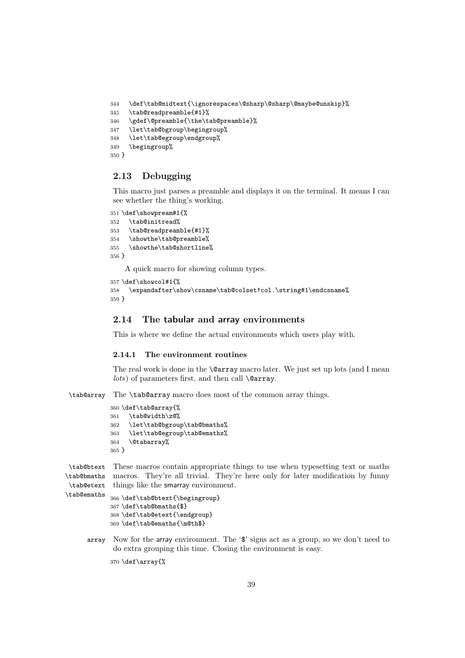```
344 \def\tab@midtext{\ignorespaces\@sharp\@sharp\@maybe@unskip}%
345 \tab@readpreamble{#1}%
346 \gdef\@preamble{\the\tab@preamble}%
347 \let\tab@bgroup\begingroup%
348 \let\tab@egroup\endgroup%
349 \begingroup%
350 }
```
# 2.13 Debugging

This macro just parses a preamble and displays it on the terminal. It means I can see whether the thing's working.

```
351 \def\showpream#1{%
352 \tab@initread%
353 \tab@readpreamble{#1}%
354 \showthe\tab@preamble%
355 \showthe\tab@shortline%
356 }
```
A quick macro for showing column types.

```
357 \def\showcol#1{%
358 \expandafter\show\csname\tab@colset!col.\string#1\endcsname%
359 }
```
# 2.14 The tabular and array environments

This is where we define the actual environments which users play with.

### 2.14.1 The environment routines

The real work is done in the \@array macro later. We just set up lots (and I mean *lots*) of parameters first, and then call **\@array**.

\tab@array The \tab@array macro does most of the common array things.

```
360 \def\tab@array{%
361 \tab@width\z@%
362 \let\tab@bgroup\tab@bmaths%
363 \let\tab@egroup\tab@emaths%
364 \@tabarray%
365 }
```
\tab@btext These macros contain appropriate things to use when typesetting text or maths \tab@bmaths macros. They're all trivial. They're here only for later modification by funny \tab@etext things like the smarray environment.

```
\tab@emaths 366\def\tab@btext{\begingroup}
            367 \def\tab@bmaths{$}
            368 \def\tab@etext{\endgroup}
            369 \def\tab@emaths{\m@th$}
```
array Now for the array environment. The '\$' signs act as a group, so we don't need to do extra grouping this time. Closing the environment is easy.

\def\array{%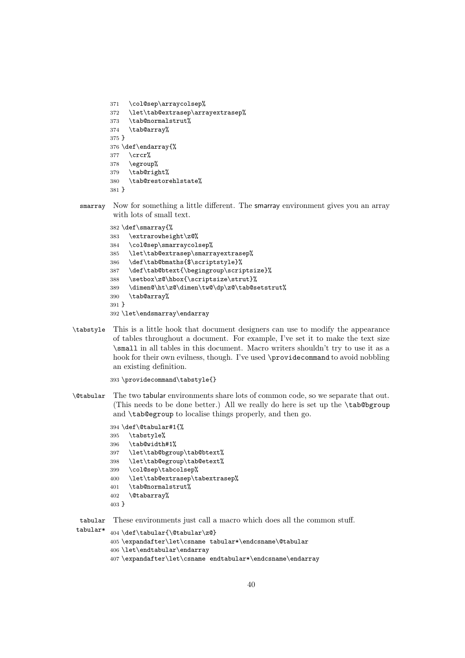```
371 \col@sep\arraycolsep%
372 \let\tab@extrasep\arrayextrasep%
373 \tab@normalstrut%
374 \tab@array%
375 }
376 \def\endarray{%
377 \crcr%
378 \egroup%
379 \tab@right%
380 \tab@restorehlstate%
381 }
```
smarray Now for something a little different. The smarray environment gives you an array with lots of small text.

```
382 \def\smarray{%
383 \extrarowheight\z@%
384 \col@sep\smarraycolsep%
385 \let\tab@extrasep\smarrayextrasep%
386 \def\tab@bmaths{$\scriptstyle}%
387 \def\tab@btext{\begingroup\scriptsize}%
388 \setbox\z@\hbox{\scriptsize\strut}%
389 \dimen@\ht\z@\dimen\tw@\dp\z@\tab@setstrut%
390 \tab@array%
391 }
392 \let\endsmarray\endarray
```
\tabstyle This is a little hook that document designers can use to modify the appearance of tables throughout a document. For example, I've set it to make the text size \small in all tables in this document. Macro writers shouldn't try to use it as a hook for their own evilness, though. I've used \providecommand to avoid nobbling an existing definition.

```
393 \providecommand\tabstyle{}
```
\@tabular The two tabular environments share lots of common code, so we separate that out. (This needs to be done better.) All we really do here is set up the \tab@bgroup and \tab@egroup to localise things properly, and then go.

```
394 \def\@tabular#1{%
395 \tabstyle%
396 \tab@width#1%
397 \let\tab@bgroup\tab@btext%
398 \let\tab@egroup\tab@etext%
399 \col@sep\tabcolsep%
400 \let\tab@extrasep\tabextrasep%
401 \tab@normalstrut%
402 \@tabarray%
403 }
```
tabular These environments just call a macro which does all the common stuff.

```
tabular* 404 \def\tabular{\@tabular\z@}
         405 \expandafter\let\csname tabular*\endcsname\@tabular
         406 \let\endtabular\endarray
         407 \expandafter\let\csname endtabular*\endcsname\endarray
```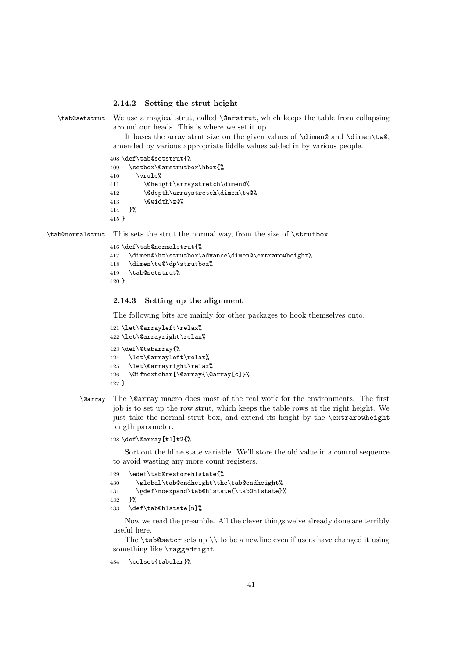#### 2.14.2 Setting the strut height

```
\tab@setstrut We use a magical strut, called \@arstrut, which keeps the table from collapsing
               around our heads. This is where we set it up.
```
It bases the array strut size on the given values of  $\dim\$  and  $\dim\$ amended by various appropriate fiddle values added in by various people.

408 \def\tab@setstrut{%

```
409 \setbox\@arstrutbox\hbox{%
410 \quad \text{vrule}411 \@height\arraystretch\dimen@%
412 \@depth\arraystretch\dimen\tw@%
413 \@width\z@%
414 }%
415 }
```
\tab@normalstrut This sets the strut the normal way, from the size of \strutbox.

```
416 \def\tab@normalstrut{%
417 \dimen@\ht\strutbox\advance\dimen@\extrarowheight%
418 \dimen\tw@\dp\strutbox%
419 \tab@setstrut%
420 }
```
### 2.14.3 Setting up the alignment

The following bits are mainly for other packages to hook themselves onto.

```
421 \let\@arrayleft\relax%
422 \let\@arrayright\relax%
423 \def\@tabarray{%
424 \let\@arrayleft\relax%
425 \let\@arrayright\relax%
426 \@ifnextchar[\@array{\@array[c]}%
427 }
```
\@array The \@array macro does most of the real work for the environments. The first job is to set up the row strut, which keeps the table rows at the right height. We just take the normal strut box, and extend its height by the \extrarowheight length parameter.

428 \def\@array[#1]#2{%

Sort out the hline state variable. We'll store the old value in a control sequence to avoid wasting any more count registers.

```
429 \edef\tab@restorehlstate{%
430 \global\tab@endheight\the\tab@endheight%
431 \gdef\noexpand\tab@hlstate{\tab@hlstate}%
432 }%
433 \def\tab@hlstate{n}%
```
Now we read the preamble. All the clever things we've already done are terribly useful here.

The  $\t$ ab@setcr sets up  $\setminus \t$  to be a newline even if users have changed it using something like \raggedright.

434 \colset{tabular}%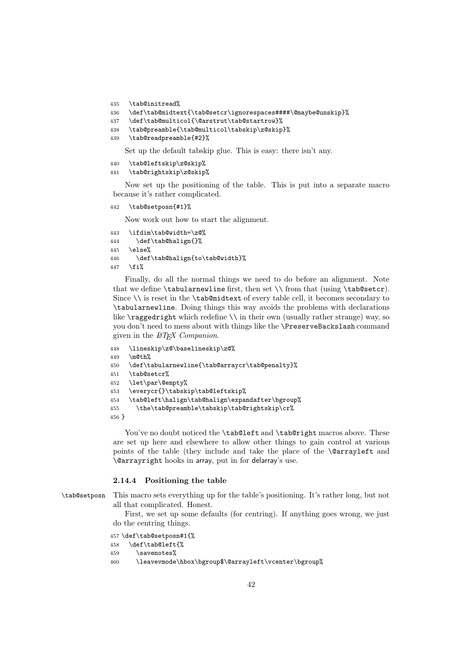```
435 \tab@initread%
```

```
436 \def\tab@midtext{\tab@setcr\ignorespaces####\@maybe@unskip}%
```

```
437 \def\tab@multicol{\@arstrut\tab@startrow}%
```

```
438 \tab@preamble{\tab@multicol\tabskip\z@skip}%
```

```
439 \tab@readpreamble{#2}%
```
Set up the default tabskip glue. This is easy: there isn't any.

```
440 \tab@leftskip\z@skip%
441 \tab@rightskip\z@skip%
```
Now set up the positioning of the table. This is put into a separate macro because it's rather complicated.

```
442 \tab@setposn{#1}%
```
Now work out how to start the alignment.

```
443 \ifdim\tab@width=\z@%
444 \def\tab@halign{}%
445 \else%
446 \def\tab@halign{to\tab@width}%
447 \fi%
```
Finally, do all the normal things we need to do before an alignment. Note that we define  $\tt \t{tabu2rm}$  from  $\tt \t{b}$  (using  $\tt \t{asb@setcr}.$ Since  $\setminus$  is reset in the  $\tt tab@middlext$  of every table cell, it becomes secondary to \tabularnewline. Doing things this way avoids the problems with declarations like  $\ragg$ edright which redefine  $\iota$  in their own (usually rather strange) way, so you don't need to mess about with things like the \PreserveBackslash command given in the  $\cancel{B}TEX$  Companion.

```
448 \lineskip\z@\baselineskip\z@%
449 \m@th%
450 \def\tabularnewline{\tab@arraycr\tab@penalty}%
451 \tab@setcr%
452 \let\par\@empty%
453 \everycr{}\tabskip\tab@leftskip%
454 \tab@left\halign\tab@halign\expandafter\bgroup%
455 \the\tab@preamble\tabskip\tab@rightskip\cr%
456 }
```
You've no doubt noticed the \tab@left and \tab@right macros above. These are set up here and elsewhere to allow other things to gain control at various points of the table (they include and take the place of the \@arrayleft and \@arrayright hooks in array, put in for delarray's use.

#### 2.14.4 Positioning the table

\tab@setposn This macro sets everything up for the table's positioning. It's rather long, but not all that complicated. Honest.

> First, we set up some defaults (for centring). If anything goes wrong, we just do the centring things.

```
457 \def\tab@setposn#1{%
458 \def\tab@left{%
459 \savenotes%
460 \leavevmode\hbox\bgroup$\@arrayleft\vcenter\bgroup%
```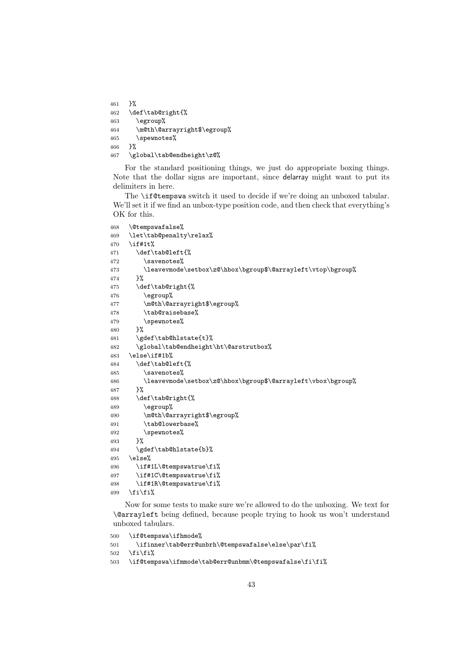```
461 }%
462 \def\tab@right{%
463 \egroup%
464 \m@th\@arrayright$\egroup%
465 \spewnotes%
466 }%
467 \global\tab@endheight\z@%
```
For the standard positioning things, we just do appropriate boxing things. Note that the dollar signs are important, since delarray might want to put its delimiters in here.

The **\if@tempswa** switch it used to decide if we're doing an unboxed tabular. We'll set it if we find an unbox-type position code, and then check that everything's OK for this.

```
468 \@tempswafalse%
469 \let\tab@penalty\relax%
470 \if#1t%
471 \def\tab@left{%
472 \savenotes%
473 \leavevmode\setbox\z@\hbox\bgroup$\@arrayleft\vtop\bgroup%
474 }%
475 \def\tab@right{%
476 \egroup%
477 \m@th\@arrayright$\egroup%
478 \tab@raisebase%
479 \simeq \spewnotes%
480
481 \gdef\tab@hlstate{t}%
482 \global\tab@endheight\ht\@arstrutbox%
483 \else\if#1b%
484 \def\tab@left{%
485 \savenotes%
486 \leavevmode\setbox\z@\hbox\bgroup$\@arrayleft\vbox\bgroup%
487 }%
488 \def\tab@right{%
489 \egroup%
490 \m@th\@arrayright$\egroup%
491 \tab@lowerbase%
492 \spewnotes%
493 }%
494 \gdef\tab@hlstate{b}%
495 \else%
496 \if#1L\@tempswatrue\fi%
497 \if#1C\@tempswatrue\fi%
498 \if#1R\@tempswatrue\fi%
499 \if{\tilde{}
```
Now for some tests to make sure we're allowed to do the unboxing. We text for \@arrayleft being defined, because people trying to hook us won't understand unboxed tabulars.

```
500 \if@tempswa\ifhmode%
501 \ifinner\tab@err@unbrh\@tempswafalse\else\par\fi%
502 \ifmmode \big\vert\else\fi\fi\503 \if@tempswa\ifmmode\tab@err@unbmm\@tempswafalse\fi\fi%
```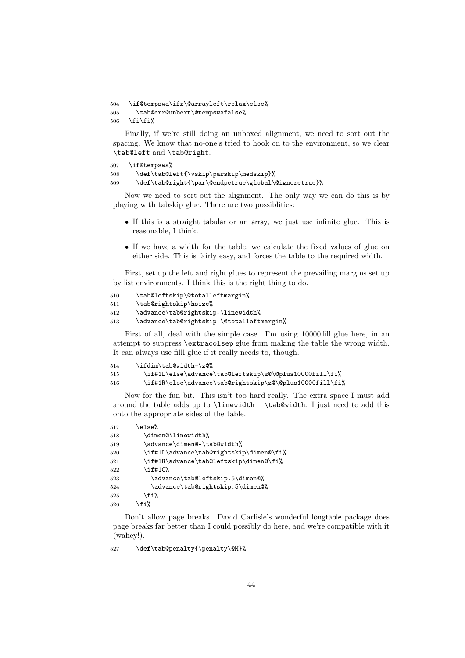```
504 \if@tempswa\ifx\@arrayleft\relax\else%
505 \tab@err@unbext\@tempswafalse%
506 \fi\fi%
```
Finally, if we're still doing an unboxed alignment, we need to sort out the spacing. We know that no-one's tried to hook on to the environment, so we clear \tab@left and \tab@right.

```
507 \if@tempswa%
508 \def\tab@left{\vskip\parskip\medskip}%
509 \def\tab@right{\par\@endpetrue\global\@ignoretrue}%
```
Now we need to sort out the alignment. The only way we can do this is by playing with tabskip glue. There are two possiblities:

- If this is a straight tabular or an array, we just use infinite glue. This is reasonable, I think.
- If we have a width for the table, we calculate the fixed values of glue on either side. This is fairly easy, and forces the table to the required width.

First, set up the left and right glues to represent the prevailing margins set up by list environments. I think this is the right thing to do.

```
510 \tab@leftskip\@totalleftmargin%
511 \tab@rightskip\hsize%
512 \advance\tab@rightskip-\linewidth%
```
513 \advance\tab@rightskip-\@totalleftmargin%

First of all, deal with the simple case. I'm using 10000 fill glue here, in an attempt to suppress \extracolsep glue from making the table the wrong width. It can always use filll glue if it really needs to, though.

```
514 \ifdim\tab@width=\z@%
515 \if#1L\else\advance\tab@leftskip\z@\@plus10000fill\fi%
516 \if#1R\else\advance\tab@rightskip\z@\@plus10000fill\fi%
```
Now for the fun bit. This isn't too hard really. The extra space I must add around the table adds up to \linewidth − \tab@width. I just need to add this onto the appropriate sides of the table.

| 517 | \else%                                  |
|-----|-----------------------------------------|
| 518 | \dimen@\linewidth%                      |
| 519 | \advance\dimen@-\tab@width%             |
| 520 | \if#1L\advance\tab@rightskip\dimen@\fi% |
| 521 | \if#1R\advance\tab@leftskip\dimen@\fi%  |
| 522 | $\iota$ if#1 $C\$                       |
| 523 | \advance\tab@leftskip.5\dimen@%         |
| 524 | \advance\tab@rightskip.5\dimen@%        |
| 525 | \fi%                                    |
| 526 | \fi%                                    |
|     |                                         |

Don't allow page breaks. David Carlisle's wonderful longtable package does page breaks far better than I could possibly do here, and we're compatible with it (wahey!).

527 \def\tab@penalty{\penalty\@M}%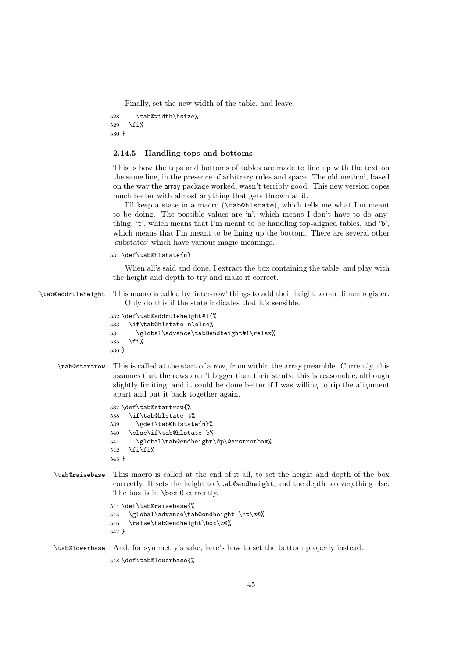Finally, set the new width of the table, and leave.

```
528 \tab@width\hsize%
529 \fi%
530 }
```
### 2.14.5 Handling tops and bottoms

This is how the tops and bottoms of tables are made to line up with the text on the same line, in the presence of arbitrary rules and space. The old method, based on the way the array package worked, wasn't terribly good. This new version copes much better with almost anything that gets thrown at it.

I'll keep a state in a macro (\tab@hlstate), which tells me what I'm meant to be doing. The possible values are 'n', which means I don't have to do anything, 't', which means that I'm meant to be handling top-aligned tables, and 'b', which means that I'm meant to be lining up the bottom. There are several other 'substates' which have various magic meanings.

#### 531 \def\tab@hlstate{n}

When all's said and done, I extract the box containing the table, and play with the height and depth to try and make it correct.

\tab@addruleheight This macro is called by 'inter-row' things to add their height to our dimen register. Only do this if the state indicates that it's sensible.

```
532 \def\tab@addruleheight#1{%
533 \if\tab@hlstate n\else%
534 \global\advance\tab@endheight#1\relax%
535 \overline{1}\536 }
```
\tab@startrow This is called at the start of a row, from within the array preamble. Currently, this assumes that the rows aren't bigger than their struts: this is reasonable, although slightly limiting, and it could be done better if I was willing to rip the alignment apart and put it back together again.

```
537 \def\tab@startrow{%
538 \if\tab@hlstate t%
539 \gdef\tab@hlstate{n}%
540 \else\if\tab@hlstate b%
541 \global\tab@endheight\dp\@arstrutbox%
542 \tilde{\text{f}i}'543 }
```
\tab@raisebase This macro is called at the end of it all, to set the height and depth of the box correctly. It sets the height to \tab@endheight, and the depth to everything else. The box is in \box 0 currently.

```
544 \def\tab@raisebase{%
545 \global\advance\tab@endheight-\ht\z@%
546 \raise\tab@endheight\box\z@%
547 }
```
\tab@lowerbase And, for symmetry's sake, here's how to set the bottom properly instead.

548 \def\tab@lowerbase{%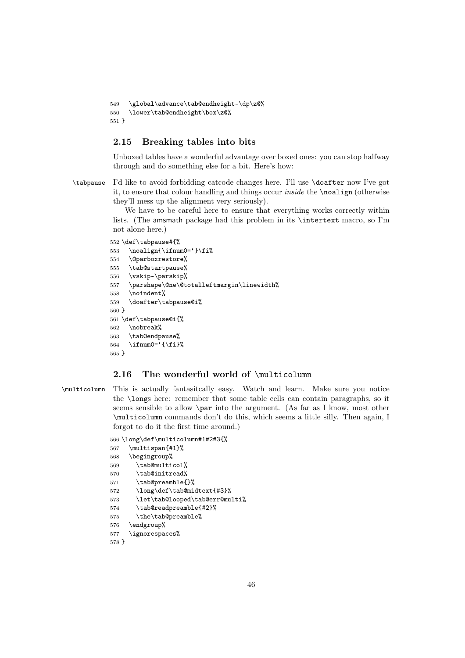```
549 \global\advance\tab@endheight-\dp\z@%
550 \lower\tab@endheight\box\z@%
551 }
```
## 2.15 Breaking tables into bits

Unboxed tables have a wonderful advantage over boxed ones: you can stop halfway through and do something else for a bit. Here's how:

\tabpause I'd like to avoid forbidding catcode changes here. I'll use \doafter now I've got it, to ensure that colour handling and things occur *inside* the \noalign (otherwise they'll mess up the alignment very seriously).

> We have to be careful here to ensure that everything works correctly within lists. (The amsmath package had this problem in its \intertext macro, so I'm not alone here.)

```
552 \def\tabpause#{%
553 \noalign{\ifnum0='}\fi%
554 \@parboxrestore%
555 \tab@startpause%
556 \vskip-\parskip%
557 \parshape\@ne\@totalleftmargin\linewidth%
558 \noindent%
559 \doafter\tabpause@i%
560 }
561 \def\tabpause@i{%
562 \nobreak%
563 \tab@endpause%
564 \ifnum0='{\fi}%
565 }
```
# 2.16 The wonderful world of \multicolumn

\multicolumn This is actually fantasitcally easy. Watch and learn. Make sure you notice the \longs here: remember that some table cells can contain paragraphs, so it seems sensible to allow \par into the argument. (As far as I know, most other \multicolumn commands don't do this, which seems a little silly. Then again, I forgot to do it the first time around.)

```
566 \long\def\multicolumn#1#2#3{%
567 \multispan{#1}%
568 \begingroup%
569 \tab@multicol%
570 \tab@initread%
571 \tab@preamble{}%
572 \long\def\tab@midtext{#3}%
573 \let\tab@looped\tab@err@multi%
574 \tab@readpreamble{#2}%
575 \the\tab@preamble%
576 \endgroup%
577 \ignorespaces%
578 }
```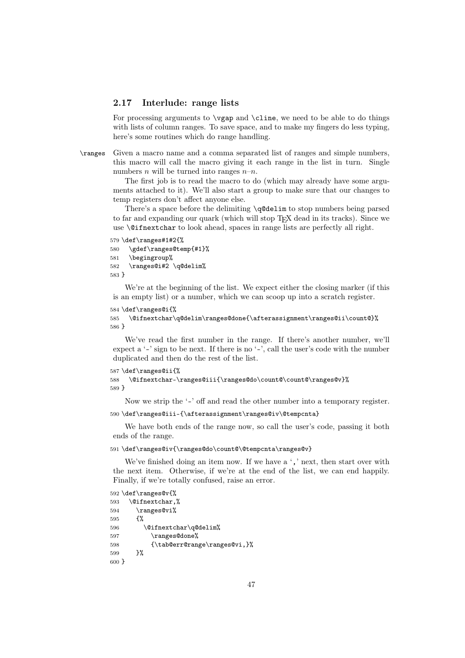### 2.17 Interlude: range lists

For processing arguments to \vgap and \cline, we need to be able to do things with lists of column ranges. To save space, and to make my fingers do less typing. here's some routines which do range handling.

\ranges Given a macro name and a comma separated list of ranges and simple numbers, this macro will call the macro giving it each range in the list in turn. Single numbers *n* will be turned into ranges  $n-n$ .

> The first job is to read the macro to do (which may already have some arguments attached to it). We'll also start a group to make sure that our changes to temp registers don't affect anyone else.

> There's a space before the delimiting \q@delim to stop numbers being parsed to far and expanding our quark (which will stop TFX dead in its tracks). Since we use \@ifnextchar to look ahead, spaces in range lists are perfectly all right.

```
579 \def\ranges#1#2{%
580 \gdef\ranges@temp{#1}%
581 \begingroup%
582 \ranges@i#2 \q@delim%
583 }
```
We're at the beginning of the list. We expect either the closing marker (if this is an empty list) or a number, which we can scoop up into a scratch register.

```
584 \def\ranges@i{%
```

```
585 \@ifnextchar\q@delim\ranges@done{\afterassignment\ranges@ii\count@}%
586 }
```
We've read the first number in the range. If there's another number, we'll expect a '-' sign to be next. If there is no '-', call the user's code with the number duplicated and then do the rest of the list.

```
587 \def\ranges@ii{%
588 \@ifnextchar-\ranges@iii{\ranges@do\count@\count@\ranges@v}%
589 }
```
Now we strip the '-' off and read the other number into a temporary register.

```
590 \def\ranges@iii-{\afterassignment\ranges@iv\@tempcnta}
```
We have both ends of the range now, so call the user's code, passing it both ends of the range.

#### 591 \def\ranges@iv{\ranges@do\count@\@tempcnta\ranges@v}

We've finished doing an item now. If we have a ',' next, then start over with the next item. Otherwise, if we're at the end of the list, we can end happily. Finally, if we're totally confused, raise an error.

```
592 \def\ranges@v{%
593 \@ifnextchar,%
594 \ranges@vi%
595 {%
596 \@ifnextchar\q@delim%
597 \ranges@done%
598 {\tab@err@range\ranges@vi,}%
599 }%
600 }
```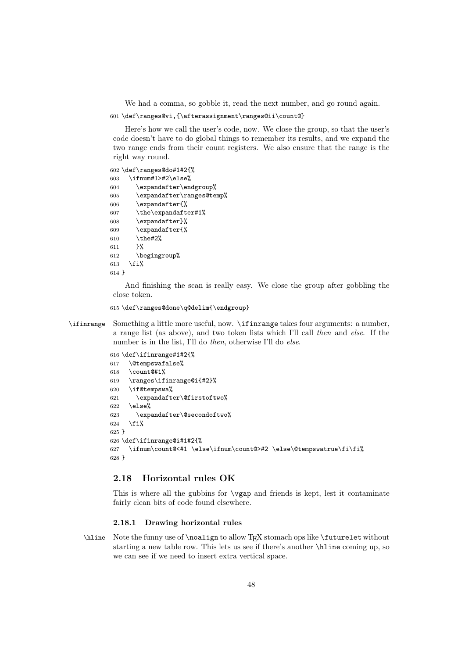We had a comma, so gobble it, read the next number, and go round again.

```
601 \def\ranges@vi,{\afterassignment\ranges@ii\count@}
```
Here's how we call the user's code, now. We close the group, so that the user's code doesn't have to do global things to remember its results, and we expand the two range ends from their count registers. We also ensure that the range is the right way round.

```
602 \def\ranges@do#1#2{%
603 \ifnum#1>#2\else%
604 \expandafter\endgroup%
605 \expandafter\ranges@temp%
606 \expandafter{%
607 \the\expandafter#1%
608 \expandafter}%
609 \expandafter{%
610 \the#2%
611 }%
612 \begingroup%
613 \foralli%
614 }
```
And finishing the scan is really easy. We close the group after gobbling the close token.

615 \def\ranges@done\q@delim{\endgroup}

\ifinrange Something a little more useful, now. \ifinrange takes four arguments: a number, a range list (as above), and two token lists which I'll call *then* and *else*. If the number is in the list, I'll do *then*, otherwise I'll do *else*.

```
616 \def\ifinrange#1#2{%
617 \@tempswafalse%
618 \count@#1%
619 \ranges\ifinrange@i{#2}%
620 \if@tempswa%
621 \expandafter\@firstoftwo%
622 \else%
623 \expandafter\@secondoftwo%
624 \fi%
625 }
626 \def\ifinrange@i#1#2{%
627 \ifnum\count@<#1 \else\ifnum\count@>#2 \else\@tempswatrue\fi\fi%
628 }
```
## 2.18 Horizontal rules OK

This is where all the gubbins for \vgap and friends is kept, lest it contaminate fairly clean bits of code found elsewhere.

#### 2.18.1 Drawing horizontal rules

\hline Note the funny use of \noalign to allow TEX stomach ops like \futurelet without starting a new table row. This lets us see if there's another \hline coming up, so we can see if we need to insert extra vertical space.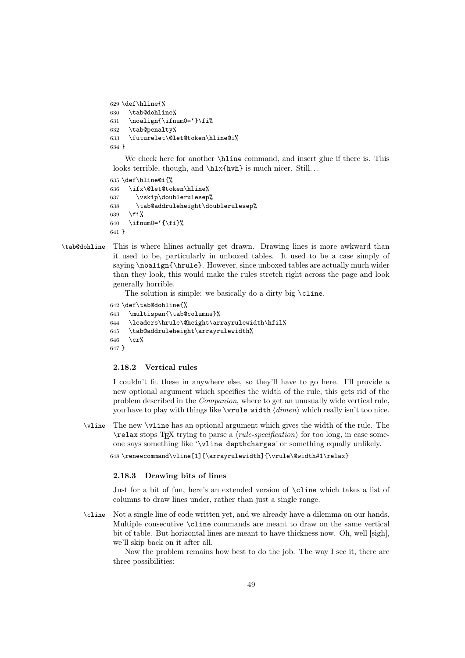```
629 \def\hline{%
630 \tab@dohline%
631 \noalign{\ifnum0='}\fi%
632 \tab@penalty%
633 \futurelet\@let@token\hline@i%
634 }
```
We check here for another \hline command, and insert glue if there is. This looks terrible, though, and  $\hbar x$ fhvh} is much nicer. Still...

```
635 \def\hline@i{%
636 \ifx\@let@token\hline%
637 \vskip\doublerulesep%
638 \tab@addruleheight\doublerulesep%
639 \fi%
640 \ifnum0=\{\ifmmode\{\xi_i\right\}\else{ \tilefta \tilenglength \tilefta \tilefta \tilefta \tilefta \tilefta \tilefta \tilefta \tilefta \tilefta \tilefta \tilefta \tilefta \tilefta \tilefta \tilefta \tilefta \tilefta \tilefta \tilef
641 }
```
\tab@dohline This is where hlines actually get drawn. Drawing lines is more awkward than it used to be, particularly in unboxed tables. It used to be a case simply of saying \noalign{\hrule}. However, since unboxed tables are actually much wider than they look, this would make the rules stretch right across the page and look generally horrible.

The solution is simple: we basically do a dirty big \cline.

```
642 \def\tab@dohline{%
643 \multispan{\tab@columns}%
644 \leaders\hrule\@height\arrayrulewidth\hfil%
645 \tab@addruleheight\arrayrulewidth%
646 \cr%
647 }
```
### 2.18.2 Vertical rules

I couldn't fit these in anywhere else, so they'll have to go here. I'll provide a new optional argument which specifies the width of the rule; this gets rid of the problem described in the *Companion*, where to get an unusually wide vertical rule, you have to play with things like \vrule width  $\langle$ *dimen* $\rangle$  which really isn't too nice.

\vline The new \vline has an optional argument which gives the width of the rule. The  $\text{relax stops TFX trying to parse a } \{rule-specification\}$  for too long, in case someone says something like '\vline depthcharges' or something equally unlikely.

648 \renewcommand\vline[1][\arrayrulewidth]{\vrule\@width#1\relax}

#### 2.18.3 Drawing bits of lines

Just for a bit of fun, here's an extended version of \cline which takes a list of columns to draw lines under, rather than just a single range.

\cline Not a single line of code written yet, and we already have a dilemma on our hands. Multiple consecutive \cline commands are meant to draw on the same vertical bit of table. But horizontal lines are meant to have thickness now. Oh, well [sigh], we'll skip back on it after all.

Now the problem remains how best to do the job. The way I see it, there are three possibilities: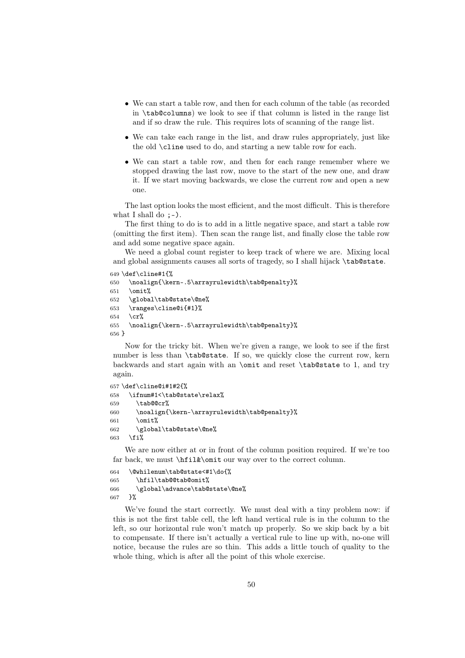- We can start a table row, and then for each column of the table (as recorded in \tab@columns) we look to see if that column is listed in the range list and if so draw the rule. This requires lots of scanning of the range list.
- We can take each range in the list, and draw rules appropriately, just like the old \cline used to do, and starting a new table row for each.
- We can start a table row, and then for each range remember where we stopped drawing the last row, move to the start of the new one, and draw it. If we start moving backwards, we close the current row and open a new one.

The last option looks the most efficient, and the most difficult. This is therefore what I shall do  $:-$ ).

The first thing to do is to add in a little negative space, and start a table row (omitting the first item). Then scan the range list, and finally close the table row and add some negative space again.

We need a global count register to keep track of where we are. Mixing local and global assignments causes all sorts of tragedy, so I shall hijack \tab@state.

```
649 \def\cline#1{%
650 \noalign{\kern-.5\arrayrulewidth\tab@penalty}%
651 \omit%
652 \global\tab@state\@ne%
653 \ranges\cline@i{#1}%
654 \, \text{C}r\%655 \noalign{\kern-.5\arrayrulewidth\tab@penalty}%
656 }
```
Now for the tricky bit. When we're given a range, we look to see if the first number is less than \tab@state. If so, we quickly close the current row, kern backwards and start again with an \omit and reset \tab@state to 1, and try again.

```
657 \def\cline@i#1#2{%
658 \ifnum#1<\tab@state\relax%
659 \tab@@cr%
660 \noalign{\kern-\arrayrulewidth\tab@penalty}%
661 \qquad \text{omit}662 \global\tab@state\@ne%
663 \fi%
```
We are now either at or in front of the column position required. If we're too far back, we must  $\hbar i \& \omit$  our way over to the correct column.

```
664 \@whilenum\tab@state<#1\do{%
665 \hfil\tab@@tab@omit%
666 \global\advance\tab@state\@ne%
667 }%
```
We've found the start correctly. We must deal with a tiny problem now: if this is not the first table cell, the left hand vertical rule is in the column to the left, so our horizontal rule won't match up properly. So we skip back by a bit to compensate. If there isn't actually a vertical rule to line up with, no-one will notice, because the rules are so thin. This adds a little touch of quality to the whole thing, which is after all the point of this whole exercise.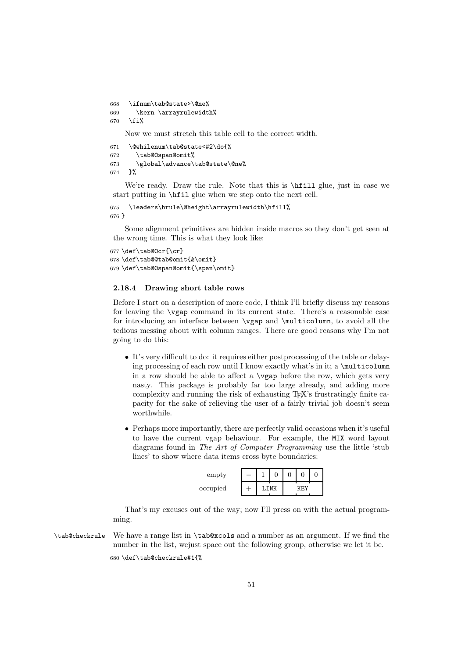```
668 \ifnum\tab@state>\@ne%
669 \kern-\arrayrulewidth%
670 \fi%
```
Now we must stretch this table cell to the correct width.

```
671 \@whilenum\tab@state<#2\do{%
672 \tab@@span@omit%
673 \global\advance\tab@state\@ne%
674 }%
```
We're ready. Draw the rule. Note that this is  $\hbar$ ill glue, just in case we start putting in \hfil glue when we step onto the next cell.

```
675 \leaders\hrule\@height\arrayrulewidth\hfill%
676 }
```
Some alignment primitives are hidden inside macros so they don't get seen at the wrong time. This is what they look like:

```
677 \def\tab@@cr{\cr}
678 \def\tab@@tab@omit{&\omit}
679 \def\tab@@span@omit{\span\omit}
```
## 2.18.4 Drawing short table rows

Before I start on a description of more code, I think I'll briefly discuss my reasons for leaving the \vgap command in its current state. There's a reasonable case for introducing an interface between \vgap and \multicolumn, to avoid all the tedious messing about with column ranges. There are good reasons why I'm not going to do this:

- It's very difficult to do: it requires either postprocessing of the table or delaying processing of each row until I know exactly what's in it; a \multicolumn in a row should be able to affect a \vgap before the row, which gets very nasty. This package is probably far too large already, and adding more complexity and running the risk of exhausting TEX's frustratingly finite capacity for the sake of relieving the user of a fairly trivial job doesn't seem worthwhile.
- Perhaps more importantly, there are perfectly valid occasions when it's useful to have the current vgap behaviour. For example, the MIX word layout diagrams found in *The Art of Computer Programming* use the little 'stub lines' to show where data items cross byte boundaries:

| empty    | - |  |  |     |  |  |
|----------|---|--|--|-----|--|--|
| occupied |   |  |  | 'FV |  |  |

That's my excuses out of the way; now I'll press on with the actual programming.

\tab@checkrule We have a range list in \tab@xcols and a number as an argument. If we find the number in the list, wejust space out the following group, otherwise we let it be. 680 \def\tab@checkrule#1{%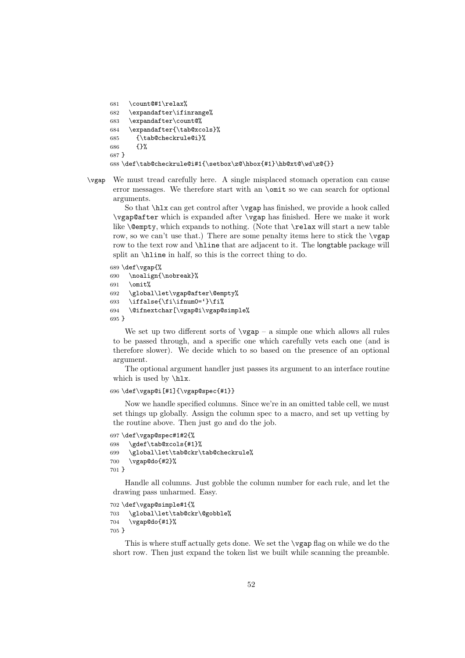```
681 \count@#1\relax%
682 \expandafter\ifinrange%
683 \expandafter\count@%
684 \expandafter{\tab@xcols}%
685 {\tab@checkrule@i}%
686 {}%
687 }
688 \def\tab@checkrule@i#1{\setbox\z@\hbox{#1}\hb@xt@\wd\z@{}}
```
\vgap We must tread carefully here. A single misplaced stomach operation can cause error messages. We therefore start with an \omit so we can search for optional arguments.

So that \hlx can get control after \vgap has finished, we provide a hook called \vgap@after which is expanded after \vgap has finished. Here we make it work like \@empty, which expands to nothing. (Note that \relax will start a new table row, so we can't use that.) There are some penalty items here to stick the  $\vee$ gap row to the text row and **\hline** that are adjacent to it. The longtable package will split an \hline in half, so this is the correct thing to do.

```
689 \def\vgap{%
690 \noalign{\nobreak}%
691 \omit%
692 \global\let\vgap@after\@empty%
693 \iffalse{\fi\ifnum0='}\fi%
694 \@ifnextchar[\vgap@i\vgap@simple%
695 }
```
We set up two different sorts of  $\varepsilon$   $\nu$  a simple one which allows all rules to be passed through, and a specific one which carefully vets each one (and is therefore slower). We decide which to so based on the presence of an optional argument.

The optional argument handler just passes its argument to an interface routine which is used by \hlx.

### 696 \def\vgap@i[#1]{\vgap@spec{#1}}

Now we handle specified columns. Since we're in an omitted table cell, we must set things up globally. Assign the column spec to a macro, and set up vetting by the routine above. Then just go and do the job.

```
697 \def\vgap@spec#1#2{%
698 \gdef\tab@xcols{#1}%
699 \global\let\tab@ckr\tab@checkrule%
700 \vgap@do{#2}%
701 }
```
Handle all columns. Just gobble the column number for each rule, and let the drawing pass unharmed. Easy.

```
702 \def\vgap@simple#1{%
703 \global\let\tab@ckr\@gobble%
704 \vgap@do{#1}%
705 }
```
This is where stuff actually gets done. We set the \vgap flag on while we do the short row. Then just expand the token list we built while scanning the preamble.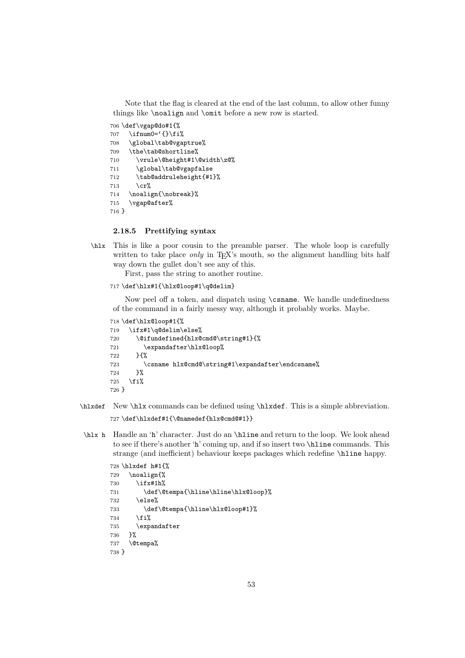Note that the flag is cleared at the end of the last column, to allow other funny things like \noalign and \omit before a new row is started.

```
706 \def\vgap@do#1{%
707 \iint num0='{}\fi%
708 \global\tab@vgaptrue%
709 \the\tab@shortline%
710 \vrule\@height#1\@width\z@%
711 \global\tab@vgapfalse
712 \tab@addruleheight{#1}%
713 \operatorname{cr}%
714 \noalign{\nobreak}%
715 \vgap@after%
716 }
```
### 2.18.5 Prettifying syntax

\hlx This is like a poor cousin to the preamble parser. The whole loop is carefully written to take place *only* in  $T_F X$ 's mouth, so the alignment handling bits half way down the gullet don't see any of this.

First, pass the string to another routine.

717 \def\hlx#1{\hlx@loop#1\q@delim}

Now peel off a token, and dispatch using \csname. We handle undefinedness of the command in a fairly messy way, although it probably works. Maybe.

```
718 \def\hlx@loop#1{%
719 \ifx#1\q@delim\else%
720 \@ifundefined{hlx@cmd@\string#1}{%
721 \expandafter\hlx@loop%
722 }{%
723 \csname hlx@cmd@\string#1\expandafter\endcsname%
724 }%
725 \{f_i\}726 }
```
- \hlxdef New \hlx commands can be defined using \hlxdef. This is a simple abbreviation. 727 \def\hlxdef#1{\@namedef{hlx@cmd@#1}}
- \hlx h Handle an 'h' character. Just do an \hline and return to the loop. We look ahead to see if there's another 'h' coming up, and if so insert two \hline commands. This strange (and inefficient) behaviour keeps packages which redefine \hline happy.

```
728 \hlxdef h#1{%
729 \noalign{%
730 \ifx#1h%
731 \def\@tempa{\hline\hline\hlx@loop}%
732 \else%
733 \def\@tempa{\hline\hlx@loop#1}%
734 \fi%
735 \expandafter
736 }%
737 \@tempa%
738 }
```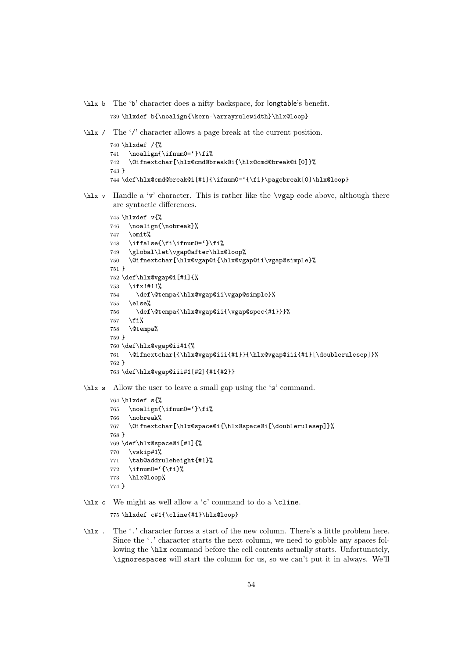\hlx b The 'b' character does a nifty backspace, for longtable's benefit.

```
739 \hlxdef b{\noalign{\kern-\arrayrulewidth}\hlx@loop}
```
\hlx / The '/' character allows a page break at the current position.

```
740 \hlxdef /{%
741 \noalign{\ifnum0='}\fi%
742 \@ifnextchar[\hlx@cmd@break@i{\hlx@cmd@break@i[0]}%
743 }
744 \def\hlx@cmd@break@i[#1]{\ifnum0='{\fi}\pagebreak[0]\hlx@loop}
```
\hlx v Handle a 'v' character. This is rather like the \vgap code above, although there are syntactic differences.

```
745 \hlxdef v{%
746 \noalign{\nobreak}%
747 \omit%
748 \iffalse{\fi\ifnum0='}\fi%
749 \global\let\vgap@after\hlx@loop%
750 \@ifnextchar[\hlx@vgap@i{\hlx@vgap@ii\vgap@simple}%
751 }
752 \def\hlx@vgap@i[#1]{%
753 \ifx!#1!%
754 \def\@tempa{\hlx@vgap@ii\vgap@simple}%
755 \else%
756 \def\@tempa{\hlx@vgap@ii{\vgap@spec{#1}}}%
757 \fi%
758 \@tempa%
759 }
760 \def\hlx@vgap@ii#1{%
761 \@ifnextchar[{\hlx@vgap@iii{#1}}{\hlx@vgap@iii{#1}[\doublerulesep]}%
762 }
763 \def\hlx@vgap@iii#1[#2]{#1{#2}}
```
\hlx s Allow the user to leave a small gap using the 's' command.

```
764 \hlxdef s{%
765 \noalign{\ifnum0='}\fi%
766 \nobreak%
767 \@ifnextchar[\hlx@space@i{\hlx@space@i[\doublerulesep]}%
768 }
769 \def\hlx@space@i[#1]{%
770 \vskip#1%
771 \tab@addruleheight{#1}%
772 \ifnum0='{\fi}%
773 \hlx@loop%
774 }
```
 $\hbar x$  c We might as well allow a 'c' command to do a \cline.

\hlxdef c#1{\cline{#1}\hlx@loop}

\hlx . The '.' character forces a start of the new column. There's a little problem here. Since the '.' character starts the next column, we need to gobble any spaces following the \hlx command before the cell contents actually starts. Unfortunately, \ignorespaces will start the column for us, so we can't put it in always. We'll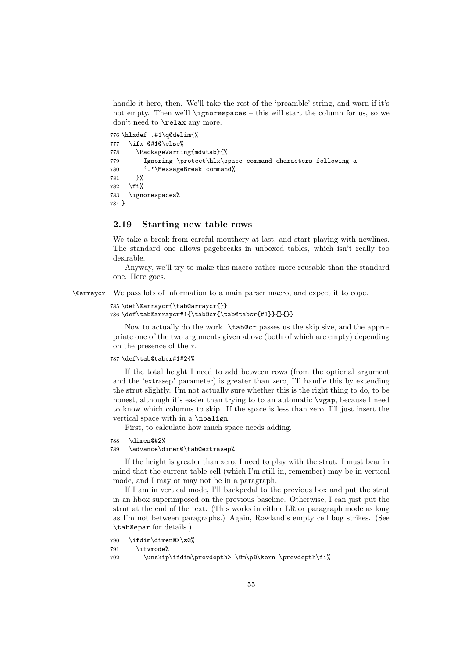handle it here, then. We'll take the rest of the 'preamble' string, and warn if it's not empty. Then we'll \ignorespaces – this will start the column for us, so we don't need to \relax any more.

```
776 \hlxdef .#1\q@delim{%
777 \ifx @#1@\else%
778 \PackageWarning{mdwtab}{%
779 Ignoring \protect\hlx\space command characters following a
780 '.'\MessageBreak command%
781 }%
782 \fi%
783 \ignorespaces%
784 }
```
## 2.19 Starting new table rows

We take a break from careful mouthery at last, and start playing with newlines. The standard one allows pagebreaks in unboxed tables, which isn't really too desirable.

Anyway, we'll try to make this macro rather more reusable than the standard one. Here goes.

\@arraycr We pass lots of information to a main parser macro, and expect it to cope.

```
785 \def\@arraycr{\tab@arraycr{}}
786 \def\tab@arraycr#1{\tab@cr{\tab@tabcr{#1}}{}{}}
```
Now to actually do the work. \tab@cr passes us the skip size, and the appropriate one of the two arguments given above (both of which are empty) depending on the presence of the ∗.

#### 787 \def\tab@tabcr#1#2{%

If the total height I need to add between rows (from the optional argument and the 'extrasep' parameter) is greater than zero, I'll handle this by extending the strut slightly. I'm not actually sure whether this is the right thing to do, to be honest, although it's easier than trying to to an automatic  $\varepsilon$  pecause I need to know which columns to skip. If the space is less than zero, I'll just insert the vertical space with in a \noalign.

First, to calculate how much space needs adding.

```
788 \dimen@#2%
```

```
789 \advance\dimen@\tab@extrasep%
```
If the height is greater than zero, I need to play with the strut. I must bear in mind that the current table cell (which I'm still in, remember) may be in vertical mode, and I may or may not be in a paragraph.

If I am in vertical mode, I'll backpedal to the previous box and put the strut in an hbox superimposed on the previous baseline. Otherwise, I can just put the strut at the end of the text. (This works in either LR or paragraph mode as long as I'm not between paragraphs.) Again, Rowland's empty cell bug strikes. (See \tab@epar for details.)

```
790 \ifdim\dimen@>\z@%
```

```
791 \ifvmode%
```
792 \unskip\ifdim\prevdepth>-\@m\p@\kern-\prevdepth\fi%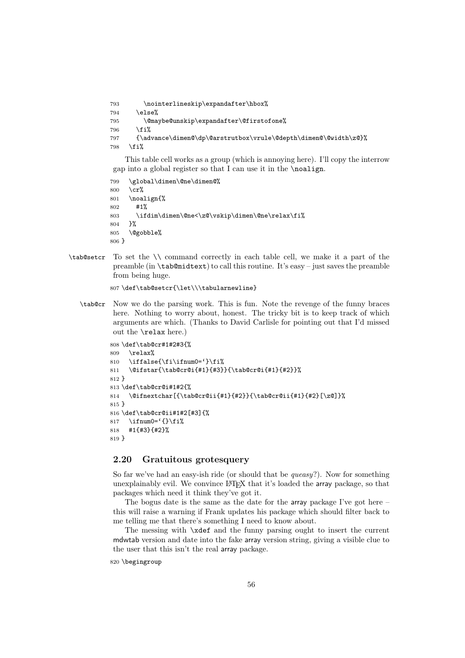\nointerlineskip\expandafter\hbox%  $794$  \else% \@maybe@unskip\expandafter\@firstofone%  $\overline{if'_s}$  {\advance\dimen@\dp\@arstrutbox\vrule\@depth\dimen@\@width\z@}% 798 \fi%

This table cell works as a group (which is annoying here). I'll copy the interrow gap into a global register so that I can use it in the \noalign.

799 \global\dimen\@ne\dimen@% 800 \cr% 801 \noalign{% 802 #1% 803 \ifdim\dimen\@ne<\z@\vskip\dimen\@ne\relax\fi% 804 }% 805 \@gobble% 806 }

\tab@setcr To set the \\ command correctly in each table cell, we make it a part of the preamble (in \tab@midtext) to call this routine. It's easy – just saves the preamble from being huge.

807 \def\tab@setcr{\let\\\tabularnewline}

\tab@cr Now we do the parsing work. This is fun. Note the revenge of the funny braces here. Nothing to worry about, honest. The tricky bit is to keep track of which arguments are which. (Thanks to David Carlisle for pointing out that I'd missed out the \relax here.)

```
808 \def\tab@cr#1#2#3{%
809 \relax%
810 \iffalse{\fi\ifnum0='}\fi%
811 \@ifstar{\tab@cr@i{#1}{#3}}{\tab@cr@i{#1}{#2}}%
812 }
813 \def\tab@cr@i#1#2{%
814 \quad \verb|\@ifnextchar[{{\tab4014}}+42}{<tab@cr@ii{#1}{42}({\tab42}){}{<b>20}</b>}815 }
816 \def\tab@cr@ii#1#2[#3]{%
817 \ifnum0='{}\fi%
818 #1{#3}{#2}%
819 }
```
## 2.20 Gratuitous grotesquery

So far we've had an easy-ish ride (or should that be *queasy*?). Now for something unexplainably evil. We convince  $\angle$ ETEX that it's loaded the array package, so that packages which need it think they've got it.

The bogus date is the same as the date for the array package I've got here – this will raise a warning if Frank updates his package which should filter back to me telling me that there's something I need to know about.

The messing with \xdef and the funny parsing ought to insert the current mdwtab version and date into the fake array version string, giving a visible clue to the user that this isn't the real array package.

```
820 \begingroup
```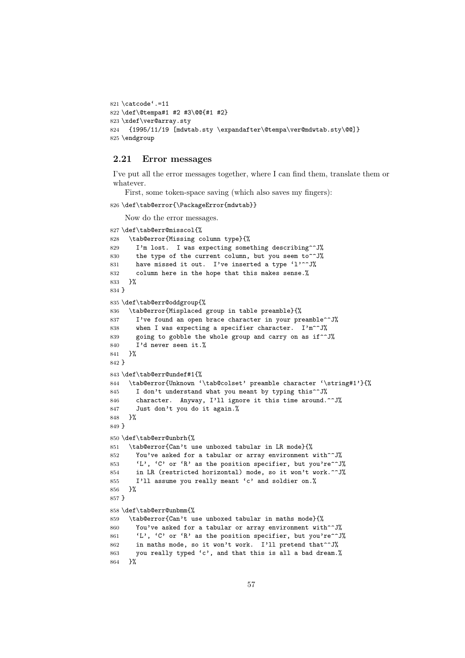```
821 \catcode'.=11
822 \def\@tempa#1 #2 #3\@@{#1 #2}
823 \xdef\ver@array.sty
824 {1995/11/19 [mdwtab.sty \expandafter\@tempa\ver@mdwtab.sty\@@]}
825 \endgroup
```
#### 2.21 Error messages

I've put all the error messages together, where I can find them, translate them or whatever.

First, some token-space saving (which also saves my fingers):

```
826 \def\tab@error{\PackageError{mdwtab}}
```

```
Now do the error messages.
```

```
827 \def\tab@err@misscol{%
828 \tab@error{Missing column type}{%
829 I'm lost. I was expecting something describing^^J%
830 the type of the current column, but you seem to<sup>ool</sup>
831 have missed it out. I've inserted a type 'l'^^J%
832 column here in the hope that this makes sense.%
833 }%
834 }
835 \def\tab@err@oddgroup{%
836 \tab@error{Misplaced group in table preamble}{%
837 I've found an open brace character in your preamble<sup>oo</sup>J%
838 when I was expecting a specifier character. I'm^^J%
839 going to gobble the whole group and carry on as if<sup>^^</sup>J%
840 I'd never seen it.%
841 }%
842 }
843 \def\tab@err@undef#1{%
844 \tab@error{Unknown '\tab@colset' preamble character '\string#1'}{%
845 I don't understand what you meant by typing this<sup>^^J%</sup>
846 character. Anyway, I'll ignore it this time around.^^J%
847 Just don't you do it again.%
848 }%
849 }
850 \def\tab@err@unbrh{%
851 \tab@error{Can't use unboxed tabular in LR mode}{%
852 You've asked for a tabular or array environment with^^J%
853 'L', 'C' or 'R' as the position specifier, but you're^^J%
854 in LR (restricted horizontal) mode, so it won't work.^^J%
855 I'll assume you really meant 'c' and soldier on.%
856 }%
857 }
858 \def\tab@err@unbmm{%
859 \tab@error{Can't use unboxed tabular in maths mode}{%
860 You've asked for a tabular or array environment with<sup>-~J%</sup>
861 'L', 'C' or 'R' as the position specifier, but you're^^J%
862 in maths mode, so it won't work. I'll pretend that<sup>--</sup>J%
863 you really typed 'c', and that this is all a bad dream.%
864 }%
```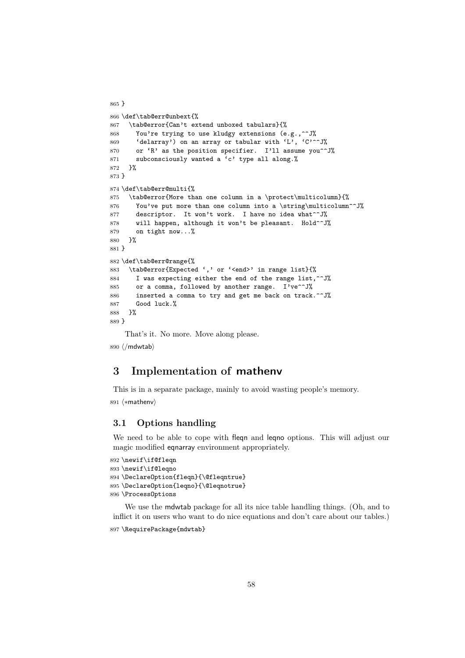```
865 }
866 \def\tab@err@unbext{%
867 \tab@error{Can't extend unboxed tabulars}{%
868 You're trying to use kludgy extensions (e.g.,^^J%
869 'delarray') on an array or tabular with 'L', 'C'^^J%
870 or 'R' as the position specifier. I'll assume you<sup>^^</sup>J%
871 subconsciously wanted a 'c' type all along.%
872 }%
873 }
874 \def\tab@err@multi{%
875 \tab@error{More than one column in a \protect\multicolumn}{%
876 You've put more than one column into a \string\multicolumn^^J%
877 descriptor. It won't work. I have no idea what<sup>**</sup>J%
878 will happen, although it won't be pleasant. Hold^^J%
879 on tight now...%
880 }%
881 }
882 \def\tab@err@range{%
883 \tab@error{Expected ',' or '<end>' in range list}{%
884 I was expecting either the end of the range list,<sup>^^J%</sup>
885 or a comma, followed by another range. I've<sup>oo</sup>J%
886 inserted a comma to try and get me back on track.^^J%
887 Good luck.%
888 }%
889 }
    That's it. No more. Move along please.
```
 $\langle$ /mdwtab $\rangle$ 

# 3 Implementation of mathenv

This is in a separate package, mainly to avoid wasting people's memory.  $\langle * \text{mathenv} \rangle$ 

## 3.1 Options handling

We need to be able to cope with fleqn and leqno options. This will adjust our magic modified eqnarray environment appropriately.

```
892 \newif\if@fleqn
893 \newif\if@leqno
894 \DeclareOption{fleqn}{\@fleqntrue}
895 \DeclareOption{leqno}{\@leqnotrue}
896 \ProcessOptions
```
We use the mdwtab package for all its nice table handling things. (Oh, and to inflict it on users who want to do nice equations and don't care about our tables.) \RequirePackage{mdwtab}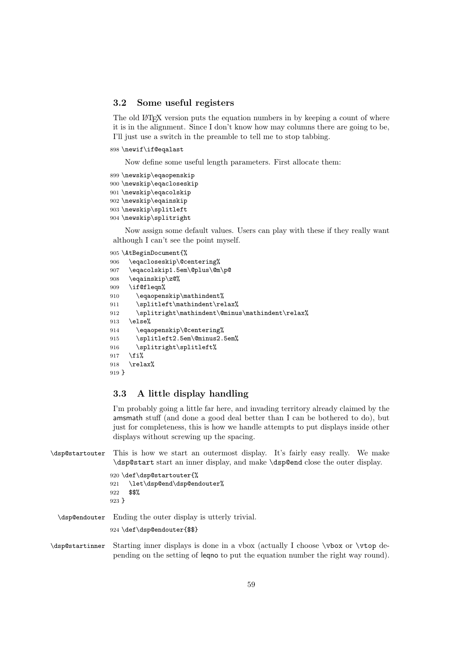## 3.2 Some useful registers

The old LAT<sub>EX</sub> version puts the equation numbers in by keeping a count of where it is in the alignment. Since I don't know how may columns there are going to be, I'll just use a switch in the preamble to tell me to stop tabbing.

898 \newif\if@eqalast

Now define some useful length parameters. First allocate them:

```
899 \newskip\eqaopenskip
900 \newskip\eqacloseskip
901 \newskip\eqacolskip
902 \newskip\eqainskip
903 \newskip\splitleft
904 \newskip\splitright
```
Now assign some default values. Users can play with these if they really want although I can't see the point myself.

```
905 \AtBeginDocument{%
906 \eqacloseskip\@centering%
907 \eqacolskip1.5em\@plus\@m\p@
908 \eqainskip\z@%
909 \if@fleqn%
910 \eqaopenskip\mathindent%
911 \splitleft\mathindent\relax%
912 \splitright\mathindent\@minus\mathindent\relax%
913 \else%
914 \eqaopenskip\@centering%
915 \splitleft2.5em\@minus2.5em%
916 \splitright\splitleft%
917 \fi%
918 \relax%
919 }
```
## 3.3 A little display handling

I'm probably going a little far here, and invading territory already claimed by the amsmath stuff (and done a good deal better than I can be bothered to do), but just for completeness, this is how we handle attempts to put displays inside other displays without screwing up the spacing.

\dsp@startouter This is how we start an outermost display. It's fairly easy really. We make \dsp@start start an inner display, and make \dsp@end close the outer display.

```
920 \def\dsp@startouter{%
921 \let\dsp@end\dsp@endouter%
922 $$%
923 }
```
\dsp@endouter Ending the outer display is utterly trivial.

924 \def\dsp@endouter{\$\$}

\dsp@startinner Starting inner displays is done in a vbox (actually I choose \vbox or \vtop depending on the setting of leqno to put the equation number the right way round).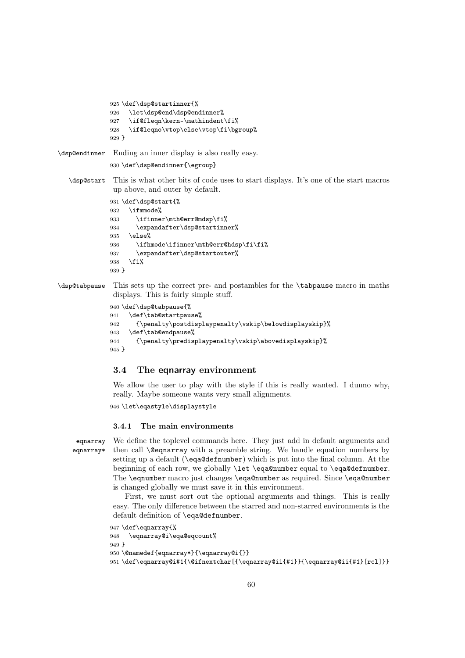```
925 \def\dsp@startinner{%
              926 \let\dsp@end\dsp@endinner%
              927 \if@fleqn\kern-\mathindent\fi%
              928 \if@leqno\vtop\else\vtop\fi\bgroup%
              929 }
\dsp@endinner Ending an inner display is also really easy.
              930 \def\dsp@endinner{\egroup}
   \dsp@start This is what other bits of code uses to start displays. It's one of the start macros
               up above, and outer by default.
              931 \def\dsp@start{%
              932 \ifmmode%
              933 \ifinner\mth@err@mdsp\fi%
              934 \expandafter\dsp@startinner%
              935 \else%
              936 \ifhmode\ifinner\mth@err@hdsp\fi\fi%
              937 \expandafter\dsp@startouter%
              938 \fi%
              939 }
```
\dsp@tabpause This sets up the correct pre- and postambles for the \tabpause macro in maths displays. This is fairly simple stuff.

```
940 \def\dsp@tabpause{%
941 \def\tab@startpause%
942 {\penalty\postdisplaypenalty\vskip\belowdisplayskip}%
943 \def\tab@endpause%
944 {\penalty\predisplaypenalty\vskip\abovedisplayskip}%
945 }
```
## 3.4 The eqnarray environment

We allow the user to play with the style if this is really wanted. I dunno why, really. Maybe someone wants very small alignments.

```
946 \let\eqastyle\displaystyle
```
## 3.4.1 The main environments

eqnarray eqnarray\*

We define the toplevel commands here. They just add in default arguments and then call **\@eqnarray** with a preamble string. We handle equation numbers by setting up a default (\eqa@defnumber) which is put into the final column. At the beginning of each row, we globally \let \eqa@number equal to \eqa@defnumber. The \eqnumber macro just changes \eqa@number as required. Since \eqa@number is changed globally we must save it in this environment.

First, we must sort out the optional arguments and things. This is really easy. The only difference between the starred and non-starred environments is the default definition of \eqa@defnumber.

```
947 \def\eqnarray{%
948 \eqnarray@i\eqa@eqcount%
949 }
950 \@namedef{eqnarray*}{\eqnarray@i{}}
951 \def\eqnarray@i#1{\@ifnextchar[{\eqnarray@ii{#1}}{\eqnarray@ii{#1}[rcl]}}
```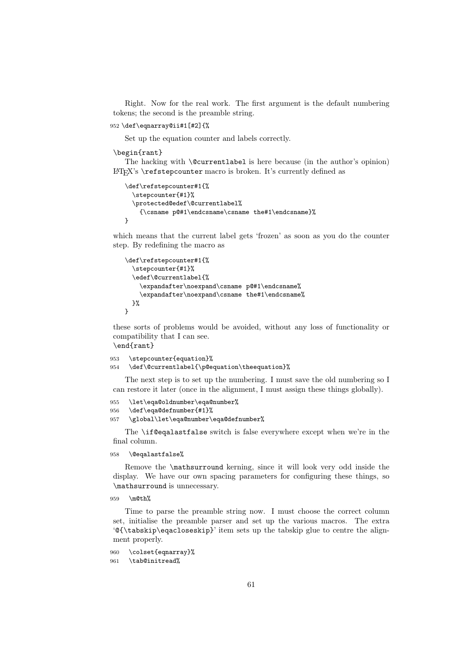Right. Now for the real work. The first argument is the default numbering tokens; the second is the preamble string.

```
952 \def\eqnarray@ii#1[#2]{%
```
Set up the equation counter and labels correctly.

#### \begin{rant}

The hacking with \@currentlabel is here because (in the author's opinion) LATEX's \refstepcounter macro is broken. It's currently defined as

```
\def\refstepcounter#1{%
  \stepcounter{#1}%
  \protected@edef\@currentlabel%
    {\csname p@#1\endcsname\csname the#1\endcsname}%
}
```
which means that the current label gets 'frozen' as soon as you do the counter step. By redefining the macro as

```
\def\refstepcounter#1{%
  \stepcounter{#1}%
  \edef\@currentlabel{%
    \expandafter\noexpand\csname p@#1\endcsname%
    \expandafter\noexpand\csname the#1\endcsname%
  \gamma%
}
```
these sorts of problems would be avoided, without any loss of functionality or compatibility that I can see.

```
\end{rant}
```

```
953 \stepcounter{equation}%
954 \def\@currentlabel{\p@equation\theequation}%
```
The next step is to set up the numbering. I must save the old numbering so I can restore it later (once in the alignment, I must assign these things globally).

```
955 \let\eqa@oldnumber\eqa@number%
956 \def\eqa@defnumber{#1}%
957 \global\let\eqa@number\eqa@defnumber%
```
The \if@eqalastfalse switch is false everywhere except when we're in the final column.

958 \@eqalastfalse%

Remove the \mathsurround kerning, since it will look very odd inside the display. We have our own spacing parameters for configuring these things, so \mathsurround is unnecessary.

```
959 \m@th%
```
Time to parse the preamble string now. I must choose the correct column set, initialise the preamble parser and set up the various macros. The extra '@{\tabskip\eqacloseskip}' item sets up the tabskip glue to centre the alignment properly.

```
960 \colset{eqnarray}%
961 \tab@initread%
```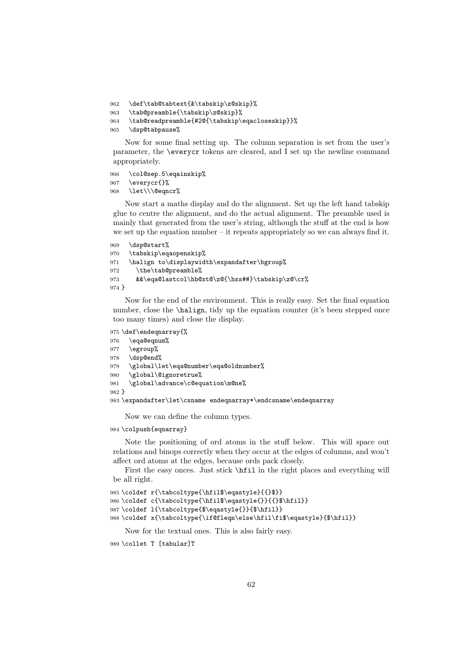```
962 \def\tab@tabtext{&\tabskip\z@skip}%
```

```
963 \tab@preamble{\tabskip\z@skip}%
```

```
964 \tab@readpreamble{#2@{\tabskip\eqacloseskip}}%
```

```
965 \dsp@tabpause%
```
Now for some final setting up. The column separation is set from the user's parameter, the \everycr tokens are cleared, and I set up the newline command appropriately.

```
966 \col@sep.5\eqainskip%
```

```
967 \everycr{}%
```

```
968 \let\\\@eqncr%
```
Now start a maths display and do the alignment. Set up the left hand tabskip glue to centre the alignment, and do the actual alignment. The preamble used is mainly that generated from the user's string, although the stuff at the end is how we set up the equation number – it repeats appropriately so we can always find it.

```
969 \dsp@start%
970 \tabskip\eqaopenskip%
971 \halign to\displaywidth\expandafter\bgroup%
972 \the\tab@preamble%
973 &&\eqa@lastcol\hb@xt@\z@{\hss##}\tabskip\z@\cr%
974 }
```
Now for the end of the environment. This is really easy. Set the final equation number, close the **\halign**, tidy up the equation counter (it's been stepped once too many times) and close the display.

```
975 \def\endeqnarray{%
976 \eqa@eqnum%
977 \egroup%
978 \dsp@end%
979 \global\let\eqa@number\eqa@oldnumber%
980 \global\@ignoretrue%
981 \global\advance\c@equation\m@ne%
982 }
983 \expandafter\let\csname endeqnarray*\endcsname\endeqnarray
```
Now we can define the column types.

984 \colpush{eqnarray}

Note the positioning of ord atoms in the stuff below. This will space out relations and binops correctly when they occur at the edges of columns, and won't affect ord atoms at the edges, because ords pack closely.

First the easy onces. Just stick \hfil in the right places and everything will be all right.

```
985 \coldef r{\tabcoltype{\hfil$\eqastyle}{{}$}}
986 \coldef c{\tabcoltype{\hfil$\eqastyle{}}{{}$\hfil}}
987 \coldef l{\tabcoltype{$\eqastyle{}}{$\hfil}}
988 \coldef x{\tabcoltype{\if@fleqn\else\hfil\fi$\eqastyle}{$\hfil}}
```
Now for the textual ones. This is also fairly easy.

```
989 \collet T [tabular]T
```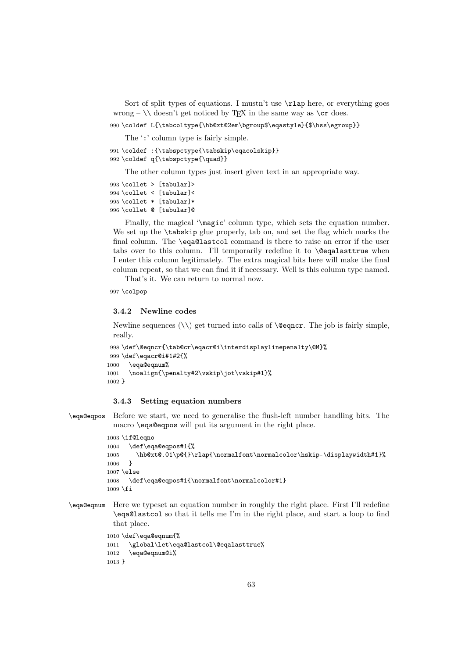Sort of split types of equations. I mustn't use  $\lambda$  lap here, or everything goes wrong –  $\setminus \text{doesn't get noticed by TrX in the same way as } cr does.$ 

990 \coldef L{\tabcoltype{\hb@xt@2em\bgroup\$\eqastyle}{\$\hss\egroup}}

The ':' column type is fairly simple.

```
991 \coldef :{\tabspctype{\tabskip\eqacolskip}}
992 \coldef q{\tabspctype{\quad}}
```
The other column types just insert given text in an appropriate way.

```
993 \collet > [tabular]>
994 \collet < [tabular]<
995 \collet * [tabular]*
996 \collet @ [tabular]@
```
Finally, the magical '\magic' column type, which sets the equation number. We set up the **\tabskip** glue properly, tab on, and set the flag which marks the final column. The \eqa@lastcol command is there to raise an error if the user tabs over to this column. I'll temporarily redefine it to **\@eqalasttrue** when I enter this column legitimately. The extra magical bits here will make the final column repeat, so that we can find it if necessary. Well is this column type named.

That's it. We can return to normal now.

997 \colpop

#### 3.4.2 Newline codes

Newline sequences  $(\setminus)$  get turned into calls of  $\text{deg}_r$ . The job is fairly simple, really.

```
998 \def\@eqncr{\tab@cr\eqacr@i\interdisplaylinepenalty\@M}%
999 \def\eqacr@i#1#2{%
1000 \eqa@eqnum%
1001 \noalign{\penalty#2\vskip\jot\vskip#1}%
1002 }
```
### 3.4.3 Setting equation numbers

\eqa@eqpos Before we start, we need to generalise the flush-left number handling bits. The macro \eqa@eqpos will put its argument in the right place.

```
1003 \if@leqno
1004 \def\eqa@eqpos#1{%
1005 \hb@xt@.01\p@{}\rlap{\normalfont\normalcolor\hskip-\displaywidth#1}%
1006 }
1007 \else
1008 \def\eqa@eqpos#1{\normalfont\normalcolor#1}
1009 \fi
```
\eqa@eqnum Here we typeset an equation number in roughly the right place. First I'll redefine \eqa@lastcol so that it tells me I'm in the right place, and start a loop to find that place.

```
1010 \def\eqa@eqnum{%
1011 \global\let\eqa@lastcol\@eqalasttrue%
1012 \eqa@eqnum@i%
1013 }
```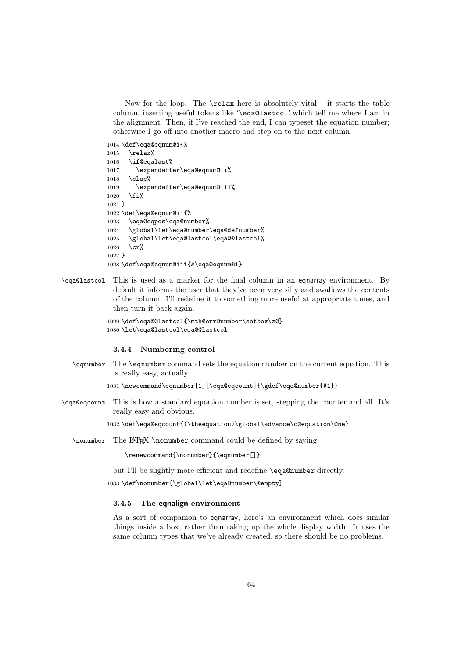Now for the loop. The  $\relaxright$  here is absolutely vital – it starts the table column, inserting useful tokens like '\eqa@lastcol' which tell me where I am in the alignment. Then, if I've reached the end, I can typeset the equation number; otherwise I go off into another macro and step on to the next column.

```
1014 \def\eqa@eqnum@i{%
1015 \relax%
1016 \if@eqalast%
1017 \expandafter\eqa@eqnum@ii%
1018 \else%
1019 \expandafter\eqa@eqnum@iii%
1020 \fi%
1021 }
1022 \def\eqa@eqnum@ii{%
1023 \eqa@eqpos\eqa@number%
1024 \global\let\eqa@number\eqa@defnumber%
1025 \global\let\eqa@lastcol\eqa@@lastcol%
1026 \cr%
1027 }
1028 \def\eqa@eqnum@iii{&\eqa@eqnum@i}
```
\eqa@lastcol This is used as a marker for the final column in an eqnarray environment. By default it informs the user that they've been very silly and swallows the contents of the column. I'll redefine it to something more useful at appropriate times, and then turn it back again.

```
1029 \def\eqa@@lastcol{\mth@err@number\setbox\z@}
1030 \let\eqa@lastcol\eqa@@lastcol
```
#### 3.4.4 Numbering control

\eqnumber The \eqnumber command sets the equation number on the current equation. This is really easy, actually.

```
1031 \newcommand\eqnumber[1][\eqa@eqcount]{\gdef\eqa@number{#1}}
```
\eqa@eqcount This is how a standard equation number is set, stepping the counter and all. It's really easy and obvious.

1032 \def\eqa@eqcount{(\theequation)\global\advance\c@equation\@ne}

\nonumber The LATEX \nonumber command could be defined by saying

\renewcommand{\nonumber}{\eqnumber[]}

but I'll be slightly more efficient and redefine \eqa@number directly.

1033 \def\nonumber{\global\let\eqa@number\@empty}

## 3.4.5 The eqnalign environment

As a sort of companion to eqnarray, here's an environment which does similar things inside a box, rather than taking up the whole display width. It uses the same column types that we've already created, so there should be no problems.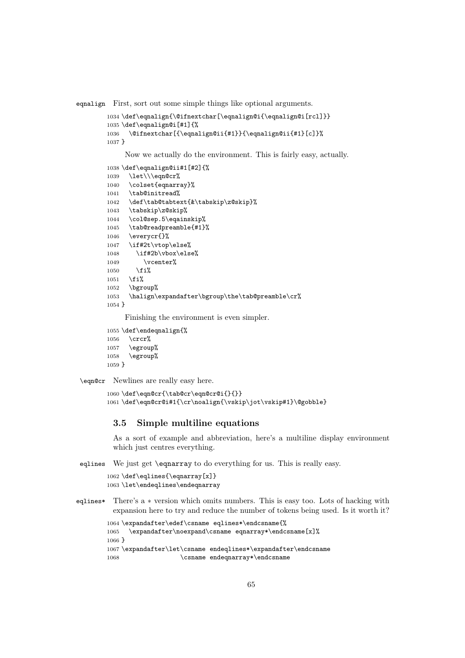eqnalign First, sort out some simple things like optional arguments.

```
1034 \def\eqnalign{\@ifnextchar[\eqnalign@i{\eqnalign@i[rcl]}}
1035 \def\eqnalign@i[#1]{%
1036 \@ifnextchar[{\eqnalign@ii{#1}}{\eqnalign@ii{#1}[c]}%
1037 }
```
Now we actually do the environment. This is fairly easy, actually.

```
1038 \def\eqnalign@ii#1[#2]{%
1039 \let\\\eqn@cr%
1040 \colset{eqnarray}%
1041 \tab@initread%
1042 \def\tab@tabtext{&\tabskip\z@skip}%
1043 \tabskip\z@skip%
1044 \col@sep.5\eqainskip%
1045 \tab@readpreamble{#1}%
1046 \everycr{}%
1047 \if#2t\vtop\else%
1048 \if#2b\vbox\else%
1049 \vcenter%
1050 \fi%
1051 \fi%
1052 \bgroup%
1053 \halign\expandafter\bgroup\the\tab@preamble\cr%
1054 }
```
Finishing the environment is even simpler.

```
1055 \def\endeqnalign{%
1056 \crcr%
1057 \egroup%<br>1058 \egroup%
       \egroup%
1059 }
```
\eqn@cr Newlines are really easy here.

```
1060 \def\eqn@cr{\tab@cr\eqn@cr@i{}{}}
1061 \def\eqn@cr@i#1{\cr\noalign{\vskip\jot\vskip#1}\@gobble}
```
#### 3.5 Simple multiline equations

As a sort of example and abbreviation, here's a multiline display environment which just centres everything.

eqlines We just get \eqnarray to do everything for us. This is really easy.

```
1062 \def\eqlines{\eqnarray[x]}
1063 \let\endeqlines\endeqnarray
```
eqlines\* There's a ∗ version which omits numbers. This is easy too. Lots of hacking with expansion here to try and reduce the number of tokens being used. Is it worth it?

```
1064 \expandafter\edef\csname eqlines*\endcsname{%
1065 \expandafter\noexpand\csname eqnarray*\endcsname[x]%
1066 }
1067 \expandafter\let\csname endeqlines*\expandafter\endcsname
1068 \csname endeqnarray*\endcsname
```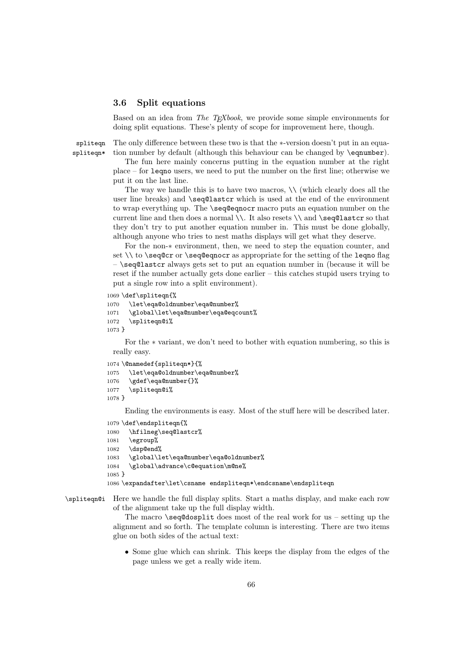### 3.6 Split equations

Based on an idea from *The TEXbook*, we provide some simple environments for doing split equations. These's plenty of scope for improvement here, though.

spliteqn spliteqn\* The only difference between these two is that the ∗-version doesn't put in an equation number by default (although this behaviour can be changed by \eqnumber).

The fun here mainly concerns putting in the equation number at the right place – for leqno users, we need to put the number on the first line; otherwise we put it on the last line.

The way we handle this is to have two macros,  $\setminus \setminus$  (which clearly does all the user line breaks) and \seq@lastcr which is used at the end of the environment to wrap everything up. The \seq@eqnocr macro puts an equation number on the current line and then does a normal \\. It also resets \\ and \seq@lastcr so that they don't try to put another equation number in. This must be done globally, although anyone who tries to nest maths displays will get what they deserve.

For the non-∗ environment, then, we need to step the equation counter, and set  $\setminus$  to  $\seq@cr$  or  $\seq@eqnocr$  as appropriate for the setting of the leqno flag – \seq@lastcr always gets set to put an equation number in (because it will be reset if the number actually gets done earlier – this catches stupid users trying to put a single row into a split environment).

1069 \def\spliteqn{%

```
1070 \let\eqa@oldnumber\eqa@number%
1071 \global\let\eqa@number\eqa@eqcount%
1072 \spliteqn@i%
1073 }
```
For the ∗ variant, we don't need to bother with equation numbering, so this is really easy.

```
1074 \@namedef{spliteqn*}{%
1075 \let\eqa@oldnumber\eqa@number%
1076 \gdef\eqa@number{}%
1077 \spliteqn@i%
1078 }
```
Ending the environments is easy. Most of the stuff here will be described later.

```
1079 \def\endspliteqn{%
1080 \hfilneg\seq@lastcr%
1081 \egroup%
1082 \dsp@end%
1083 \global\let\eqa@number\eqa@oldnumber%
1084 \global\advance\c@equation\m@ne%
1085 }
1086 \expandafter\let\csname endspliteqn*\endcsname\endspliteqn
```

```
\spliteqn@i Here we handle the full display splits. Start a maths display, and make each row
             of the alignment take up the full display width.
```
The macro  $\searrow$  seq@dosplit does most of the real work for us – setting up the alignment and so forth. The template column is interesting. There are two items glue on both sides of the actual text:

• Some glue which can shrink. This keeps the display from the edges of the page unless we get a really wide item.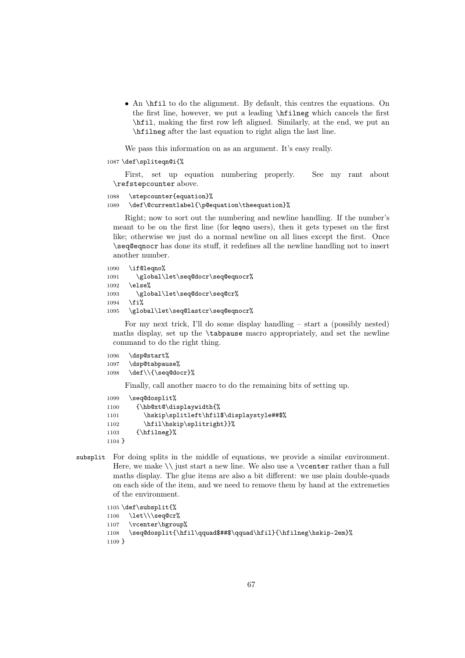• An \hfil to do the alignment. By default, this centres the equations. On the first line, however, we put a leading \hfilneg which cancels the first \hfil, making the first row left aligned. Similarly, at the end, we put an \hfilneg after the last equation to right align the last line.

We pass this information on as an argument. It's easy really.

```
1087 \def\spliteqn@i{%
```
First, set up equation numbering properly. See my rant about \refstepcounter above.

```
1088 \stepcounter{equation}%
```
1089 \def\@currentlabel{\p@equation\theequation}%

Right; now to sort out the numbering and newline handling. If the number's meant to be on the first line (for leqno users), then it gets typeset on the first like; otherwise we just do a normal newline on all lines except the first. Once \seq@eqnocr has done its stuff, it redefines all the newline handling not to insert another number.

```
1090 \if@leqno%
1091 \global\let\seq@docr\seq@eqnocr%
1092 \else%
1093 \global\let\seq@docr\seq@cr%
1094 \fi%
1095 \global\let\seq@lastcr\seq@eqnocr%
```
For my next trick, I'll do some display handling – start a (possibly nested) maths display, set up the \tabpause macro appropriately, and set the newline command to do the right thing.

```
1096 \dsp@start%
1097 \dsp@tabpause%
1098 \def\\{\seq@docr}%
```
Finally, call another macro to do the remaining bits of setting up.

```
1099 \seq@dosplit%
1100 {\hb@xt@\displaywidth{%
1101 \hskip\splitleft\hfil$\displaystyle##$%
1102 \hfil\hskip\splitright}}%
1103 {\hbox{\sf{Hineg}}\n1104 }
```
subsplit For doing splits in the middle of equations, we provide a similar environment. Here, we make  $\setminus \mathcal{E}$  iust start a new line. We also use a  $\vector$  rather than a full maths display. The glue items are also a bit different: we use plain double-quads on each side of the item, and we need to remove them by hand at the extremeties of the environment.

```
1105 \def\subsplit{%
1106 \let\\\seq@cr%
1107 \vcenter\bgroup%
1108 \seq@dosplit{\hfil\qquad$##$\qquad\hfil}{\hfilneg\hskip-2em}%
1109 }
```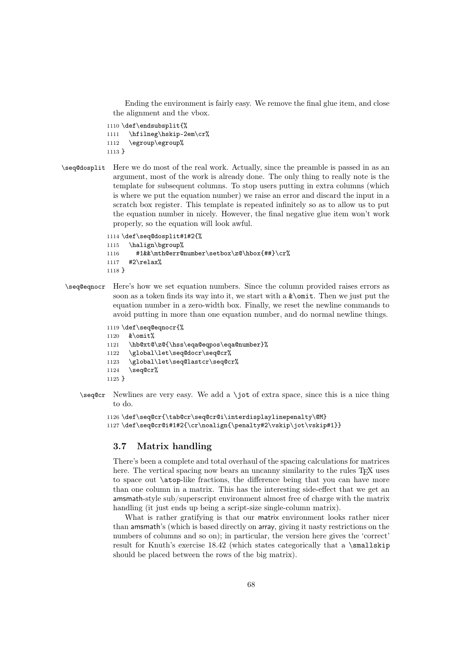Ending the environment is fairly easy. We remove the final glue item, and close the alignment and the vbox.

```
1110 \def\endsubsplit{%
1111 \hfilneg\hskip-2em\cr%
1112 \egroup\egroup%
1113 }
```

```
\seq@dosplit Here we do most of the real work. Actually, since the preamble is passed in as an
               argument, most of the work is already done. The only thing to really note is the
               template for subsequent columns. To stop users putting in extra columns (which
               is where we put the equation number) we raise an error and discard the input in a
               scratch box register. This template is repeated infinitely so as to allow us to put
               the equation number in nicely. However, the final negative glue item won't work
               properly, so the equation will look awful.
```

```
1114 \def\seq@dosplit#1#2{%
1115 \halign\bgroup%
1116 #1&&\mth@err@number\setbox\z@\hbox{##}\cr%
1117 #2\relax%
1118 }
```
\seq@eqnocr Here's how we set equation numbers. Since the column provided raises errors as soon as a token finds its way into it, we start with a  $\&\omit$ . Then we just put the equation number in a zero-width box. Finally, we reset the newline commands to avoid putting in more than one equation number, and do normal newline things.

```
1119 \def\seq@eqnocr{%
1120 &\omit%
1121 \hb@xt@\z@{\hss\eqa@eqpos\eqa@number}%
1122 \global\let\seq@docr\seq@cr%
1123 \global\let\seq@lastcr\seq@cr%
1124 \seq@cr%
1125 }
```
 $\seq@cr$  Newlines are very easy. We add a  $\iota$  of extra space, since this is a nice thing to do.

```
1126 \def\seq@cr{\tab@cr\seq@cr@i\interdisplaylinepenalty\@M}
1127\def\seq@cr@i#1#2{\cr\noalign{\penalty#2\vskip\jot\vskip#1}}
```
## 3.7 Matrix handling

There's been a complete and total overhaul of the spacing calculations for matrices here. The vertical spacing now bears an uncanny similarity to the rules T<sub>E</sub>X uses to space out \atop-like fractions, the difference being that you can have more than one column in a matrix. This has the interesting side-effect that we get an amsmath-style sub/superscript environment almost free of charge with the matrix handling (it just ends up being a script-size single-column matrix).

What is rather gratifying is that our matrix environment looks rather nicer than amsmath's (which is based directly on array, giving it nasty restrictions on the numbers of columns and so on); in particular, the version here gives the 'correct' result for Knuth's exercise  $18.42$  (which states categorically that a \smallskip should be placed between the rows of the big matrix).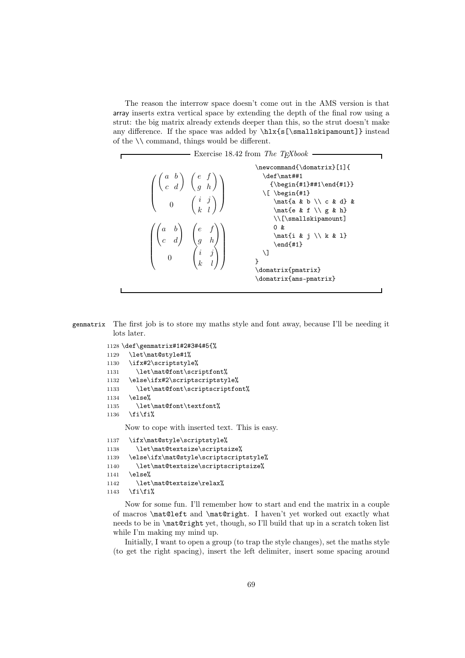The reason the interrow space doesn't come out in the AMS version is that array inserts extra vertical space by extending the depth of the final row using a strut: the big matrix already extends deeper than this, so the strut doesn't make any difference. If the space was added by \hlx{s[\smallskipamount]} instead of the \\ command, things would be different.



genmatrix The first job is to store my maths style and font away, because I'll be needing it lots later.

```
1128 \def\genmatrix#1#2#3#4#5{%
1129 \let\mat@style#1%
1130 \ifx#2\scriptstyle%
1131 \let\mat@font\scriptfont%
1132 \else\ifx#2\scriptscriptstyle%
1133 \let\mat@font\scriptscriptfont%
1134 \else%
1135 \let\mat@font\textfont%
1136 \fi\fi%
```
Now to cope with inserted text. This is easy.

```
1137 \ifx\mat@style\scriptstyle%
1138 \let\mat@textsize\scriptsize%
1139 \else\ifx\mat@style\scriptscriptstyle%
1140 \let\mat@textsize\scriptscriptsize%
1141 \else%
1142 \let\mat@textsize\relax%
1143 \fi\fi%
```
Now for some fun. I'll remember how to start and end the matrix in a couple of macros \mat@left and \mat@right. I haven't yet worked out exactly what needs to be in \mat@right yet, though, so I'll build that up in a scratch token list while I'm making my mind up.

Initially, I want to open a group (to trap the style changes), set the maths style (to get the right spacing), insert the left delimiter, insert some spacing around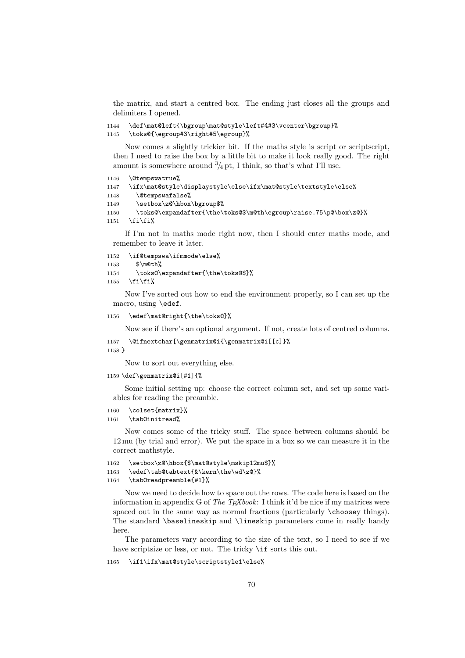the matrix, and start a centred box. The ending just closes all the groups and delimiters I opened.

```
1144 \def\mat@left{\bgroup\mat@style\left#4#3\vcenter\bgroup}%
1145 \toks@{\egroup#3\right#5\egroup}%
```
Now comes a slightly trickier bit. If the maths style is script or scriptscript, then I need to raise the box by a little bit to make it look really good. The right amount is somewhere around  $\frac{3}{4}$  pt, I think, so that's what I'll use.

```
1146 \@tempswatrue%
1147 \ifx\mat@style\displaystyle\else\ifx\mat@style\textstyle\else%
1148 \@tempswafalse%
1149 \setbox\z@\hbox\bgroup$%
1150 \toks@\expandafter{\the\toks@$\m@th\egroup\raise.75\p@\box\z@}%
```
1151  $\tilde{\mathbf{i}}$ 

If I'm not in maths mode right now, then I should enter maths mode, and remember to leave it later.

1152 \if@tempswa\ifmmode\else%

```
1153 $\m@th%
```
- 1154 \toks@\expandafter{\the\toks@\$}%
- 1155 \fi\fi%

Now I've sorted out how to end the environment properly, so I can set up the macro, using \edef.

1156 \edef\mat@right{\the\toks@}%

Now see if there's an optional argument. If not, create lots of centred columns.

```
1157 \@ifnextchar[\genmatrix@i{\genmatrix@i[[c]}%
```
1158 }

Now to sort out everything else.

1159 \def\genmatrix@i[#1]{%

Some initial setting up: choose the correct column set, and set up some variables for reading the preamble.

```
1160 \colset{matrix}%
```
1161 \tab@initread%

Now comes some of the tricky stuff. The space between columns should be 12 mu (by trial and error). We put the space in a box so we can measure it in the correct mathstyle.

```
1162 \setbox\z@\hbox{$\mat@style\mskip12mu$}%
1163 \edef\tab@tabtext{&\kern\the\wd\z@}%
```
### 1164 \tab@readpreamble{#1}%

Now we need to decide how to space out the rows. The code here is based on the information in appendix G of *The TEXbook*: I think it'd be nice if my matrices were spaced out in the same way as normal fractions (particularly \choosey things). The standard \baselineskip and \lineskip parameters come in really handy here.

The parameters vary according to the size of the text, so I need to see if we have scriptsize or less, or not. The tricky  $\iota$ **if** sorts this out.

1165 \if1\ifx\mat@style\scriptstyle1\else%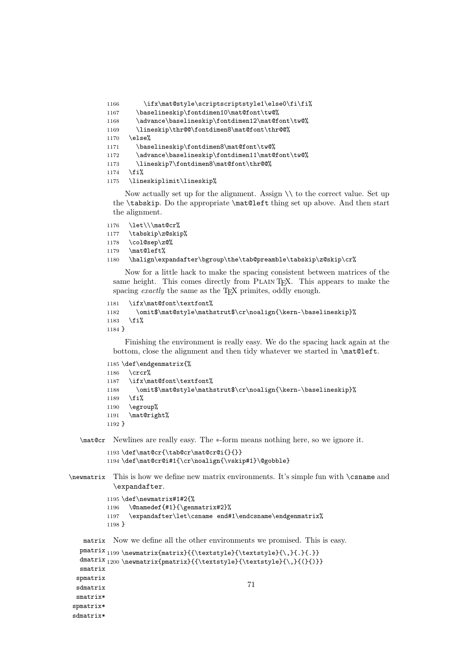```
1166 \ifx\mat@style\scriptscriptstyle1\else0\fi\fi%
1167 \baselineskip\fontdimen10\mat@font\tw@%
1168 \advance\baselineskip\fontdimen12\mat@font\tw@%
1169 \lineskip\thr@@\fontdimen8\mat@font\thr@@%
1170 \else%
1171 \baselineskip\fontdimen8\mat@font\tw@%
1172 \advance\baselineskip\fontdimen11\mat@font\tw@%
1173 \lineskip7\fontdimen8\mat@font\thr@@%
1174 \overline{12\%}1175 \lineskiplimit\lineskip%
```
Now actually set up for the alignment. Assign \\ to the correct value. Set up the \tabskip. Do the appropriate \mat@left thing set up above. And then start the alignment.

```
1176 \let\\\mat@cr%
1177 \tabskip\z@skip%
1178 \col@sep\z@%
1179 \mat@left%
1180 \halign\expandafter\bgroup\the\tab@preamble\tabskip\z@skip\cr%
```
Now for a little hack to make the spacing consistent between matrices of the same height. This comes directly from PLAIN T<sub>E</sub>X. This appears to make the spacing *exactly* the same as the T<sub>E</sub>X primites, oddly enough.

```
1181 \ifx\mat@font\textfont%
1182 \omit$\mat@style\mathstrut$\cr\noalign{\kern-\baselineskip}%
1183 \fi%
1184 }
```
Finishing the environment is really easy. We do the spacing hack again at the bottom, close the alignment and then tidy whatever we started in \mat@left.

```
1185 \def\endgenmatrix{%
1186 \crcr%
1187 \ifx\mat@font\textfont%
1188 \omit$\mat@style\mathstrut$\cr\noalign{\kern-\baselineskip}%
1189 \fi%
1190 \egroup%
1191 \mat@right%
1192 }
```
\mat@cr Newlines are really easy. The ∗-form means nothing here, so we ignore it.

```
1193 \def\mat@cr{\tab@cr\mat@cr@i{}{}}
1194 \def\mat@cr@i#1{\cr\noalign{\vskip#1}\@gobble}
```
\newmatrix This is how we define new matrix environments. It's simple fun with \csname and \expandafter.

```
1195 \def\newmatrix#1#2{%
         1196 \@namedef{#1}{\genmatrix#2}%
         1197 \expandafter\let\csname end#1\endcsname\endgenmatrix%
         1198 }
   matrix
Now we define all the other environments we promised. This is easy.
  pmatrix<sub>1199</sub>\newmatrix{matrix}{{\textstyle}{\textstyle}{\,}{.}}
  dmatrix 1200 \newmatrix{pmatrix}{{\textstyle}{\textstyle}{\,}{(}{)}}
 smatrix
 spmatrix
 sdmatrix
 smatrix*
spmatrix*
                                                 71
```

```
sdmatrix*
```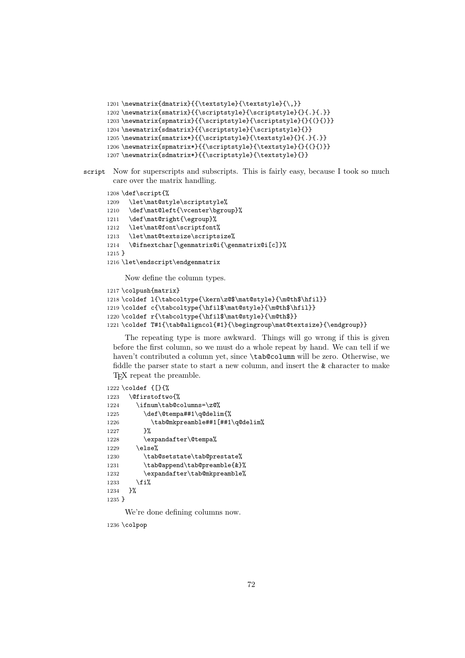```
1201 \newmatrix{dmatrix}{{\textstyle}{\textstyle}{\,}}
1202 \newmatrix{smatrix}{{\scriptstyle}{\scriptstyle}{}{.}{.}}
1203 \newmatrix{spmatrix}{{\scriptstyle}{\scriptstyle}{}{(}{)}}
1204 \newmatrix{sdmatrix}{{\scriptstyle}{\scriptstyle}{}}
1205 \newmatrix{smatrix*}{{\scriptstyle}{\textstyle}{}{.}{.}}
1206 \newmatrix{spmatrix*}{{\scriptstyle}{\textstyle}{}{(}{)}}
1207\newmatrix{sdmatrix*}{{\scriptstyle}{\textstyle}{}}
```

```
script Now for superscripts and subscripts. This is fairly easy, because I took so much
        care over the matrix handling.
```

```
1208 \def\script{%
1209 \let\mat@style\scriptstyle%
1210 \def\mat@left{\vcenter\bgroup}%
1211 \def\mat@right{\egroup}%
1212 \let\mat@font\scriptfont%
1213 \let\mat@textsize\scriptsize%
1214 \@ifnextchar[\genmatrix@i{\genmatrix@i[c]}%
1215 }
1216 \let\endscript\endgenmatrix
```
Now define the column types.

```
1217 \colpush{matrix}
1218 \coldef l{\tabcoltype{\kern\z@$\mat@style}{\m@th$\hfil}}
1219 \coldef c{\tabcoltype{\hfil$\mat@style}{\m@th$\hfil}}
1220 \coldef r{\tabcoltype{\hfil$\mat@style}{\m@th$}}
1221 \coldef T#1{\tab@aligncol{#1}{\begingroup\mat@textsize}{\endgroup}}
```
The repeating type is more awkward. Things will go wrong if this is given before the first column, so we must do a whole repeat by hand. We can tell if we haven't contributed a column yet, since \tab@column will be zero. Otherwise, we fiddle the parser state to start a new column, and insert the & character to make TEX repeat the preamble.

```
1222 \coldef {[}{%
1223 \@firstoftwo{%
1224 \ifnum\tab@columns=\z@%
1225 \def\@tempa##1\q@delim{%
1226 \tab@mkpreamble##1[##1\q@delim%
1227 }%
1228 \expandafter\@tempa%
1229 \else%
1230 \tab@setstate\tab@prestate%
1231 \tab@append\tab@preamble{&}%
1232 \expandafter\tab@mkpreamble%
1233 \overrightarrow{1233}1234 }%
1235 }
```
We're done defining columns now.

1236 \colpop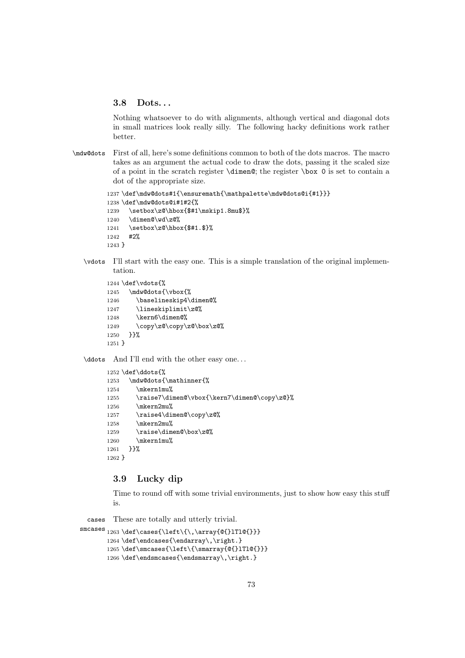#### 3.8 Dots. . .

Nothing whatsoever to do with alignments, although vertical and diagonal dots in small matrices look really silly. The following hacky definitions work rather better.

\mdw@dots First of all, here's some definitions common to both of the dots macros. The macro takes as an argument the actual code to draw the dots, passing it the scaled size of a point in the scratch register  $\dim\mathfrak{g}$ ; the register  $\boxtimes$  0 is set to contain a dot of the appropriate size.

```
1237 \def\mdw@dots#1{\ensuremath{\mathpalette\mdw@dots@i{#1}}}
1238 \def\mdw@dots@i#1#2{%
1239 \setbox\z@\hbox{$#1\mskip1.8mu$}%
1240 \dimen@\wd\z@%
1241 \setbox\z@\hbox{$#1.$}%
1242 #2%
1243 }
```
\vdots I'll start with the easy one. This is a simple translation of the original implementation.

```
1244 \def\vdots{%
1245 \mdw@dots{\vbox{%
1246 \baselineskip4\dimen@%
1247 \lineskiplimit\z@%
1248 \kern6\dimen@%
1249 \copy\z@\copy\z@\box\z@%
1250 }}%
1251 }
```
\ddots And I'll end with the other easy one. . .

```
1252 \def\ddots{%
1253 \mdw@dots{\mathinner{%
1254 \mkern1mu%
1255 \raise7\dimen@\vbox{\kern7\dimen@\copy\z@}%
1256 \mkern2mu%
1257 \raise4\dimen@\copy\z@%
1258 \mkern2mu%
1259 \raise\dimen@\box\z@%
1260 \mkern1mu%
1261 }}%
1262 }
```
#### 3.9 Lucky dip

Time to round off with some trivial environments, just to show how easy this stuff is.

cases These are totally and utterly trivial.

```
\texttt{S} \texttt{S} \texttt{S} \texttt{S} \texttt{S} \texttt{S} \texttt{S} \texttt{S} \texttt{S} \texttt{S} \texttt{S} \texttt{S} \texttt{S} \texttt{S} \texttt{S} \texttt{S} \texttt{S} \texttt{S} \texttt{S} \texttt{S} \texttt{S} \texttt{S} \texttt{S} \texttt{S} \texttt{S} \texttt{S} \texttt{S} \texttt{S} \texttt{S} \texttt{S} \texttt{S} \texttt{S} \texttt{S} \texttt{S} \texttt{S} \texttt{S} \texttt{1264 \def\endcases{\endarray\,\right.}
                      1265 \def\smcases{\left\{\smarray{@{}lTl@{}}}
                      1266 \def\endsmcases{\endsmarray\,\right.}
```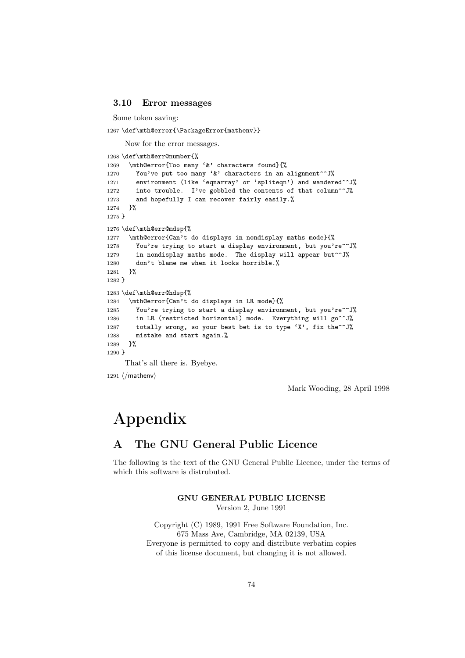#### 3.10 Error messages

Some token saving:

1267 \def\mth@error{\PackageError{mathenv}}

Now for the error messages.

```
1268 \def\mth@err@number{%
1269 \mth@error{Too many '&' characters found}{%
1270 You've put too many '&' characters in an alignment<sup>oo</sup>J%
1271 environment (like 'eqnarray' or 'spliteqn') and wandered<sup>oo</sup>J%
1272 into trouble. I've gobbled the contents of that column<sup>on</sup>J%
1273 and hopefully I can recover fairly easily.%
1274 }%
1275 }
1276 \def\mth@err@mdsp{%
1277 \mth@error{Can't do displays in nondisplay maths mode}{%
1278 You're trying to start a display environment, but you're^^J%
1279 in nondisplay maths mode. The display will appear but<sup>\simJ</sup>%
1280 don't blame me when it looks horrible.%
1281 }%
1282 }
1283 \def\mth@err@hdsp{%
1284 \mth@error{Can't do displays in LR mode}{%
1285 You're trying to start a display environment, but you're^^J%
1286 in LR (restricted horizontal) mode. Everything will go<sup>ool</sup>
1287 totally wrong, so your best bet is to type 'X', fix the^^J%
1288 mistake and start again.%
1289 }%
1290 }
     That's all there is. Byebye.
```
1291  $\langle$ /mathenv $\rangle$ 

Mark Wooding, 28 April 1998

# Appendix

# A The GNU General Public Licence

The following is the text of the GNU General Public Licence, under the terms of which this software is distrubuted.

> GNU GENERAL PUBLIC LICENSE Version 2, June 1991

Copyright (C) 1989, 1991 Free Software Foundation, Inc. 675 Mass Ave, Cambridge, MA 02139, USA Everyone is permitted to copy and distribute verbatim copies of this license document, but changing it is not allowed.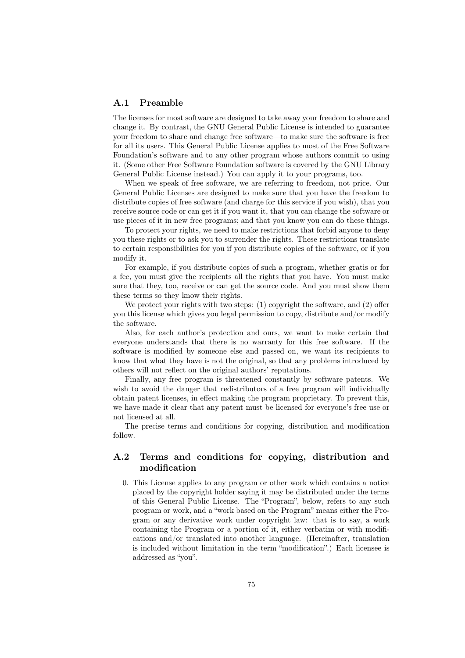#### A.1 Preamble

The licenses for most software are designed to take away your freedom to share and change it. By contrast, the GNU General Public License is intended to guarantee your freedom to share and change free software—to make sure the software is free for all its users. This General Public License applies to most of the Free Software Foundation's software and to any other program whose authors commit to using it. (Some other Free Software Foundation software is covered by the GNU Library General Public License instead.) You can apply it to your programs, too.

When we speak of free software, we are referring to freedom, not price. Our General Public Licenses are designed to make sure that you have the freedom to distribute copies of free software (and charge for this service if you wish), that you receive source code or can get it if you want it, that you can change the software or use pieces of it in new free programs; and that you know you can do these things.

To protect your rights, we need to make restrictions that forbid anyone to deny you these rights or to ask you to surrender the rights. These restrictions translate to certain responsibilities for you if you distribute copies of the software, or if you modify it.

For example, if you distribute copies of such a program, whether gratis or for a fee, you must give the recipients all the rights that you have. You must make sure that they, too, receive or can get the source code. And you must show them these terms so they know their rights.

We protect your rights with two steps: (1) copyright the software, and (2) offer you this license which gives you legal permission to copy, distribute and/or modify the software.

Also, for each author's protection and ours, we want to make certain that everyone understands that there is no warranty for this free software. If the software is modified by someone else and passed on, we want its recipients to know that what they have is not the original, so that any problems introduced by others will not reflect on the original authors' reputations.

Finally, any free program is threatened constantly by software patents. We wish to avoid the danger that redistributors of a free program will individually obtain patent licenses, in effect making the program proprietary. To prevent this, we have made it clear that any patent must be licensed for everyone's free use or not licensed at all.

The precise terms and conditions for copying, distribution and modification follow.

#### A.2 Terms and conditions for copying, distribution and modification

0. This License applies to any program or other work which contains a notice placed by the copyright holder saying it may be distributed under the terms of this General Public License. The "Program", below, refers to any such program or work, and a "work based on the Program" means either the Program or any derivative work under copyright law: that is to say, a work containing the Program or a portion of it, either verbatim or with modifications and/or translated into another language. (Hereinafter, translation is included without limitation in the term "modification".) Each licensee is addressed as "you".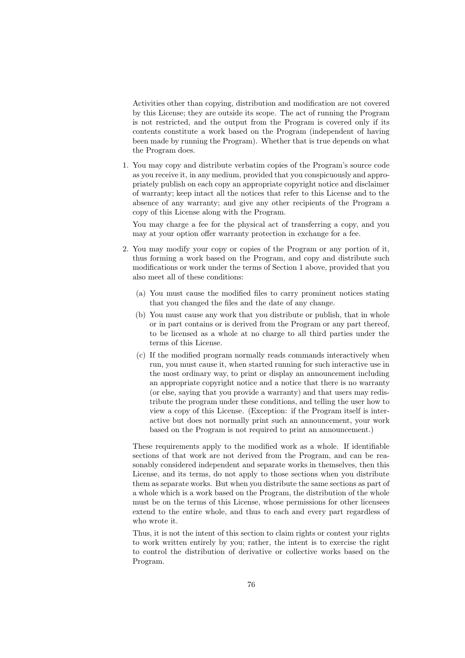Activities other than copying, distribution and modification are not covered by this License; they are outside its scope. The act of running the Program is not restricted, and the output from the Program is covered only if its contents constitute a work based on the Program (independent of having been made by running the Program). Whether that is true depends on what the Program does.

1. You may copy and distribute verbatim copies of the Program's source code as you receive it, in any medium, provided that you conspicuously and appropriately publish on each copy an appropriate copyright notice and disclaimer of warranty; keep intact all the notices that refer to this License and to the absence of any warranty; and give any other recipients of the Program a copy of this License along with the Program.

You may charge a fee for the physical act of transferring a copy, and you may at your option offer warranty protection in exchange for a fee.

- 2. You may modify your copy or copies of the Program or any portion of it, thus forming a work based on the Program, and copy and distribute such modifications or work under the terms of Section 1 above, provided that you also meet all of these conditions:
	- (a) You must cause the modified files to carry prominent notices stating that you changed the files and the date of any change.
	- (b) You must cause any work that you distribute or publish, that in whole or in part contains or is derived from the Program or any part thereof, to be licensed as a whole at no charge to all third parties under the terms of this License.
	- (c) If the modified program normally reads commands interactively when run, you must cause it, when started running for such interactive use in the most ordinary way, to print or display an announcement including an appropriate copyright notice and a notice that there is no warranty (or else, saying that you provide a warranty) and that users may redistribute the program under these conditions, and telling the user how to view a copy of this License. (Exception: if the Program itself is interactive but does not normally print such an announcement, your work based on the Program is not required to print an announcement.)

These requirements apply to the modified work as a whole. If identifiable sections of that work are not derived from the Program, and can be reasonably considered independent and separate works in themselves, then this License, and its terms, do not apply to those sections when you distribute them as separate works. But when you distribute the same sections as part of a whole which is a work based on the Program, the distribution of the whole must be on the terms of this License, whose permissions for other licensees extend to the entire whole, and thus to each and every part regardless of who wrote it.

Thus, it is not the intent of this section to claim rights or contest your rights to work written entirely by you; rather, the intent is to exercise the right to control the distribution of derivative or collective works based on the Program.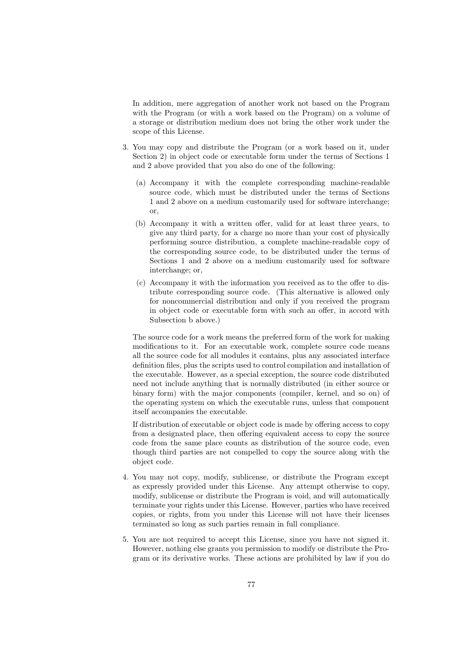In addition, mere aggregation of another work not based on the Program with the Program (or with a work based on the Program) on a volume of a storage or distribution medium does not bring the other work under the scope of this License.

- 3. You may copy and distribute the Program (or a work based on it, under Section 2) in object code or executable form under the terms of Sections 1 and 2 above provided that you also do one of the following:
	- (a) Accompany it with the complete corresponding machine-readable source code, which must be distributed under the terms of Sections 1 and 2 above on a medium customarily used for software interchange; or,
	- (b) Accompany it with a written offer, valid for at least three years, to give any third party, for a charge no more than your cost of physically performing source distribution, a complete machine-readable copy of the corresponding source code, to be distributed under the terms of Sections 1 and 2 above on a medium customarily used for software interchange; or,
	- (c) Accompany it with the information you received as to the offer to distribute corresponding source code. (This alternative is allowed only for noncommercial distribution and only if you received the program in object code or executable form with such an offer, in accord with Subsection b above.)

The source code for a work means the preferred form of the work for making modifications to it. For an executable work, complete source code means all the source code for all modules it contains, plus any associated interface definition files, plus the scripts used to control compilation and installation of the executable. However, as a special exception, the source code distributed need not include anything that is normally distributed (in either source or binary form) with the major components (compiler, kernel, and so on) of the operating system on which the executable runs, unless that component itself accompanies the executable.

If distribution of executable or object code is made by offering access to copy from a designated place, then offering equivalent access to copy the source code from the same place counts as distribution of the source code, even though third parties are not compelled to copy the source along with the object code.

- 4. You may not copy, modify, sublicense, or distribute the Program except as expressly provided under this License. Any attempt otherwise to copy, modify, sublicense or distribute the Program is void, and will automatically terminate your rights under this License. However, parties who have received copies, or rights, from you under this License will not have their licenses terminated so long as such parties remain in full compliance.
- 5. You are not required to accept this License, since you have not signed it. However, nothing else grants you permission to modify or distribute the Program or its derivative works. These actions are prohibited by law if you do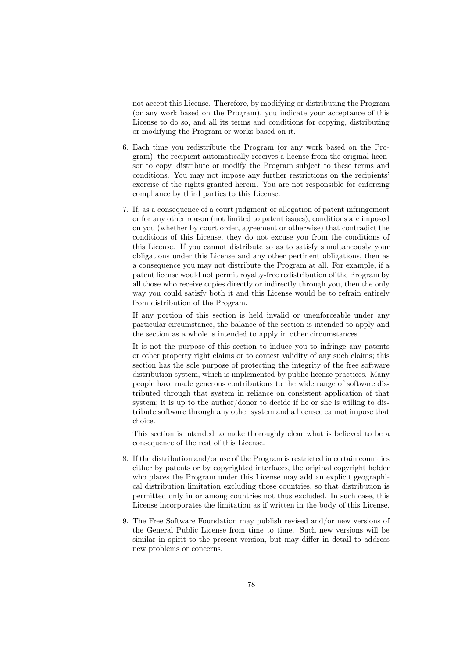not accept this License. Therefore, by modifying or distributing the Program (or any work based on the Program), you indicate your acceptance of this License to do so, and all its terms and conditions for copying, distributing or modifying the Program or works based on it.

- 6. Each time you redistribute the Program (or any work based on the Program), the recipient automatically receives a license from the original licensor to copy, distribute or modify the Program subject to these terms and conditions. You may not impose any further restrictions on the recipients' exercise of the rights granted herein. You are not responsible for enforcing compliance by third parties to this License.
- 7. If, as a consequence of a court judgment or allegation of patent infringement or for any other reason (not limited to patent issues), conditions are imposed on you (whether by court order, agreement or otherwise) that contradict the conditions of this License, they do not excuse you from the conditions of this License. If you cannot distribute so as to satisfy simultaneously your obligations under this License and any other pertinent obligations, then as a consequence you may not distribute the Program at all. For example, if a patent license would not permit royalty-free redistribution of the Program by all those who receive copies directly or indirectly through you, then the only way you could satisfy both it and this License would be to refrain entirely from distribution of the Program.

If any portion of this section is held invalid or unenforceable under any particular circumstance, the balance of the section is intended to apply and the section as a whole is intended to apply in other circumstances.

It is not the purpose of this section to induce you to infringe any patents or other property right claims or to contest validity of any such claims; this section has the sole purpose of protecting the integrity of the free software distribution system, which is implemented by public license practices. Many people have made generous contributions to the wide range of software distributed through that system in reliance on consistent application of that system; it is up to the author/donor to decide if he or she is willing to distribute software through any other system and a licensee cannot impose that choice.

This section is intended to make thoroughly clear what is believed to be a consequence of the rest of this License.

- 8. If the distribution and/or use of the Program is restricted in certain countries either by patents or by copyrighted interfaces, the original copyright holder who places the Program under this License may add an explicit geographical distribution limitation excluding those countries, so that distribution is permitted only in or among countries not thus excluded. In such case, this License incorporates the limitation as if written in the body of this License.
- 9. The Free Software Foundation may publish revised and/or new versions of the General Public License from time to time. Such new versions will be similar in spirit to the present version, but may differ in detail to address new problems or concerns.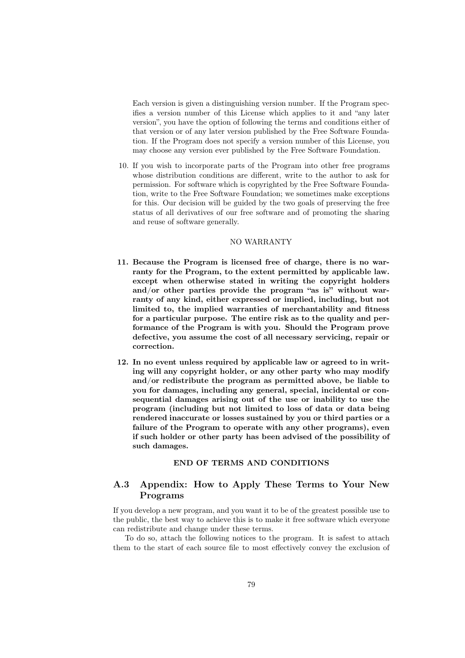Each version is given a distinguishing version number. If the Program specifies a version number of this License which applies to it and "any later version", you have the option of following the terms and conditions either of that version or of any later version published by the Free Software Foundation. If the Program does not specify a version number of this License, you may choose any version ever published by the Free Software Foundation.

10. If you wish to incorporate parts of the Program into other free programs whose distribution conditions are different, write to the author to ask for permission. For software which is copyrighted by the Free Software Foundation, write to the Free Software Foundation; we sometimes make exceptions for this. Our decision will be guided by the two goals of preserving the free status of all derivatives of our free software and of promoting the sharing and reuse of software generally.

#### NO WARRANTY

- 11. Because the Program is licensed free of charge, there is no warranty for the Program, to the extent permitted by applicable law. except when otherwise stated in writing the copyright holders and/or other parties provide the program "as is" without warranty of any kind, either expressed or implied, including, but not limited to, the implied warranties of merchantability and fitness for a particular purpose. The entire risk as to the quality and performance of the Program is with you. Should the Program prove defective, you assume the cost of all necessary servicing, repair or correction.
- 12. In no event unless required by applicable law or agreed to in writing will any copyright holder, or any other party who may modify and/or redistribute the program as permitted above, be liable to you for damages, including any general, special, incidental or consequential damages arising out of the use or inability to use the program (including but not limited to loss of data or data being rendered inaccurate or losses sustained by you or third parties or a failure of the Program to operate with any other programs), even if such holder or other party has been advised of the possibility of such damages.

#### END OF TERMS AND CONDITIONS

#### A.3 Appendix: How to Apply These Terms to Your New Programs

If you develop a new program, and you want it to be of the greatest possible use to the public, the best way to achieve this is to make it free software which everyone can redistribute and change under these terms.

To do so, attach the following notices to the program. It is safest to attach them to the start of each source file to most effectively convey the exclusion of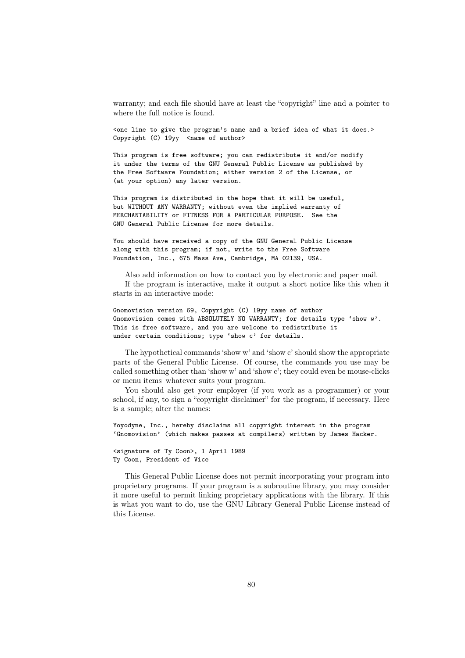warranty; and each file should have at least the "copyright" line and a pointer to where the full notice is found.

<one line to give the program's name and a brief idea of what it does.> Copyright (C) 19yy <name of author>

This program is free software; you can redistribute it and/or modify it under the terms of the GNU General Public License as published by the Free Software Foundation; either version 2 of the License, or (at your option) any later version.

This program is distributed in the hope that it will be useful, but WITHOUT ANY WARRANTY; without even the implied warranty of MERCHANTABILITY or FITNESS FOR A PARTICULAR PURPOSE. See the GNU General Public License for more details.

You should have received a copy of the GNU General Public License along with this program; if not, write to the Free Software Foundation, Inc., 675 Mass Ave, Cambridge, MA 02139, USA.

Also add information on how to contact you by electronic and paper mail. If the program is interactive, make it output a short notice like this when it starts in an interactive mode:

Gnomovision version 69, Copyright (C) 19yy name of author Gnomovision comes with ABSOLUTELY NO WARRANTY; for details type 'show w'. This is free software, and you are welcome to redistribute it under certain conditions; type 'show c' for details.

The hypothetical commands 'show w' and 'show c' should show the appropriate parts of the General Public License. Of course, the commands you use may be called something other than 'show w' and 'show c'; they could even be mouse-clicks or menu items–whatever suits your program.

You should also get your employer (if you work as a programmer) or your school, if any, to sign a "copyright disclaimer" for the program, if necessary. Here is a sample; alter the names:

Yoyodyne, Inc., hereby disclaims all copyright interest in the program 'Gnomovision' (which makes passes at compilers) written by James Hacker.

<signature of Ty Coon>, 1 April 1989 Ty Coon, President of Vice

This General Public License does not permit incorporating your program into proprietary programs. If your program is a subroutine library, you may consider it more useful to permit linking proprietary applications with the library. If this is what you want to do, use the GNU Library General Public License instead of this License.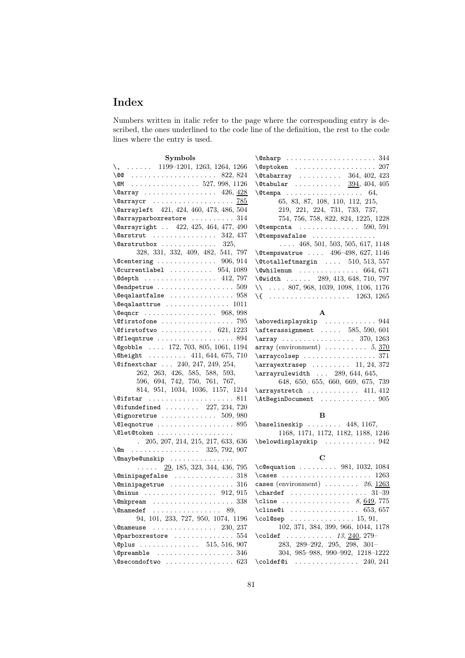# Index

Numbers written in italic refer to the page where the corresponding entry is described, the ones underlined to the code line of the definition, the rest to the code lines where the entry is used.

| ١ |
|---|
|   |
|   |
|   |
|   |
|   |
|   |
|   |
|   |
|   |
|   |
| ć |
|   |
|   |
|   |
|   |
|   |
| ١ |
|   |
|   |
|   |
|   |
| ١ |
|   |
|   |
|   |
|   |
| ¢ |
|   |
| ١ |
|   |
|   |
|   |
|   |
|   |
|   |
|   |
|   |

| $\sqrt{e}$ sharp 344                                                                       |
|--------------------------------------------------------------------------------------------|
|                                                                                            |
| $\text{Utdbarray} \dots \dots \dots \quad 364, 402, 423$                                   |
| $\delta$ \@tabular  394, 404, 405                                                          |
|                                                                                            |
| 65, 83, 87, 108, 110, 112, 215,                                                            |
| 219, 221, 224, 731, 733, 737,                                                              |
| 754, 756, 758, 822, 824, 1225, 1228                                                        |
| $\text{Utempenta}$ 590, 591                                                                |
| \@tempswafalse                                                                             |
| $\ldots$ 468, 501, 503, 505, 617, 1148                                                     |
| \@tempswatrue  496-498, 627, 1146                                                          |
| $\text{\textbackslash}\mathbb{C}$ totalleftmargin $510, 513, 557$                          |
| $\text{Qwhilenum} \dots \dots \dots \dots \dots \ 664, 671$                                |
| \@width  289, 413, 648, 710, 797                                                           |
| $\forall$ 807, 968, 1039, 1098, 1106, 1176                                                 |
|                                                                                            |
| $\setminus \{$ 1263, 1265                                                                  |
| $\mathbf{A}$                                                                               |
|                                                                                            |
| $\lambda$ abovedisplayskip  944                                                            |
| $\texttt{\texttt{afterassigma}}$ 585, 590, 601<br>$\arrow$ 1263                            |
|                                                                                            |
| $array (environment) \dots \dots \dots 5, 370$<br>$\arraycolsep  \ldots \ldots \ldots 371$ |
|                                                                                            |
| $\arrayextrasep   11, 24, 372$                                                             |
| $\arctan$ -  289, 644, 645,<br>648, 650, 655, 660, 669, 675, 739                           |
| $\arraystretch$ 411, 412                                                                   |
| \AtBeginDocument  905                                                                      |
| в                                                                                          |
| $\verb+\baselineskip + \dots + 448, 1167,$                                                 |

|  |  | 1168, 1171, 1172, 1182, 1188, 1246 |  |
|--|--|------------------------------------|--|
|  |  |                                    |  |

#### C

| $\c{equation   981, 1032, 1084}$             |
|----------------------------------------------|
|                                              |
| cases (environment) $\ldots \ldots$ 26, 1263 |
|                                              |
| \cline  8, 649, 775                          |
| \cline@i  653, 657                           |
| \col@sep  15, 91,                            |
|                                              |
| 102, 371, 384, 399, 966, 1044, 1178          |
| \coldef $13, \frac{240}{279}$                |
| $283, 289 - 292, 295, 298, 301 -$            |
| 304, 985-988, 990-992, 1218-1222             |
| $\cdot$ $240, 241$                           |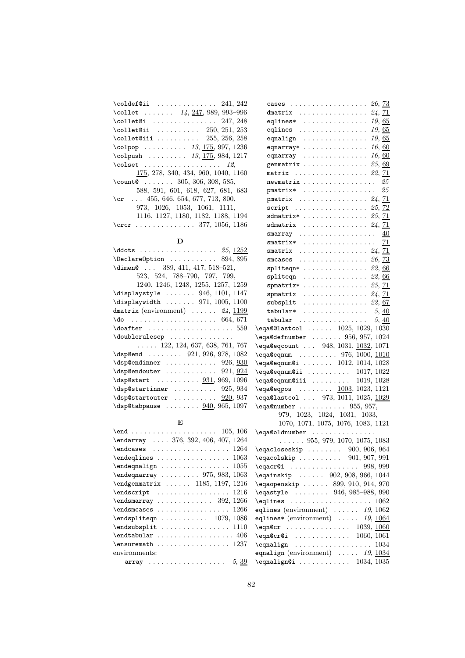| $\cdot$ coldef@ii  241, 242                 |
|---------------------------------------------|
| \collet $14, \underline{247}, 989, 993-996$ |
| $\cdot$ $247, 248$                          |
| $\text{Cellet}$ 250, 251, 253               |
| $\text{Cellet}$ Qiii  255, 256, 258         |
| $\cosh p$ 13, 175, 997, 1236                |
| \colpush $13, 175, 984, 1217$               |
| $\coloneq$ $12$                             |
| 175, 278, 340, 434, 960, 1040, 1160         |
| \count $\ldots$ 305, 306, 308, 585,         |
| 588, 591, 601, 618, 627, 681, 683           |
| \cr $455, 646, 654, 677, 713, 800,$         |
| 973, 1026, 1053, 1061, 1111,                |
| 1116, 1127, 1180, 1182, 1188, 1194          |
|                                             |

#### $\mathbf D$

| $\ddot{\text{odots}} \ldots \ldots \ldots \ldots 25, 1252$        |
|-------------------------------------------------------------------|
| $\Delta$ PeclareOption  894, 895                                  |
| \dimen@  389, 411, 417, 518-521,                                  |
| 523, 524, 788-790, 797, 799,                                      |
| 1240, 1246, 1248, 1255, 1257, 1259                                |
| \displaystyle  946, 1101, 1147                                    |
| $\displaystyle\bigcup\limits_{1\leq j\leq n} 371, 1005, 1100$     |
| dmatrix (environment) $\ldots$ 24, 1199                           |
| $\{do \ldots \ldots \ldots \ldots \ldots 664, 671$                |
|                                                                   |
| \doublerulesep                                                    |
| $\ldots$ 122, 124, 637, 638, 761, 767                             |
| $\d sp@end$ 921, 926, 978, 1082                                   |
| $\d$ sp@endinner  926, 930                                        |
| $\verb \dsp@endouter   \ldots \ldots \ldots 921, \underline{924}$ |
| $\d$ sp@start  931, 969, 1096                                     |
| $\dagger$ $925, 934$                                              |
| $\dagger$ 920, 937                                                |
| $\delta$ , 1097 \dsp@tabpause $940, 965, 1097$                    |

#### E

| \endarray  376, 392, 406, 407, 1264                       |
|-----------------------------------------------------------|
| $\end{cases}$ 1264                                        |
| $\end{equations} \ldots \ldots \ldots \ldots \ldots 1063$ |
|                                                           |
| $\end{eqnarray}$ 975, 983, 1063                           |
| \endgenmatrix  1185, 1197, 1216                           |
|                                                           |
| $\end{smarray}$ 392, 1266                                 |
| $\end{s}$ 1266                                            |
| $\end{split}$ 1079, 1086                                  |
|                                                           |
|                                                           |
| $\text{S}$ \ensuremath 1237                               |
| environments:                                             |
| array $5, 39$                                             |

| cases $26, 73$                                                                                                                                       |  |  |  |  |  |   |  |  |                     |
|------------------------------------------------------------------------------------------------------------------------------------------------------|--|--|--|--|--|---|--|--|---------------------|
| dmatrix $24, 71$                                                                                                                                     |  |  |  |  |  |   |  |  |                     |
| eqlines* $\ldots \ldots \ldots \ldots \ldots 19,65$                                                                                                  |  |  |  |  |  |   |  |  |                     |
| eqlines $\ldots \ldots \ldots \ldots \ldots 19,65$                                                                                                   |  |  |  |  |  |   |  |  |                     |
| equalign $\ldots \ldots \ldots \ldots \ldots 19, 65$                                                                                                 |  |  |  |  |  |   |  |  |                     |
| eqnarray*                                                                                                                                            |  |  |  |  |  |   |  |  | . 16, <u>60</u>     |
| equarray $\ldots \ldots \ldots \ldots 16, 60$                                                                                                        |  |  |  |  |  |   |  |  |                     |
| genmatrix $25,69$                                                                                                                                    |  |  |  |  |  |   |  |  |                     |
| matrix $22, 71$                                                                                                                                      |  |  |  |  |  |   |  |  |                     |
| newmatrix $25$                                                                                                                                       |  |  |  |  |  |   |  |  |                     |
| <b>pmatrix*</b> $25$                                                                                                                                 |  |  |  |  |  |   |  |  |                     |
|                                                                                                                                                      |  |  |  |  |  |   |  |  |                     |
| pmatrix  24, 71<br>script  25, 72                                                                                                                    |  |  |  |  |  |   |  |  |                     |
| sdmatrix* $25, 71$                                                                                                                                   |  |  |  |  |  |   |  |  |                     |
| sdmatrix $24, 71$                                                                                                                                    |  |  |  |  |  |   |  |  |                     |
| smarray $\underline{40}$                                                                                                                             |  |  |  |  |  |   |  |  |                     |
|                                                                                                                                                      |  |  |  |  |  |   |  |  |                     |
| smatrix*  71                                                                                                                                         |  |  |  |  |  |   |  |  |                     |
| smatrix $\ldots \ldots \ldots \ldots \ldots 24, 71$<br>smcases $\ldots \ldots \ldots \ldots 26, 73$                                                  |  |  |  |  |  |   |  |  |                     |
| spliteqn* $22,66$                                                                                                                                    |  |  |  |  |  |   |  |  |                     |
|                                                                                                                                                      |  |  |  |  |  |   |  |  |                     |
| spliteqn $\ldots \ldots \ldots \ldots 22, 66$                                                                                                        |  |  |  |  |  |   |  |  |                     |
| spmatrix* $25, 71$                                                                                                                                   |  |  |  |  |  |   |  |  |                     |
| spmatrix $24, 71$                                                                                                                                    |  |  |  |  |  |   |  |  |                     |
| $\texttt{subsplit}$ 22, 67                                                                                                                           |  |  |  |  |  |   |  |  |                     |
| $tabular*$                                                                                                                                           |  |  |  |  |  | . |  |  | $5, \underline{40}$ |
| $tabular \dots \dots \dots \dots \dots$                                                                                                              |  |  |  |  |  |   |  |  | 5, 40               |
| \eqa@@lastcol  1025, 1029, 1030                                                                                                                      |  |  |  |  |  |   |  |  |                     |
| $\text{eq}a@defnumber \dots 956, 957, 1024$                                                                                                          |  |  |  |  |  |   |  |  |                     |
| \eqa@eqcount  948, 1031, 1032, 1071                                                                                                                  |  |  |  |  |  |   |  |  |                     |
| \eqa@eqnum  976, 1000, 1010                                                                                                                          |  |  |  |  |  |   |  |  |                     |
| $\eqref{eq:1014, 1028} \eqref{eq:1014, 1028}$<br>$\begin{minipage}[c]{0.9\linewidth} \begin{center} \texttt{0.17, 1022} \end{center} \end{minipage}$ |  |  |  |  |  |   |  |  |                     |
| $\begin{bmatrix} \texttt{eqa0eqnum0iii} & \dots & \dots & 1019, 1028 \end{bmatrix}$                                                                  |  |  |  |  |  |   |  |  |                     |
|                                                                                                                                                      |  |  |  |  |  |   |  |  |                     |
| \eqa@eqpos  1003, 1023, 1121                                                                                                                         |  |  |  |  |  |   |  |  |                     |
| \eqa@lastcol  973, 1011, 1025, 1029                                                                                                                  |  |  |  |  |  |   |  |  |                     |
| $\eqref{eq:quantumber    955, 957}$                                                                                                                  |  |  |  |  |  |   |  |  |                     |
| $\begin{array}{cccc} 979, & 1023, & 1024, & 1031, & 1033, \\ 1070, & 1071, & 1075, & 1076, & 1083, & 1121 \end{array}$                               |  |  |  |  |  |   |  |  |                     |
|                                                                                                                                                      |  |  |  |  |  |   |  |  |                     |
| \eqa@oldnumber<br>$\ldots$ . 955, 979, 1070, 1075, 1083                                                                                              |  |  |  |  |  |   |  |  |                     |
| $\text{eqaclosskip} \ldots \ldots \quad 900, 906, 964$                                                                                               |  |  |  |  |  |   |  |  |                     |
|                                                                                                                                                      |  |  |  |  |  |   |  |  |                     |
| $\eqref{eqacolskip   901, 907, 991}$                                                                                                                 |  |  |  |  |  |   |  |  |                     |
| \eqacr@i  998, 999<br>$\leq \leq 902, 908, 966, 1044$                                                                                                |  |  |  |  |  |   |  |  |                     |
| $\leq$ qaopenskip  899, 910, 914, 970                                                                                                                |  |  |  |  |  |   |  |  |                     |
| $\leq 946, 985-988, 990$                                                                                                                             |  |  |  |  |  |   |  |  |                     |
| $\eqref{leglines     1062}$                                                                                                                          |  |  |  |  |  |   |  |  |                     |
|                                                                                                                                                      |  |  |  |  |  |   |  |  |                     |
| eqlines (environment) $\ldots \ldots 19, 1062$<br>eqlines* (environment) $\ldots$ 19, 1064                                                           |  |  |  |  |  |   |  |  |                     |
|                                                                                                                                                      |  |  |  |  |  |   |  |  |                     |
| \eqn@cr  1039, <u>1060</u><br>\eqn@cr@i  1060, 1061                                                                                                  |  |  |  |  |  |   |  |  |                     |
| $\equiv 1034$                                                                                                                                        |  |  |  |  |  |   |  |  |                     |
| equalign (environment) $\ldots$ 19, $\frac{1034}{103}$                                                                                               |  |  |  |  |  |   |  |  |                     |
|                                                                                                                                                      |  |  |  |  |  |   |  |  |                     |

\eqnalign@i ............ 1034, 1035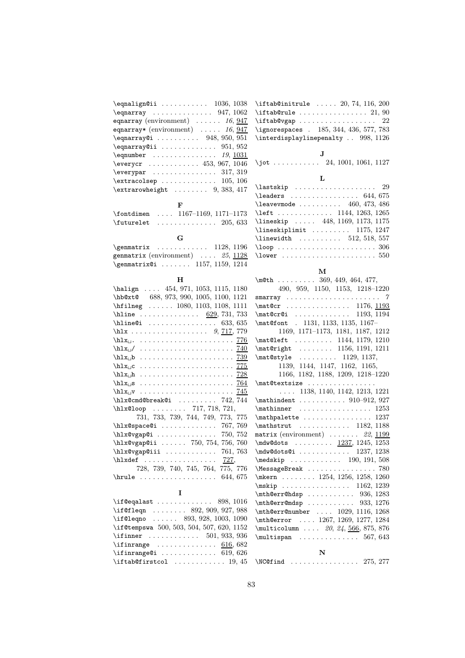| $\qquad$                                                          |
|-------------------------------------------------------------------|
| $\qquad$                                                          |
| equarray (environment) $\ldots \ldots 16,947$                     |
| equarray* (environment) $\ldots$ 16, 947                          |
| $\qquad$ (eqnarray $(i \ldots i \ldots 948, 950, 951)$            |
| $\qquad$                                                          |
|                                                                   |
| $\text{Veverycr } \dots \dots \dots \dots \ 453, \, 967, \, 1046$ |
| $\text{Vever}$ 317, 319                                           |
| $\texttt{text}$ $105, 106$                                        |
| $\text{extrarowheight} \dots \dots \ 9, 383, 417$                 |
| F                                                                 |

| $\cdot$ 1167-1169, 1171-1173                        |
|-----------------------------------------------------|
| $\{\text{futurelet} \dots \dots \dots \ 205, 633\}$ |

| G                                  |  |
|------------------------------------|--|
| $\gamma$ 1128, 1196                |  |
| genmatrix (environment) $25, 1128$ |  |
| \genmatrix@i  1157, 1159, 1214     |  |

### H

| \halign  454, 971, 1053, 1115, 1180                                       |
|---------------------------------------------------------------------------|
| \hb@xt@ 688, 973, 990, 1005, 1100, 1121                                   |
| \hfilneg  1080, 1103, 1108, 1111                                          |
| \hline <u>629</u> , 731, 733                                              |
| $\hbox{hline@i} \ldots \ldots \ldots \ldots \quad 633, 635$               |
| \hlx 9, $717, 779$                                                        |
|                                                                           |
| $\hbox{\tt hlx}_\sqcup / \ldots \ldots \ldots \ldots \ldots \frac{740}{}$ |
|                                                                           |
|                                                                           |
|                                                                           |
| $\hbar x_{\Box}$ s <u>764</u>                                             |
|                                                                           |
| $\hbar x$ @cmd@break@i  742,744                                           |
| \hlx@loop  717, 718, 721,                                                 |
| 731, 733, 739, 744, 749, 773, 775                                         |
| $\hbar x \text{C}$ space $\text{C}$ i  767, 769                           |
| \hlx@vgap@i  750, 752                                                     |
| \hlx@vgap@ii  750, 754, 756, 760                                          |
| $\hbar x \omega y$ gap@iii  761,763                                       |
| $\hbar xdef$ $727$ ,                                                      |
| 728, 739, 740, 745, 764, 775, 776                                         |
| 644, 675                                                                  |
|                                                                           |

| T                                                  |
|----------------------------------------------------|
| \if@eqalast $\ldots \ldots \ldots$ 898, 1016       |
| \if@fleqn  892, 909, 927, 988                      |
| \if@leqno  893, 928, 1003, 1090                    |
| \if@tempswa 500, 503, 504, 507, 620, 1152          |
| \ifinner $501, 933, 936$                           |
| \ifinrange $\dots\dots\dots\dots \ 616,682$        |
|                                                    |
| $\text{iftab@firstcol} \dots \dots \dots \ 19, 45$ |

 $\label{eq:optimal}$  $\label{eq:optimal}$  $\left\{ \Delta b \$ vgap . . . . . . . . . . . . . . . . . 22 \ignorespaces . 185, 344, 436, 577, 783  $\label{thm:optimal}$ 

J \jot . . . . . . . . . . 24, 1001, 1061, 1127

#### L

| $\lambda$ iastskip  29                                  |
|---------------------------------------------------------|
|                                                         |
| $\text{leavevmode}$ 460, 473, 486                       |
| \left  1144, 1263, 1265                                 |
| \lineskip  448, 1169, 1173, 1175                        |
| $\{\text{lineskiplimit} \dots \dots \quad 1175, 1247\}$ |
| $\{\$ {linewidth} \ldots \ldots \quad 512, 518, 557\}   |
|                                                         |
|                                                         |
|                                                         |

#### M

| \m $\text{\#}45.$ 369, 449, 464, 477,                                   |
|-------------------------------------------------------------------------|
| 490, 959, 1150, 1153, 1218-1220                                         |
|                                                                         |
| \mat@cr 1176, 1193                                                      |
| \mat@cr@i  1193, 1194                                                   |
| \mat@font . 1131, 1133, 1135, 1167-                                     |
| 1169, 1171-1173, 1181, 1187, 1212                                       |
| \mat@left  1144, 1179, 1210                                             |
| \mat@right  1156, 1191, 1211                                            |
| $\{\text{0style} \ldots \ldots \quad 1129, 1137, \ldots \}$             |
| 1139, 1144, 1147, 1162, 1165,                                           |
| 1166, 1182, 1188, 1209, 1218-1220                                       |
| \mat@textsize                                                           |
| $\ldots$ 1138, 1140, 1142, 1213, 1221                                   |
| $\mathcal{L}$ 910-912, 927                                              |
| $\mathcal{L}$ 1253                                                      |
| $\mathcal{L}$                                                           |
| \mathstrut  1182, 1188                                                  |
| matrix (environment) $\ldots \ldots$ 22, 1199                           |
| $\text{Cov} 337, 1245, 1253$                                            |
| \mdw@dots@i  1237, 1238                                                 |
| $\medskip \texttt{medskip} \dots \dots \dots \quad 190, 191, 508$       |
| \MessageBreak  780                                                      |
| \mkern  1254, 1256, 1258, 1260                                          |
| $\mskip-8mu\text{mskip} \quad \ldots \quad \mskip-8mu\text{1162, 1239}$ |
| $\mathcal{O}$ \mth@err@hdsp  936, 1283                                  |
| $\mathcal{O}$ \mth@err@mdsp  933, 1276                                  |
| $\mathcal{C}$ \mth@err@number  1029, 1116, 1268                         |
| \mth@error  1267, 1269, 1277, 1284                                      |
| \multicolumn  20, 24, 566, 875, 876                                     |
| $\mu$ ltispan  567, 643                                                 |
| N                                                                       |
| $\N$ C@find  275, 277                                                   |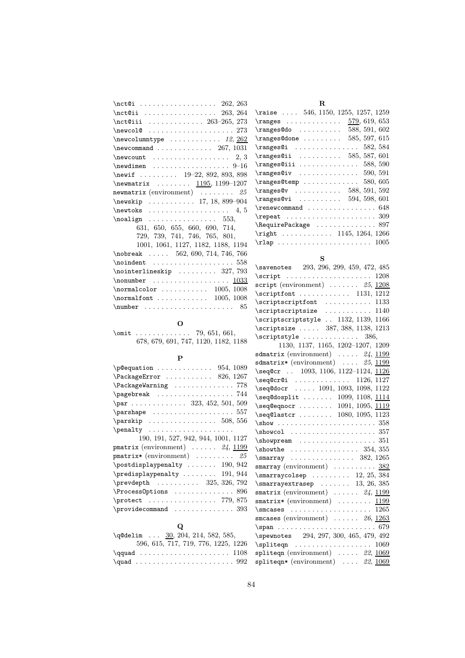| $\cdot 262, 263$                                                                                                                                                                                                                                                   |
|--------------------------------------------------------------------------------------------------------------------------------------------------------------------------------------------------------------------------------------------------------------------|
| $\cdot$ 263, 264                                                                                                                                                                                                                                                   |
| \nct@iii  263-265, 273                                                                                                                                                                                                                                             |
| $\neq 273$                                                                                                                                                                                                                                                         |
| $\newcolumntype \dots \dots \dots 12, 262$                                                                                                                                                                                                                         |
| $\neq$ Command  267, 1031                                                                                                                                                                                                                                          |
| $\neq 2, 3$                                                                                                                                                                                                                                                        |
| $\neq$ $\neq$ $\neq$ $\neq$ $\neq$ $\neq$ $\neq$ $\neq$ $\neq$ $\neq$ $\neq$ $\neq$ $\neq$ $\neq$ $\neq$ $\neq$ $\neq$ $\neq$ $\neq$ $\neq$ $\neq$ $\neq$ $\neq$ $\neq$ $\neq$ $\neq$ $\neq$ $\neq$ $\neq$ $\neq$ $\neq$ $\neq$ $\neq$ $\neq$ $\neq$ $\neq$ $\neq$ |
| \newif $19-22, 892, 893, 898$                                                                                                                                                                                                                                      |
| $\neq$ $\neq$ $\dots$ $\dots$ $\frac{1195}{1199-1207}$                                                                                                                                                                                                             |
| newmatrix (environment) $\ldots \ldots \ldots$ 25                                                                                                                                                                                                                  |
| \newskip  17, 18, 899-904                                                                                                                                                                                                                                          |
| $\neq 4, 5$                                                                                                                                                                                                                                                        |
| $\n\cdot 53,$                                                                                                                                                                                                                                                      |
| 631, 650, 655, 660, 690, 714,                                                                                                                                                                                                                                      |
| 729, 739, 741, 746, 765, 801,                                                                                                                                                                                                                                      |
| 1001, 1061, 1127, 1182, 1188, 1194                                                                                                                                                                                                                                 |
| $\nobreak$ 562, 690, 714, 746, 766                                                                                                                                                                                                                                 |
|                                                                                                                                                                                                                                                                    |
| $\verb+\nointerlineskip+ 327, 793$                                                                                                                                                                                                                                 |
| $\nonumber$ \nonumber  1033                                                                                                                                                                                                                                        |
| $\normalfont \textsf{normalcolor} \dots \dots \dots \ 1005, 1008$                                                                                                                                                                                                  |
|                                                                                                                                                                                                                                                                    |
| $\text{number}$ 85                                                                                                                                                                                                                                                 |

# R

| \raise $\ldots$ 546, 1150, 1255, 1257, 1259                     |  |  |  |  |  |  |  |               |
|-----------------------------------------------------------------|--|--|--|--|--|--|--|---------------|
|                                                                 |  |  |  |  |  |  |  | 579, 619, 653 |
| \ranges@do                                                      |  |  |  |  |  |  |  | 588, 591, 602 |
| $\langle \text{range}$ Sdone                                    |  |  |  |  |  |  |  | 585, 597, 615 |
| $\texttt{\textbackslash} 582, 584$                              |  |  |  |  |  |  |  |               |
| $\texttt{\{ranges@ii} \dots \dots \dots \ 585, 587, 601}$       |  |  |  |  |  |  |  |               |
| $\texttt{\textbackslash} 588, 590$                              |  |  |  |  |  |  |  |               |
|                                                                 |  |  |  |  |  |  |  |               |
| $\text{ranges@temp} \dots \dots \dots \dots \dots \ 580, \,605$ |  |  |  |  |  |  |  |               |
| $\texttt{\{ranges@v} \dots \dots \dots \ 588, 591, 592}$        |  |  |  |  |  |  |  |               |
| $\text{ranges@vi} \dots \dots \dots \ 594, 598, 601$            |  |  |  |  |  |  |  |               |
|                                                                 |  |  |  |  |  |  |  |               |
|                                                                 |  |  |  |  |  |  |  |               |
|                                                                 |  |  |  |  |  |  |  |               |
| $\right \cdot \cdot \cdot \cdot \cdot \cdot 1145, 1264, 1266$   |  |  |  |  |  |  |  |               |
|                                                                 |  |  |  |  |  |  |  |               |

# S

| \savenotes 293, 296, 299, 459, 472, 485                      |
|--------------------------------------------------------------|
| \script                                                      |
| script (environment) $\ldots \ldots$ 25, 1208                |
| $\scriptstyle\setminus$ scriptfont  1131, 1212               |
| $\scriptstyle\setminus$ scriptscriptfont  1133               |
| $\scriptstyle\setminus$ scriptscriptsize  1140               |
| \scriptscriptstyle  1132, 1139, 1166                         |
| $\scriptstyle\backslash$ scriptsize  387, 388, 1138, 1213    |
| 386,                                                         |
| $1130,\ 1137,\ 1165,\ 1202–1207,\ 1209$                      |
| sdmatrix (environment) $\ldots$ 24, 1199                     |
| sdmatrix* (environment) $\ldots$ 25, 1199                    |
| \seq@cr  1093, 1106, 1122-1124, 1126                         |
| $\seq@cr@i$ 1126, 1127                                       |
| \seq@docr  1091, 1093, 1098, 1122                            |
| $\seq@dosplit \ldots \ldots 1099, 1108, \underline{1114}$    |
| $\seq$ @eqnocr  1091, 1095, <u>1119</u>                      |
| $\seq$ @lastcr  1080, 1095, 1123                             |
|                                                              |
| $\simeq 357$                                                 |
| $\simeq 351$                                                 |
| $\lambda$ 354, 355                                           |
| $\simeq 382, 1265$                                           |
| smarray (environment) $\ldots \ldots \ldots \frac{382}{382}$ |
| $\mathrm{x}$ \smarraycolsep  12, 25, 384                     |
| $\mathrm{x}$ \smarrayextrasep  13, 26, 385                   |
| smatrix (environment) $\ldots$ $24, 1199$                    |
| smatrix* (environment)  1199                                 |
|                                                              |
| smcases (environment) $\ldots \ldots$ 26, 1263               |
| $\spam \ldots \ldots \ldots \ldots \ldots \ldots \qquad 679$ |
| \spewnotes 294, 297, 300, 465, 479, 492                      |
|                                                              |
| spliteqn (environment) $\ldots$ 22, 1069                     |
| spliteqn* (environment)  22, 1069                            |
|                                                              |

| \omit  79, 651, 661,                 |  |
|--------------------------------------|--|
| 678, 679, 691, 747, 1120, 1182, 1188 |  |

O

## P

| $\begin{array}{ccc}\n\text{pequation} & \dots & \dots & \dots & 954,1089\n\end{array}$ |
|----------------------------------------------------------------------------------------|
| $\Pack$ ackageError  826, 1267                                                         |
| \PackageWarning  778                                                                   |
| $\text{pagebreak} \dots \dots \dots \dots \dots \ 744$                                 |
|                                                                                        |
| $\{parshape \ldots \ldots \ldots \ldots 557$                                           |
| $\text{parskip}$ 508, 556                                                              |
| $\penalty \dots \dots \dots \dots \dots$                                               |
| 190, 191, 527, 942, 944, 1001, 1127                                                    |
| <b>pmatrix</b> (environment) $\ldots \ldots$ 24, 1199                                  |
| <b>pmatrix*</b> (environment) $\ldots \ldots \ldots 25$                                |
| $\text{postdisplaypenalty} \dots 190, 942$                                             |
| \predisplaypenalty  191, 944                                                           |
| $\preceq$ 325, 326, 792                                                                |
| $\Process0$ ptions  896                                                                |
| \protect  779,875                                                                      |
|                                                                                        |
| Q                                                                                      |

| $\qquad$ $\underline{30}$ , 204, 214, 582, 585,         |  |  |  |  |  |  |  |  |  |  |                                     |  |
|---------------------------------------------------------|--|--|--|--|--|--|--|--|--|--|-------------------------------------|--|
|                                                         |  |  |  |  |  |  |  |  |  |  | 596, 615, 717, 719, 776, 1225, 1226 |  |
| $\qquad \ldots \ldots \ldots \ldots \qquad \qquad 1108$ |  |  |  |  |  |  |  |  |  |  |                                     |  |
| $\quad \ldots \ldots \ldots \ldots \quad 992$           |  |  |  |  |  |  |  |  |  |  |                                     |  |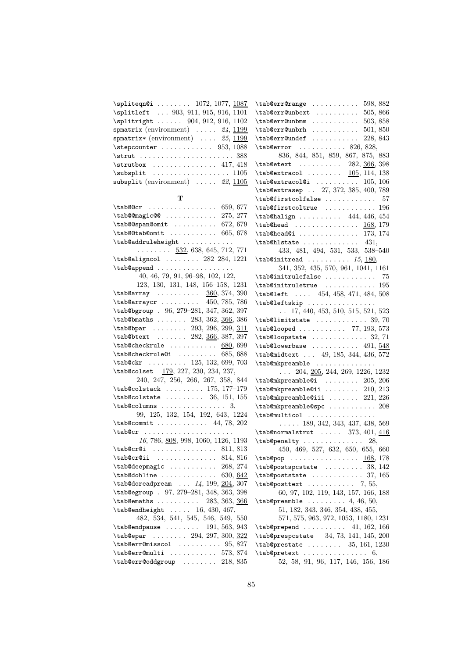| \spliteqn@i  1072, 1077, 1087<br>$\{\texttt{tab@err@range} \dots \dots \dots \ 598, 882\}$<br>\splitleft  903, 911, 915, 916, 1101<br>\tab@err@unbext<br>505, 866<br>\splitright  904, 912, 916, 1102<br>$\{\texttt{tab@err@unbmm} \ldots \ldots \ldots \ 503, 858\}$<br>spmatrix (environment) $\ldots$ 24, 1199<br>$\{\texttt{tab@err@unbrh} \ldots \ldots \ldots \ 501, 850\}$<br>spmatrix* (environment) $\ldots$ 25, 1199<br>\tab@err@undef<br>228, 843<br>$\setminus$ stepcounter  953, 1088<br>$\{\text{tab@error} \dots \dots \dots \ 826, 828,\}$<br>836, 844, 851, 859, 867, 875, 883<br>$\strut \quad \ldots \quad \ldots \quad \ldots \quad \ldots \quad \ldots$<br>$\strut \text{array} \ldots \ldots \quad \text{417, 418}$<br>\tab@etext  282, 366, 398<br>$\{\texttt{tab@extracol} \dots \dots \quad \underline{105}, 114, 138\}$<br>subsplit (environment) $\ldots$ 22, $\frac{1105}{2}$<br>$\{\texttt{tab@extracol@i} \dots \dots \dots \ 105, 106\}$<br>\tab@extrasep  27, 372, 385, 400, 789<br>т<br>\tab@firstcolfalse<br>-57<br>$\{\text{tab@cr } \ldots \ldots \ldots \quad 659, 677$<br>$\{\text{tab@first}\\ \text{c.}\dots \dots \dots \ 196\}$<br>$\t$ tab@@magic@@ 275, 277<br>$\{\text{tab@halign} \dots \dots \ 444, 446, 454\}$<br>$\{\texttt{tab@span@omit} \dots \dots \dots \ 672, 679\}$<br>$\{\texttt{tab@head} \dots \dots \dots \dots \ 168, 179\}$<br>$\{\texttt{tab@tab@omit} \ldots \ldots \ldots \ 665, 678\}$<br>$\{\texttt{tab@head@i} \dots \dots \dots \dots \ 173, 174\}$<br>\tab@addruleheight<br>$\{\text{tab@hlstate} \dots \dots \dots \quad 431,$<br>$\ldots \ldots \ldots$ 532, 638, 645, 712, 771<br>433, 481, 494, 531, 533, 538-540<br>\tab@aligncol  282-284, 1221<br>$\{\mathtt{tabQinitread} \dots \dots \dots \ 15, \underline{180},$<br>\tab@append<br>341, 352, 435, 570, 961, 1041, 1161<br>40, 46, 79, 91, 96-98, 102, 122,<br>$\{\text{tab@initrulefalse} \dots \dots \quad 75\}$<br>123, 130, 131, 148, 156–158, 1231<br>$\{\texttt{tabQinitrule} \dots \dots \dots \ 195$<br>\tab@array  360, 374, 390<br>$\{\text{tab@left} \dots \quad 454, 458, 471, 484, 508\}$<br>\tab@leftskip<br>\tab@bgroup . 96, 279-281, 347, 362, 397<br>$\ldots$ 17, 440, 453, 510, 515, 521, 523<br>\tab@bmaths  283, 362, 366, 386<br>$\{\texttt{tab}$ limitstate  39,70<br>\tab@bpar  293, 296, 299, 311<br>$\{\text{tab@looped} \dots \dots \dots \ 77, 193, 573\}$<br>\tab@btext  282, 366, 387, 397<br>$\{\text{tab@loopstate} \dots \dots \dots \ 32, 71\}$<br>$\{\text{tab@checkrule} \dots \dots \ 680,699\}$<br>$\{\texttt{tab@lowerbase} \dots \dots \dots \ 491, \frac{548}{ }$ |
|--------------------------------------------------------------------------------------------------------------------------------------------------------------------------------------------------------------------------------------------------------------------------------------------------------------------------------------------------------------------------------------------------------------------------------------------------------------------------------------------------------------------------------------------------------------------------------------------------------------------------------------------------------------------------------------------------------------------------------------------------------------------------------------------------------------------------------------------------------------------------------------------------------------------------------------------------------------------------------------------------------------------------------------------------------------------------------------------------------------------------------------------------------------------------------------------------------------------------------------------------------------------------------------------------------------------------------------------------------------------------------------------------------------------------------------------------------------------------------------------------------------------------------------------------------------------------------------------------------------------------------------------------------------------------------------------------------------------------------------------------------------------------------------------------------------------------------------------------------------------------------------------------------------------------------------------------------------------------------------------------------------------------------------------------------------------------------------------------------------------------------------------------------------------------------------------------------------------------------------------------------------------------------------------------------------------------------------------------------------------------------------------------------------------------------------------------------------------------------------------------------------------------------------------------------------------------------------------------------------------------------------------|
|                                                                                                                                                                                                                                                                                                                                                                                                                                                                                                                                                                                                                                                                                                                                                                                                                                                                                                                                                                                                                                                                                                                                                                                                                                                                                                                                                                                                                                                                                                                                                                                                                                                                                                                                                                                                                                                                                                                                                                                                                                                                                                                                                                                                                                                                                                                                                                                                                                                                                                                                                                                                                                            |
|                                                                                                                                                                                                                                                                                                                                                                                                                                                                                                                                                                                                                                                                                                                                                                                                                                                                                                                                                                                                                                                                                                                                                                                                                                                                                                                                                                                                                                                                                                                                                                                                                                                                                                                                                                                                                                                                                                                                                                                                                                                                                                                                                                                                                                                                                                                                                                                                                                                                                                                                                                                                                                            |
|                                                                                                                                                                                                                                                                                                                                                                                                                                                                                                                                                                                                                                                                                                                                                                                                                                                                                                                                                                                                                                                                                                                                                                                                                                                                                                                                                                                                                                                                                                                                                                                                                                                                                                                                                                                                                                                                                                                                                                                                                                                                                                                                                                                                                                                                                                                                                                                                                                                                                                                                                                                                                                            |
|                                                                                                                                                                                                                                                                                                                                                                                                                                                                                                                                                                                                                                                                                                                                                                                                                                                                                                                                                                                                                                                                                                                                                                                                                                                                                                                                                                                                                                                                                                                                                                                                                                                                                                                                                                                                                                                                                                                                                                                                                                                                                                                                                                                                                                                                                                                                                                                                                                                                                                                                                                                                                                            |
|                                                                                                                                                                                                                                                                                                                                                                                                                                                                                                                                                                                                                                                                                                                                                                                                                                                                                                                                                                                                                                                                                                                                                                                                                                                                                                                                                                                                                                                                                                                                                                                                                                                                                                                                                                                                                                                                                                                                                                                                                                                                                                                                                                                                                                                                                                                                                                                                                                                                                                                                                                                                                                            |
|                                                                                                                                                                                                                                                                                                                                                                                                                                                                                                                                                                                                                                                                                                                                                                                                                                                                                                                                                                                                                                                                                                                                                                                                                                                                                                                                                                                                                                                                                                                                                                                                                                                                                                                                                                                                                                                                                                                                                                                                                                                                                                                                                                                                                                                                                                                                                                                                                                                                                                                                                                                                                                            |
|                                                                                                                                                                                                                                                                                                                                                                                                                                                                                                                                                                                                                                                                                                                                                                                                                                                                                                                                                                                                                                                                                                                                                                                                                                                                                                                                                                                                                                                                                                                                                                                                                                                                                                                                                                                                                                                                                                                                                                                                                                                                                                                                                                                                                                                                                                                                                                                                                                                                                                                                                                                                                                            |
|                                                                                                                                                                                                                                                                                                                                                                                                                                                                                                                                                                                                                                                                                                                                                                                                                                                                                                                                                                                                                                                                                                                                                                                                                                                                                                                                                                                                                                                                                                                                                                                                                                                                                                                                                                                                                                                                                                                                                                                                                                                                                                                                                                                                                                                                                                                                                                                                                                                                                                                                                                                                                                            |
|                                                                                                                                                                                                                                                                                                                                                                                                                                                                                                                                                                                                                                                                                                                                                                                                                                                                                                                                                                                                                                                                                                                                                                                                                                                                                                                                                                                                                                                                                                                                                                                                                                                                                                                                                                                                                                                                                                                                                                                                                                                                                                                                                                                                                                                                                                                                                                                                                                                                                                                                                                                                                                            |
|                                                                                                                                                                                                                                                                                                                                                                                                                                                                                                                                                                                                                                                                                                                                                                                                                                                                                                                                                                                                                                                                                                                                                                                                                                                                                                                                                                                                                                                                                                                                                                                                                                                                                                                                                                                                                                                                                                                                                                                                                                                                                                                                                                                                                                                                                                                                                                                                                                                                                                                                                                                                                                            |
|                                                                                                                                                                                                                                                                                                                                                                                                                                                                                                                                                                                                                                                                                                                                                                                                                                                                                                                                                                                                                                                                                                                                                                                                                                                                                                                                                                                                                                                                                                                                                                                                                                                                                                                                                                                                                                                                                                                                                                                                                                                                                                                                                                                                                                                                                                                                                                                                                                                                                                                                                                                                                                            |
|                                                                                                                                                                                                                                                                                                                                                                                                                                                                                                                                                                                                                                                                                                                                                                                                                                                                                                                                                                                                                                                                                                                                                                                                                                                                                                                                                                                                                                                                                                                                                                                                                                                                                                                                                                                                                                                                                                                                                                                                                                                                                                                                                                                                                                                                                                                                                                                                                                                                                                                                                                                                                                            |
|                                                                                                                                                                                                                                                                                                                                                                                                                                                                                                                                                                                                                                                                                                                                                                                                                                                                                                                                                                                                                                                                                                                                                                                                                                                                                                                                                                                                                                                                                                                                                                                                                                                                                                                                                                                                                                                                                                                                                                                                                                                                                                                                                                                                                                                                                                                                                                                                                                                                                                                                                                                                                                            |
|                                                                                                                                                                                                                                                                                                                                                                                                                                                                                                                                                                                                                                                                                                                                                                                                                                                                                                                                                                                                                                                                                                                                                                                                                                                                                                                                                                                                                                                                                                                                                                                                                                                                                                                                                                                                                                                                                                                                                                                                                                                                                                                                                                                                                                                                                                                                                                                                                                                                                                                                                                                                                                            |
|                                                                                                                                                                                                                                                                                                                                                                                                                                                                                                                                                                                                                                                                                                                                                                                                                                                                                                                                                                                                                                                                                                                                                                                                                                                                                                                                                                                                                                                                                                                                                                                                                                                                                                                                                                                                                                                                                                                                                                                                                                                                                                                                                                                                                                                                                                                                                                                                                                                                                                                                                                                                                                            |
|                                                                                                                                                                                                                                                                                                                                                                                                                                                                                                                                                                                                                                                                                                                                                                                                                                                                                                                                                                                                                                                                                                                                                                                                                                                                                                                                                                                                                                                                                                                                                                                                                                                                                                                                                                                                                                                                                                                                                                                                                                                                                                                                                                                                                                                                                                                                                                                                                                                                                                                                                                                                                                            |
|                                                                                                                                                                                                                                                                                                                                                                                                                                                                                                                                                                                                                                                                                                                                                                                                                                                                                                                                                                                                                                                                                                                                                                                                                                                                                                                                                                                                                                                                                                                                                                                                                                                                                                                                                                                                                                                                                                                                                                                                                                                                                                                                                                                                                                                                                                                                                                                                                                                                                                                                                                                                                                            |
|                                                                                                                                                                                                                                                                                                                                                                                                                                                                                                                                                                                                                                                                                                                                                                                                                                                                                                                                                                                                                                                                                                                                                                                                                                                                                                                                                                                                                                                                                                                                                                                                                                                                                                                                                                                                                                                                                                                                                                                                                                                                                                                                                                                                                                                                                                                                                                                                                                                                                                                                                                                                                                            |
|                                                                                                                                                                                                                                                                                                                                                                                                                                                                                                                                                                                                                                                                                                                                                                                                                                                                                                                                                                                                                                                                                                                                                                                                                                                                                                                                                                                                                                                                                                                                                                                                                                                                                                                                                                                                                                                                                                                                                                                                                                                                                                                                                                                                                                                                                                                                                                                                                                                                                                                                                                                                                                            |
|                                                                                                                                                                                                                                                                                                                                                                                                                                                                                                                                                                                                                                                                                                                                                                                                                                                                                                                                                                                                                                                                                                                                                                                                                                                                                                                                                                                                                                                                                                                                                                                                                                                                                                                                                                                                                                                                                                                                                                                                                                                                                                                                                                                                                                                                                                                                                                                                                                                                                                                                                                                                                                            |
|                                                                                                                                                                                                                                                                                                                                                                                                                                                                                                                                                                                                                                                                                                                                                                                                                                                                                                                                                                                                                                                                                                                                                                                                                                                                                                                                                                                                                                                                                                                                                                                                                                                                                                                                                                                                                                                                                                                                                                                                                                                                                                                                                                                                                                                                                                                                                                                                                                                                                                                                                                                                                                            |
|                                                                                                                                                                                                                                                                                                                                                                                                                                                                                                                                                                                                                                                                                                                                                                                                                                                                                                                                                                                                                                                                                                                                                                                                                                                                                                                                                                                                                                                                                                                                                                                                                                                                                                                                                                                                                                                                                                                                                                                                                                                                                                                                                                                                                                                                                                                                                                                                                                                                                                                                                                                                                                            |
|                                                                                                                                                                                                                                                                                                                                                                                                                                                                                                                                                                                                                                                                                                                                                                                                                                                                                                                                                                                                                                                                                                                                                                                                                                                                                                                                                                                                                                                                                                                                                                                                                                                                                                                                                                                                                                                                                                                                                                                                                                                                                                                                                                                                                                                                                                                                                                                                                                                                                                                                                                                                                                            |
|                                                                                                                                                                                                                                                                                                                                                                                                                                                                                                                                                                                                                                                                                                                                                                                                                                                                                                                                                                                                                                                                                                                                                                                                                                                                                                                                                                                                                                                                                                                                                                                                                                                                                                                                                                                                                                                                                                                                                                                                                                                                                                                                                                                                                                                                                                                                                                                                                                                                                                                                                                                                                                            |
|                                                                                                                                                                                                                                                                                                                                                                                                                                                                                                                                                                                                                                                                                                                                                                                                                                                                                                                                                                                                                                                                                                                                                                                                                                                                                                                                                                                                                                                                                                                                                                                                                                                                                                                                                                                                                                                                                                                                                                                                                                                                                                                                                                                                                                                                                                                                                                                                                                                                                                                                                                                                                                            |
|                                                                                                                                                                                                                                                                                                                                                                                                                                                                                                                                                                                                                                                                                                                                                                                                                                                                                                                                                                                                                                                                                                                                                                                                                                                                                                                                                                                                                                                                                                                                                                                                                                                                                                                                                                                                                                                                                                                                                                                                                                                                                                                                                                                                                                                                                                                                                                                                                                                                                                                                                                                                                                            |
|                                                                                                                                                                                                                                                                                                                                                                                                                                                                                                                                                                                                                                                                                                                                                                                                                                                                                                                                                                                                                                                                                                                                                                                                                                                                                                                                                                                                                                                                                                                                                                                                                                                                                                                                                                                                                                                                                                                                                                                                                                                                                                                                                                                                                                                                                                                                                                                                                                                                                                                                                                                                                                            |
|                                                                                                                                                                                                                                                                                                                                                                                                                                                                                                                                                                                                                                                                                                                                                                                                                                                                                                                                                                                                                                                                                                                                                                                                                                                                                                                                                                                                                                                                                                                                                                                                                                                                                                                                                                                                                                                                                                                                                                                                                                                                                                                                                                                                                                                                                                                                                                                                                                                                                                                                                                                                                                            |
|                                                                                                                                                                                                                                                                                                                                                                                                                                                                                                                                                                                                                                                                                                                                                                                                                                                                                                                                                                                                                                                                                                                                                                                                                                                                                                                                                                                                                                                                                                                                                                                                                                                                                                                                                                                                                                                                                                                                                                                                                                                                                                                                                                                                                                                                                                                                                                                                                                                                                                                                                                                                                                            |
| $\{\text{tab@checkrule@i} \dots \dots \ 685, 688\}$<br>\tab@midtext  49, 185, 344, 436, 572                                                                                                                                                                                                                                                                                                                                                                                                                                                                                                                                                                                                                                                                                                                                                                                                                                                                                                                                                                                                                                                                                                                                                                                                                                                                                                                                                                                                                                                                                                                                                                                                                                                                                                                                                                                                                                                                                                                                                                                                                                                                                                                                                                                                                                                                                                                                                                                                                                                                                                                                                |
| \tab@ckr  125, 132, 699, 703<br>\tab@mkpreamble                                                                                                                                                                                                                                                                                                                                                                                                                                                                                                                                                                                                                                                                                                                                                                                                                                                                                                                                                                                                                                                                                                                                                                                                                                                                                                                                                                                                                                                                                                                                                                                                                                                                                                                                                                                                                                                                                                                                                                                                                                                                                                                                                                                                                                                                                                                                                                                                                                                                                                                                                                                            |
| \tab@colset 179, 227, 230, 234, 237,<br>$\ldots$ 204, <u>205</u> , 244, 269, 1226, 1232                                                                                                                                                                                                                                                                                                                                                                                                                                                                                                                                                                                                                                                                                                                                                                                                                                                                                                                                                                                                                                                                                                                                                                                                                                                                                                                                                                                                                                                                                                                                                                                                                                                                                                                                                                                                                                                                                                                                                                                                                                                                                                                                                                                                                                                                                                                                                                                                                                                                                                                                                    |
| 240, 247, 256, 266, 267, 358, 844<br>$\t$ ab@mkpreamble@i  205, 206                                                                                                                                                                                                                                                                                                                                                                                                                                                                                                                                                                                                                                                                                                                                                                                                                                                                                                                                                                                                                                                                                                                                                                                                                                                                                                                                                                                                                                                                                                                                                                                                                                                                                                                                                                                                                                                                                                                                                                                                                                                                                                                                                                                                                                                                                                                                                                                                                                                                                                                                                                        |
| \tab@colstack  175, 177-179<br>$\t$ tab@mkpreamble@ii  210, 213                                                                                                                                                                                                                                                                                                                                                                                                                                                                                                                                                                                                                                                                                                                                                                                                                                                                                                                                                                                                                                                                                                                                                                                                                                                                                                                                                                                                                                                                                                                                                                                                                                                                                                                                                                                                                                                                                                                                                                                                                                                                                                                                                                                                                                                                                                                                                                                                                                                                                                                                                                            |
| $\{\text{tab@colstate} \dots \dots \ 36, 151, 155\}$<br>$\{\texttt{tab@mkpreamble}0iii \dots \dots \ 221, 226\}$                                                                                                                                                                                                                                                                                                                                                                                                                                                                                                                                                                                                                                                                                                                                                                                                                                                                                                                                                                                                                                                                                                                                                                                                                                                                                                                                                                                                                                                                                                                                                                                                                                                                                                                                                                                                                                                                                                                                                                                                                                                                                                                                                                                                                                                                                                                                                                                                                                                                                                                           |
| $\{\text{tab@columns} \dots \dots \dots \dots \quad 3,$<br>\tab@mkpreamble@spc  208                                                                                                                                                                                                                                                                                                                                                                                                                                                                                                                                                                                                                                                                                                                                                                                                                                                                                                                                                                                                                                                                                                                                                                                                                                                                                                                                                                                                                                                                                                                                                                                                                                                                                                                                                                                                                                                                                                                                                                                                                                                                                                                                                                                                                                                                                                                                                                                                                                                                                                                                                        |
| 99, 125, 132, 154, 192, 643, 1224<br>\tab@multicol                                                                                                                                                                                                                                                                                                                                                                                                                                                                                                                                                                                                                                                                                                                                                                                                                                                                                                                                                                                                                                                                                                                                                                                                                                                                                                                                                                                                                                                                                                                                                                                                                                                                                                                                                                                                                                                                                                                                                                                                                                                                                                                                                                                                                                                                                                                                                                                                                                                                                                                                                                                         |
| $\{\texttt{tab@commit} \dots \dots \dots \ 44, 78, 202\}$<br>$\ldots$ 189, 342, 343, 437, 438, 569                                                                                                                                                                                                                                                                                                                                                                                                                                                                                                                                                                                                                                                                                                                                                                                                                                                                                                                                                                                                                                                                                                                                                                                                                                                                                                                                                                                                                                                                                                                                                                                                                                                                                                                                                                                                                                                                                                                                                                                                                                                                                                                                                                                                                                                                                                                                                                                                                                                                                                                                         |
| $\{\text{tab@cr } \ldots \ldots \}$<br>$\{\texttt{tab@normalstrut} \ldots \ 373, 401, 416\}$                                                                                                                                                                                                                                                                                                                                                                                                                                                                                                                                                                                                                                                                                                                                                                                                                                                                                                                                                                                                                                                                                                                                                                                                                                                                                                                                                                                                                                                                                                                                                                                                                                                                                                                                                                                                                                                                                                                                                                                                                                                                                                                                                                                                                                                                                                                                                                                                                                                                                                                                               |
| 16, 786, 808, 998, 1060, 1126, 1193<br>$\{\text{tab@penalty} \dots \dots \dots \dots \ 28,$                                                                                                                                                                                                                                                                                                                                                                                                                                                                                                                                                                                                                                                                                                                                                                                                                                                                                                                                                                                                                                                                                                                                                                                                                                                                                                                                                                                                                                                                                                                                                                                                                                                                                                                                                                                                                                                                                                                                                                                                                                                                                                                                                                                                                                                                                                                                                                                                                                                                                                                                                |
| 450, 469, 527, 632, 650, 655, 660<br>$\verb+\tab@cr@i  \ldots  \ldots 811, 813$                                                                                                                                                                                                                                                                                                                                                                                                                                                                                                                                                                                                                                                                                                                                                                                                                                                                                                                                                                                                                                                                                                                                                                                                                                                                                                                                                                                                                                                                                                                                                                                                                                                                                                                                                                                                                                                                                                                                                                                                                                                                                                                                                                                                                                                                                                                                                                                                                                                                                                                                                            |
| $\{\texttt{tab@cr0ii} \dots \dots \dots \ 814, 816\}$<br>$\{\texttt{tab@pop} \dots \dots \dots \dots \ \ \underline{168},\ 178\}$                                                                                                                                                                                                                                                                                                                                                                                                                                                                                                                                                                                                                                                                                                                                                                                                                                                                                                                                                                                                                                                                                                                                                                                                                                                                                                                                                                                                                                                                                                                                                                                                                                                                                                                                                                                                                                                                                                                                                                                                                                                                                                                                                                                                                                                                                                                                                                                                                                                                                                          |
| $\{\texttt{tab@postspcstate} \dots \dots \ 38, \ 142\}$<br>$\{\texttt{tab@deepmagic} \dots \dots \dots \ 268, 274\}$                                                                                                                                                                                                                                                                                                                                                                                                                                                                                                                                                                                                                                                                                                                                                                                                                                                                                                                                                                                                                                                                                                                                                                                                                                                                                                                                                                                                                                                                                                                                                                                                                                                                                                                                                                                                                                                                                                                                                                                                                                                                                                                                                                                                                                                                                                                                                                                                                                                                                                                       |
| $\{\text{tab@dohline} \dots \dots \dots \ 630, 642\}$<br>$\{\texttt{tab@poststate} \dots \dots \dots \ 37, 165\}$                                                                                                                                                                                                                                                                                                                                                                                                                                                                                                                                                                                                                                                                                                                                                                                                                                                                                                                                                                                                                                                                                                                                                                                                                                                                                                                                                                                                                                                                                                                                                                                                                                                                                                                                                                                                                                                                                                                                                                                                                                                                                                                                                                                                                                                                                                                                                                                                                                                                                                                          |
|                                                                                                                                                                                                                                                                                                                                                                                                                                                                                                                                                                                                                                                                                                                                                                                                                                                                                                                                                                                                                                                                                                                                                                                                                                                                                                                                                                                                                                                                                                                                                                                                                                                                                                                                                                                                                                                                                                                                                                                                                                                                                                                                                                                                                                                                                                                                                                                                                                                                                                                                                                                                                                            |
|                                                                                                                                                                                                                                                                                                                                                                                                                                                                                                                                                                                                                                                                                                                                                                                                                                                                                                                                                                                                                                                                                                                                                                                                                                                                                                                                                                                                                                                                                                                                                                                                                                                                                                                                                                                                                                                                                                                                                                                                                                                                                                                                                                                                                                                                                                                                                                                                                                                                                                                                                                                                                                            |
| \tab@doreadpream  14, 199, 204, 307<br>$\{\texttt{tab@posttext }\dots 7, 55,$<br>\tab@egroup . 97, 279-281, 348, 363, 398                                                                                                                                                                                                                                                                                                                                                                                                                                                                                                                                                                                                                                                                                                                                                                                                                                                                                                                                                                                                                                                                                                                                                                                                                                                                                                                                                                                                                                                                                                                                                                                                                                                                                                                                                                                                                                                                                                                                                                                                                                                                                                                                                                                                                                                                                                                                                                                                                                                                                                                  |
| 60, 97, 102, 119, 143, 157, 166, 188                                                                                                                                                                                                                                                                                                                                                                                                                                                                                                                                                                                                                                                                                                                                                                                                                                                                                                                                                                                                                                                                                                                                                                                                                                                                                                                                                                                                                                                                                                                                                                                                                                                                                                                                                                                                                                                                                                                                                                                                                                                                                                                                                                                                                                                                                                                                                                                                                                                                                                                                                                                                       |
| \tab@emaths  283, 363, 366<br>$\{\text{tab@preamble } \ldots \ldots \ldots \ 4, \ 46, \ 50,$                                                                                                                                                                                                                                                                                                                                                                                                                                                                                                                                                                                                                                                                                                                                                                                                                                                                                                                                                                                                                                                                                                                                                                                                                                                                                                                                                                                                                                                                                                                                                                                                                                                                                                                                                                                                                                                                                                                                                                                                                                                                                                                                                                                                                                                                                                                                                                                                                                                                                                                                               |
| $\{\text{tab@endheight} \dots$ 16, 430, 467,<br>51, 182, 343, 346, 354, 438, 455,                                                                                                                                                                                                                                                                                                                                                                                                                                                                                                                                                                                                                                                                                                                                                                                                                                                                                                                                                                                                                                                                                                                                                                                                                                                                                                                                                                                                                                                                                                                                                                                                                                                                                                                                                                                                                                                                                                                                                                                                                                                                                                                                                                                                                                                                                                                                                                                                                                                                                                                                                          |
| 482, 534, 541, 545, 546, 549, 550<br>571, 575, 963, 972, 1053, 1180, 1231                                                                                                                                                                                                                                                                                                                                                                                                                                                                                                                                                                                                                                                                                                                                                                                                                                                                                                                                                                                                                                                                                                                                                                                                                                                                                                                                                                                                                                                                                                                                                                                                                                                                                                                                                                                                                                                                                                                                                                                                                                                                                                                                                                                                                                                                                                                                                                                                                                                                                                                                                                  |
| $\{\texttt{tabQendpause } \dots \dots \quad 191, 563, 943\}$<br>$\{\text{tab@prepend } \ldots \ldots \quad 41, 162, 166$                                                                                                                                                                                                                                                                                                                                                                                                                                                                                                                                                                                                                                                                                                                                                                                                                                                                                                                                                                                                                                                                                                                                                                                                                                                                                                                                                                                                                                                                                                                                                                                                                                                                                                                                                                                                                                                                                                                                                                                                                                                                                                                                                                                                                                                                                                                                                                                                                                                                                                                   |
| $\{\texttt{tabQuery}\ \dots \dots \ 294, 297, 300, \frac{322}{1}$<br>\tab@prespcstate 34, 73, 141, 145, 200                                                                                                                                                                                                                                                                                                                                                                                                                                                                                                                                                                                                                                                                                                                                                                                                                                                                                                                                                                                                                                                                                                                                                                                                                                                                                                                                                                                                                                                                                                                                                                                                                                                                                                                                                                                                                                                                                                                                                                                                                                                                                                                                                                                                                                                                                                                                                                                                                                                                                                                                |
| $\{\texttt{tab0}erremisscol} \ldots \ldots \ 95,827$<br>$\{\text{tab@presentate} \dots \dots \ 35, 161, 1230\}$<br>$\{\texttt{tab0}erremulti \dots \dots \dots \ 573, 874\}$<br>$\{\texttt{tab@pretext  6},\$                                                                                                                                                                                                                                                                                                                                                                                                                                                                                                                                                                                                                                                                                                                                                                                                                                                                                                                                                                                                                                                                                                                                                                                                                                                                                                                                                                                                                                                                                                                                                                                                                                                                                                                                                                                                                                                                                                                                                                                                                                                                                                                                                                                                                                                                                                                                                                                                                              |